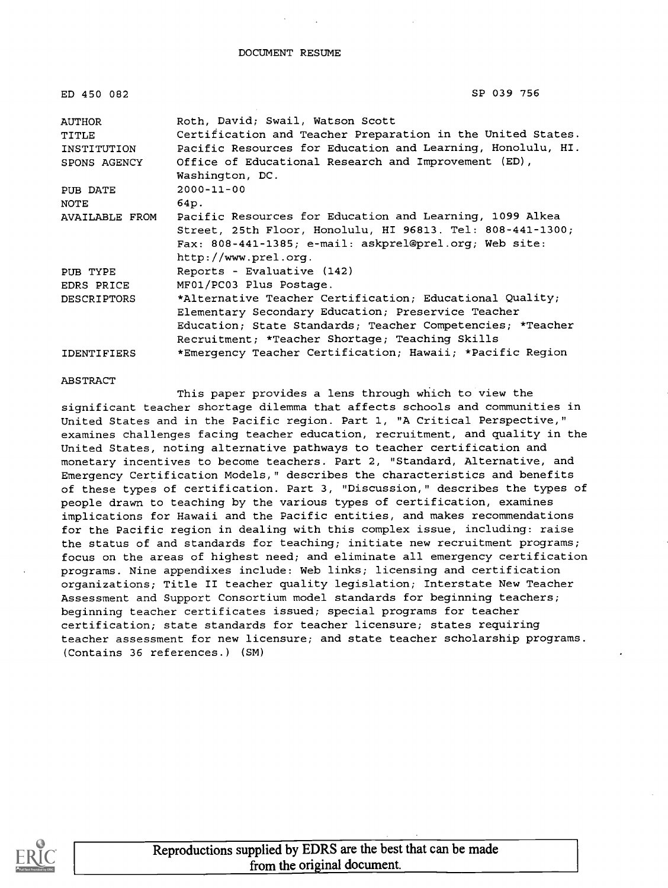| ED 450 082         | SP 039 756                                                  |
|--------------------|-------------------------------------------------------------|
| AUTHOR             | Roth, David; Swail, Watson Scott                            |
| TITLE              | Certification and Teacher Preparation in the United States. |
| INSTITUTION        | Pacific Resources for Education and Learning, Honolulu, HI. |
| SPONS AGENCY       | Office of Educational Research and Improvement (ED),        |
|                    | Washington, DC.                                             |
| PUB DATE           | $2000 - 11 - 00$                                            |
| NOTE               | 64p.                                                        |
| AVAILABLE FROM     | Pacific Resources for Education and Learning, 1099 Alkea    |
|                    | Street, 25th Floor, Honolulu, HI 96813. Tel: 808-441-1300;  |
|                    | Fax: 808-441-1385; e-mail: askprel@prel.org; Web site:      |
|                    | http://www.prel.org.                                        |
| PUB TYPE           | Reports - Evaluative (142)                                  |
| <b>EDRS PRICE</b>  | MF01/PC03 Plus Postage.                                     |
| <b>DESCRIPTORS</b> | *Alternative Teacher Certification; Educational Quality;    |
|                    | Elementary Secondary Education; Preservice Teacher          |
|                    | Education; State Standards; Teacher Competencies; *Teacher  |
|                    | Recruitment; *Teacher Shortage; Teaching Skills             |
| <b>IDENTIFIERS</b> | *Emergency Teacher Certification; Hawaii; *Pacific Region   |

#### ABSTRACT

This paper provides a lens through which to view the significant teacher shortage dilemma that affects schools and communities in United States and in the Pacific region. Part 1, "A Critical Perspective," examines challenges facing teacher education, recruitment, and quality in the United States, noting alternative pathways to teacher certification and monetary incentives to become teachers. Part 2, "Standard, Alternative, and Emergency Certification Models," describes the characteristics and benefits of these types of certification. Part 3, "Discussion," describes the types of people drawn to teaching by the various types of certification, examines implications for Hawaii and the Pacific entities, and makes recommendations for the Pacific region in dealing with this complex issue, including: raise the status of and standards for teaching; initiate new recruitment programs; focus on the areas of highest need; and eliminate all emergency certification programs. Nine appendixes include: Web links; licensing and certification organizations; Title II teacher quality legislation; Interstate New Teacher Assessment and Support Consortium model standards for beginning teachers; beginning teacher certificates issued; special programs for teacher certification; state standards for teacher licensure; states requiring teacher assessment for new licensure; and state teacher scholarship programs. (Contains 36 references.) (SM)



Reproductions supplied by EDRS are the best that can be made from the original document.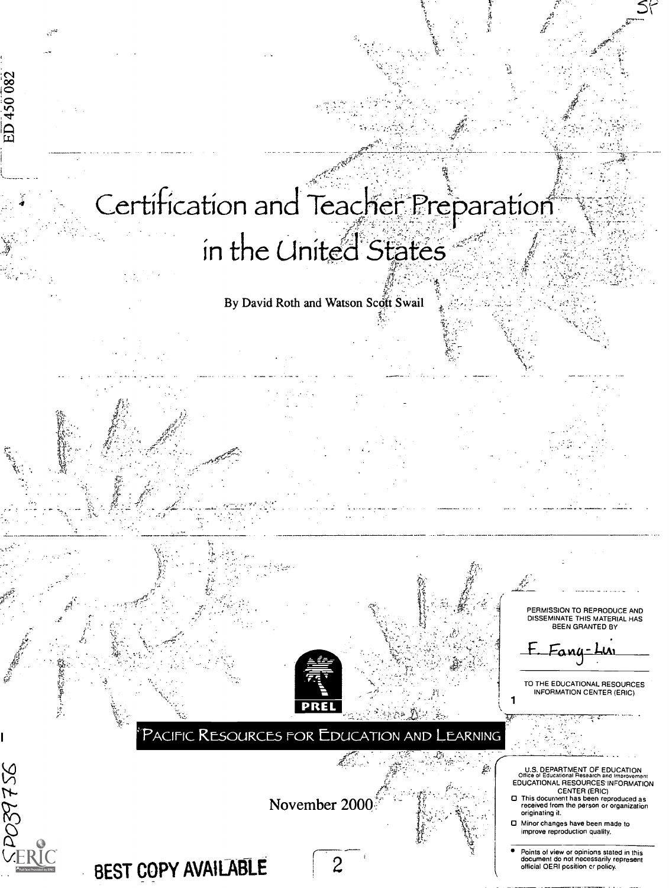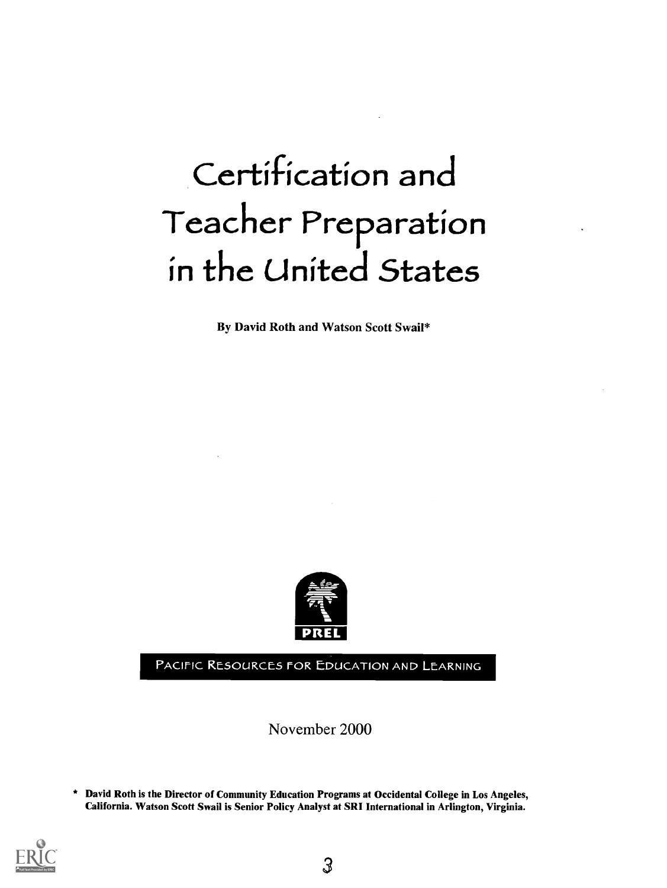# Certification and Teacher Preparation in the United States

By David Roth and Watson Scott Swail\*



PACIFIC RESOURCES FOR EDUCATION AND LEARNING

November 2000

\* David Roth is the Director of Community Education Programs at Occidental College in Los Angeles, California. Watson Scott Swail is Senior Policy Analyst at SRI International in Arlington, Virginia.

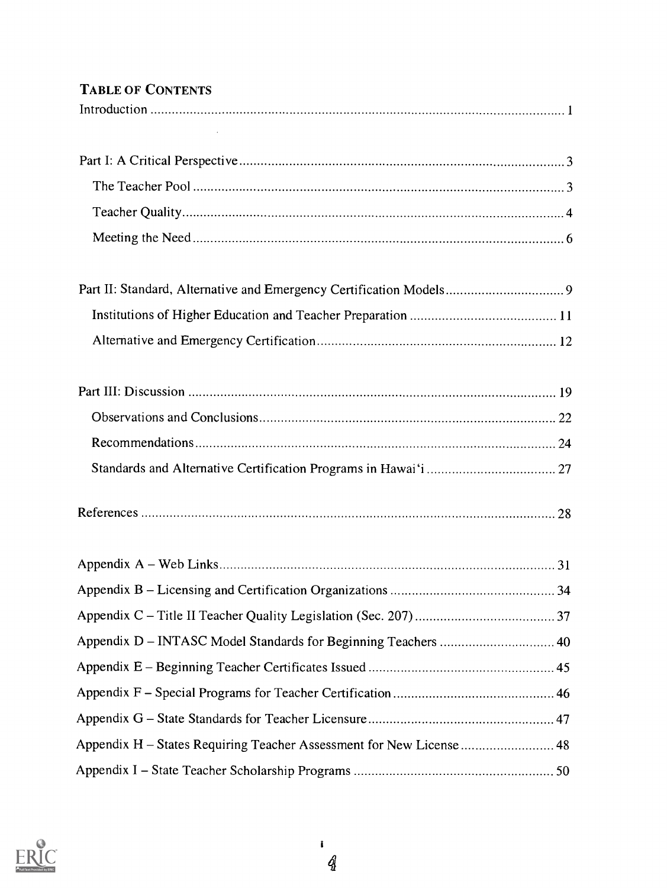### TABLE OF CONTENTS

| Appendix D - INTASC Model Standards for Beginning Teachers  40       |  |
|----------------------------------------------------------------------|--|
|                                                                      |  |
|                                                                      |  |
|                                                                      |  |
| Appendix H - States Requiring Teacher Assessment for New License  48 |  |
|                                                                      |  |

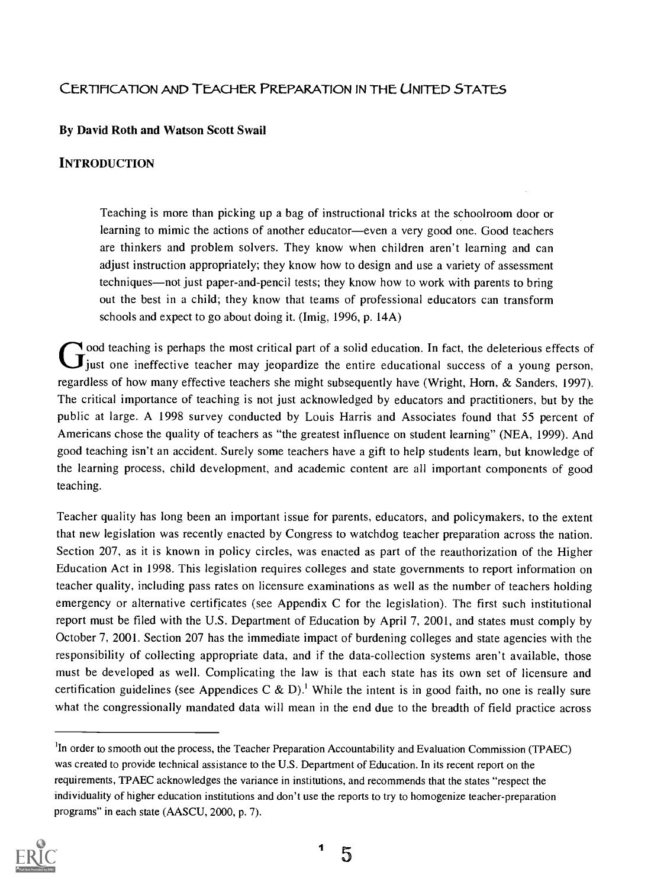### CERTIFICATION AND TEACHER PREPARATION IN THE UNITED STATES

#### By David Roth and Watson Scott Swail

### **INTRODUCTION**

Teaching is more than picking up a bag of instructional tricks at the schoolroom door or learning to mimic the actions of another educator-even a very good one. Good teachers are thinkers and problem solvers. They know when children aren't learning and can adjust instruction appropriately; they know how to design and use a variety of assessment techniques—not just paper-and-pencil tests; they know how to work with parents to bring out the best in a child; they know that teams of professional educators can transform schools and expect to go about doing it. (Imig, 1996, p. 14A)

ood teaching is perhaps the most critical part of a solid education. In fact, the deleterious effects of  $\mathbf{J}_\text{just}$  one ineffective teacher may jeopardize the entire educational success of a young person, regardless of how many effective teachers she might subsequently have (Wright, Horn, & Sanders, 1997). The critical importance of teaching is not just acknowledged by educators and practitioners, but by the public at large. A 1998 survey conducted by Louis Harris and Associates found that 55 percent of Americans chose the quality of teachers as "the greatest influence on student learning" (NEA, 1999). And good teaching isn't an accident. Surely some teachers have a gift to help students learn, but knowledge of the learning process, child development, and academic content are all important components of good teaching.

Teacher quality has long been an important issue for parents, educators, and policymakers, to the extent that new legislation was recently enacted by Congress to watchdog teacher preparation across the nation. Section 207, as it is known in policy circles, was enacted as part of the reauthorization of the Higher Education Act in 1998. This legislation requires colleges and state governments to report information on teacher quality, including pass rates on licensure examinations as well as the number of teachers holding emergency or alternative certificates (see Appendix C for the legislation). The first such institutional report must be filed with the U.S. Department of Education by April 7, 2001, and states must comply by October 7, 2001. Section 207 has the immediate impact of burdening colleges and state agencies with the responsibility of collecting appropriate data, and if the data-collection systems aren't available, those must be developed as well. Complicating the law is that each state has its own set of licensure and certification guidelines (see Appendices C & D).<sup>1</sup> While the intent is in good faith, no one is really sure what the congressionally mandated data will mean in the end due to the breadth of field practice across

<sup>&</sup>lt;sup>1</sup>In order to smooth out the process, the Teacher Preparation Accountability and Evaluation Commission (TPAEC) was created to provide technical assistance to the U.S. Department of Education. In its recent report on the requirements, TPAEC acknowledges the variance in institutions, and recommends that the states "respect the individuality of higher education institutions and don't use the reports to try to homogenize teacher-preparation programs" in each state (AASCU, 2000, p. 7).

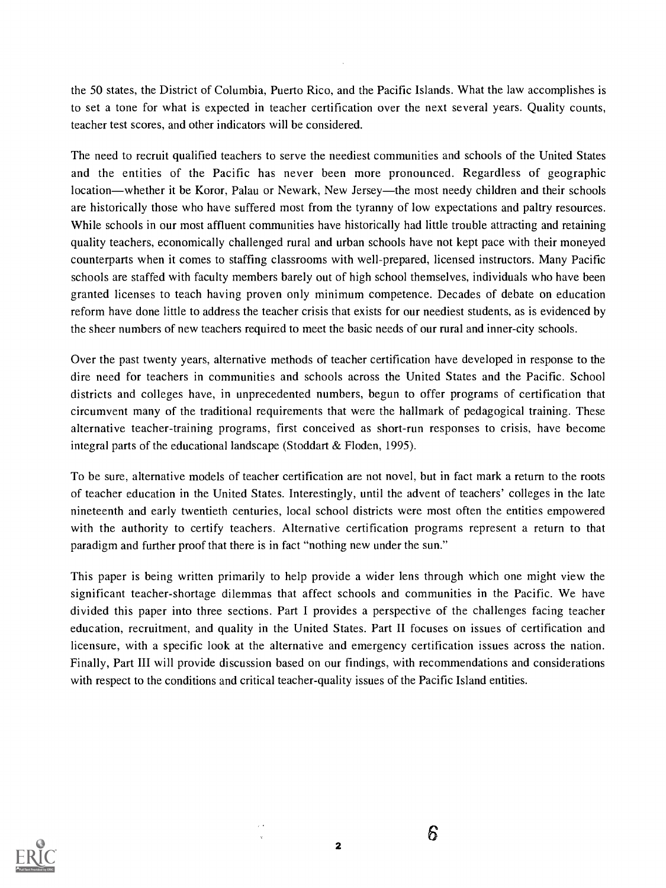the 50 states, the District of Columbia, Puerto Rico, and the Pacific Islands. What the law accomplishes is to set a tone for what is expected in teacher certification over the next several years. Quality counts, teacher test scores, and other indicators will be considered.

The need to recruit qualified teachers to serve the neediest communities and schools of the United States and the entities of the Pacific has never been more pronounced. Regardless of geographic location—whether it be Koror, Palau or Newark, New Jersey—the most needy children and their schools are historically those who have suffered most from the tyranny of low expectations and paltry resources. While schools in our most affluent communities have historically had little trouble attracting and retaining quality teachers, economically challenged rural and urban schools have not kept pace with their moneyed counterparts when it comes to staffing classrooms with well-prepared, licensed instructors. Many Pacific schools are staffed with faculty members barely out of high school themselves, individuals who have been granted licenses to teach having proven only minimum competence. Decades of debate on education reform have done little to address the teacher crisis that exists for our neediest students, as is evidenced by the sheer numbers of new teachers required to meet the basic needs of our rural and inner-city schools.

Over the past twenty years, alternative methods of teacher certification have developed in response to the dire need for teachers in communities and schools across the United States and the Pacific. School districts and colleges have, in unprecedented numbers, begun to offer programs of certification that circumvent many of the traditional requirements that were the hallmark of pedagogical training. These alternative teacher-training programs, first conceived as short-run responses to crisis, have become integral parts of the educational landscape (Stoddart & Floden, 1995).

To be sure, alternative models of teacher certification are not novel, but in fact mark a return to the roots of teacher education in the United States. Interestingly, until the advent of teachers' colleges in the late nineteenth and early twentieth centuries, local school districts were most often the entities empowered with the authority to certify teachers. Alternative certification programs represent a return to that paradigm and further proof that there is in fact "nothing new under the sun."

This paper is being written primarily to help provide a wider lens through which one might view the significant teacher-shortage dilemmas that affect schools and communities in the Pacific. We have divided this paper into three sections. Part I provides a perspective of the challenges facing teacher education, recruitment, and quality in the United States. Part II focuses on issues of certification and licensure, with a specific look at the alternative and emergency certification issues across the nation. Finally, Part III will provide discussion based on our findings, with recommendations and considerations with respect to the conditions and critical teacher-quality issues of the Pacific Island entities.

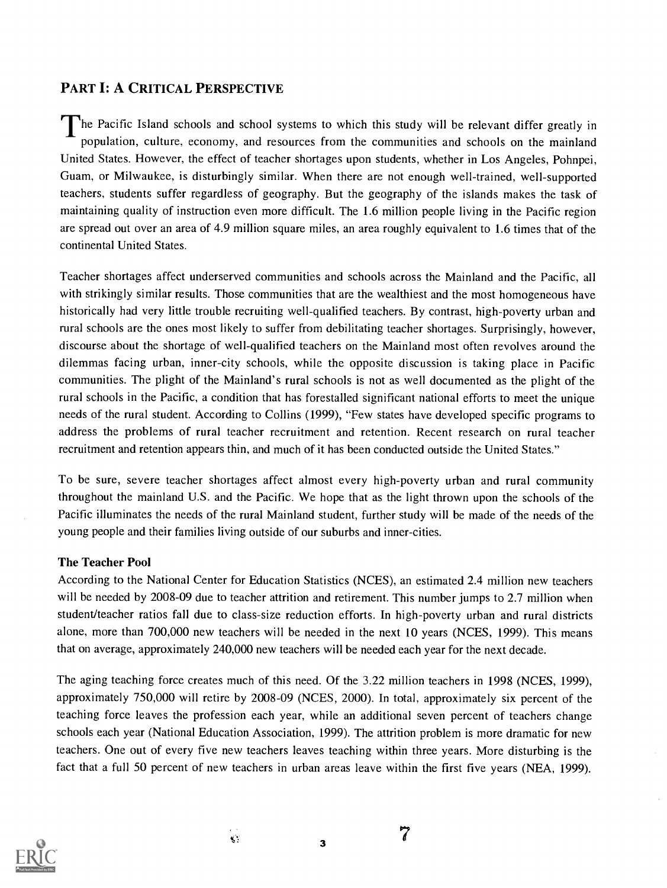### PART I: A CRITICAL PERSPECTIVE

 $\blacksquare$  The Pacific Island schools and school systems to which this study will be relevant differ greatly in population, culture, economy, and resources from the communities and schools on the mainland United States. However, the effect of teacher shortages upon students, whether in Los Angeles, Pohnpei, Guam, or Milwaukee, is disturbingly similar. When there are not enough well-trained, well-supported teachers, students suffer regardless of geography. But the geography of the islands makes the task of maintaining quality of instruction even more difficult. The 1.6 million people living in the Pacific region are spread out over an area of 4.9 million square miles, an area roughly equivalent to 1.6 times that of the continental United States.

Teacher shortages affect underserved communities and schools across the Mainland and the Pacific, all with strikingly similar results. Those communities that are the wealthiest and the most homogeneous have historically had very little trouble recruiting well-qualified teachers. By contrast, high-poverty urban and rural schools are the ones most likely to suffer from debilitating teacher shortages. Surprisingly, however, discourse about the shortage of well-qualified teachers on the Mainland most often revolves around the dilemmas facing urban, inner-city schools, while the opposite discussion is taking place in Pacific communities. The plight of the Mainland's rural schools is not as well documented as the plight of the rural schools in the Pacific, a condition that has forestalled significant national efforts to meet the unique needs of the rural student. According to Collins (1999), "Few states have developed specific programs to address the problems of rural teacher recruitment and retention. Recent research on rural teacher recruitment and retention appears thin, and much of it has been conducted outside the United States."

To be sure, severe teacher shortages affect almost every high-poverty urban and rural community throughout the mainland U.S. and the Pacific. We hope that as the light thrown upon the schools of the Pacific illuminates the needs of the rural Mainland student, further study will be made of the needs of the young people and their families living outside of our suburbs and inner-cities.

#### The Teacher Pool

According to the National Center for Education Statistics (NCES), an estimated 2.4 million new teachers will be needed by 2008-09 due to teacher attrition and retirement. This number jumps to 2.7 million when student/teacher ratios fall due to class-size reduction efforts. In high-poverty urban and rural districts alone, more than 700,000 new teachers will be needed in the next 10 years (NCES, 1999). This means that on average, approximately 240,000 new teachers will be needed each year for the next decade.

The aging teaching force creates much of this need. Of the 3.22 million teachers in 1998 (NCES, 1999), approximately 750,000 will retire by 2008-09 (NCES, 2000). In total, approximately six percent of the teaching force leaves the profession each year, while an additional seven percent of teachers change schools each year (National Education Association, 1999). The attrition problem is more dramatic for new teachers. One out of every five new teachers leaves teaching within three years. More disturbing is the fact that a full 50 percent of new teachers in urban areas leave within the first five years (NEA, 1999).



 $\mathbb{C}^{\times}$ 

 $\frac{1}{3}$  7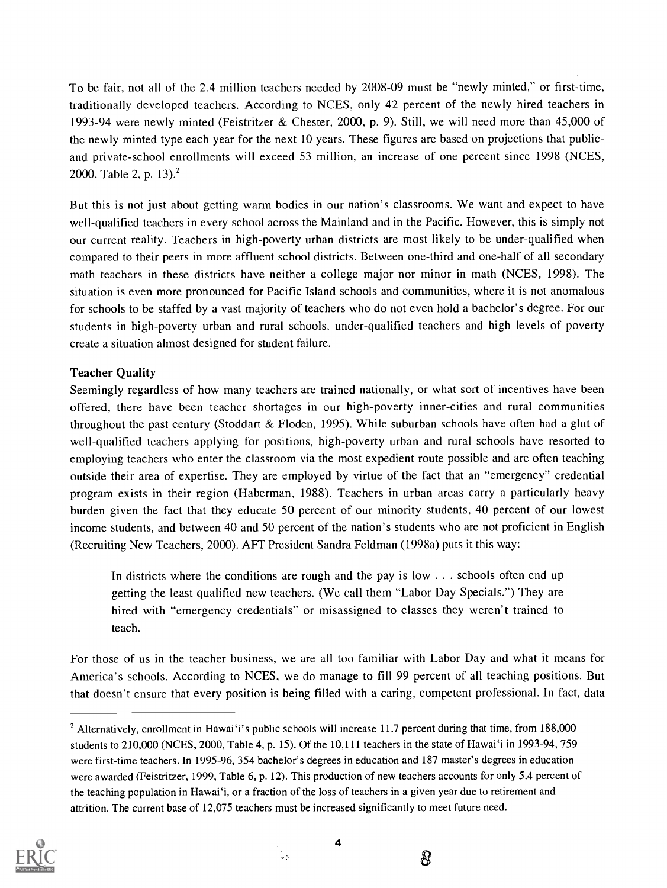To be fair, not all of the 2.4 million teachers needed by 2008-09 must be "newly minted," or first-time, traditionally developed teachers. According to NCES, only 42 percent of the newly hired teachers in 1993-94 were newly minted (Feistritzer & Chester, 2000, p. 9). Still, we will need more than 45,000 of the newly minted type each year for the next 10 years. These figures are based on projections that publicand private-school enrollments will exceed 53 million, an increase of one percent since 1998 (NCES, 2000, Table 2, p. 13).<sup>2</sup>

But this is not just about getting warm bodies in our nation's classrooms. We want and expect to have well-qualified teachers in every school across the Mainland and in the Pacific. However, this is simply not our current reality. Teachers in high-poverty urban districts are most likely to be under-qualified when compared to their peers in more affluent school districts. Between one-third and one-half of all secondary math teachers in these districts have neither a college major nor minor in math (NCES, 1998). The situation is even more pronounced for Pacific Island schools and communities, where it is not anomalous for schools to be staffed by a vast majority of teachers who do not even hold a bachelor's degree. For our students in high-poverty urban and rural schools, under-qualified teachers and high levels of poverty create a situation almost designed for student failure.

#### Teacher Quality

Seemingly regardless of how many teachers are trained nationally, or what sort of incentives have been offered, there have been teacher shortages in our high-poverty inner-cities and rural communities throughout the past century (Stoddart & Floden, 1995). While suburban schools have often had a glut of well-qualified teachers applying for positions, high-poverty urban and rural schools have resorted to employing teachers who enter the classroom via the most expedient route possible and are often teaching outside their area of expertise. They are employed by virtue of the fact that an "emergency" credential program exists in their region (Haberman, 1988). Teachers in urban areas carry a particularly heavy burden given the fact that they educate 50 percent of our minority students, 40 percent of our lowest income students, and between 40 and 50 percent of the nation's students who are not proficient in English (Recruiting New Teachers, 2000). AFT President Sandra Feldman (1998a) puts it this way:

In districts where the conditions are rough and the pay is low  $\dots$  schools often end up getting the least qualified new teachers. (We call them "Labor Day Specials.") They are hired with "emergency credentials" or misassigned to classes they weren't trained to teach.

For those of us in the teacher business, we are all too familiar with Labor Day and what it means for America's schools. According to NCES, we do manage to fill 99 percent of all teaching positions. But that doesn't ensure that every position is being filled with a caring, competent professional. In fact, data

<sup>&</sup>lt;sup>2</sup> Alternatively, enrollment in Hawai'i's public schools will increase 11.7 percent during that time, from 188,000 students to 210,000 (NCES, 2000, Table 4, p. 15). Of the 10,111 teachers in the state of Hawai'i in 1993-94, 759 were first-time teachers. In 1995-96, 354 bachelor's degrees in education and 187 master's degrees in education were awarded (Feistritzer, 1999, Table 6, p. 12). This production of new teachers accounts for only 5.4 percent of the teaching population in Hawai'i, or a fraction of the loss of teachers in a given year due to retirement and attrition. The current base of 12,075 teachers must be increased significantly to meet future need.



Îв.

8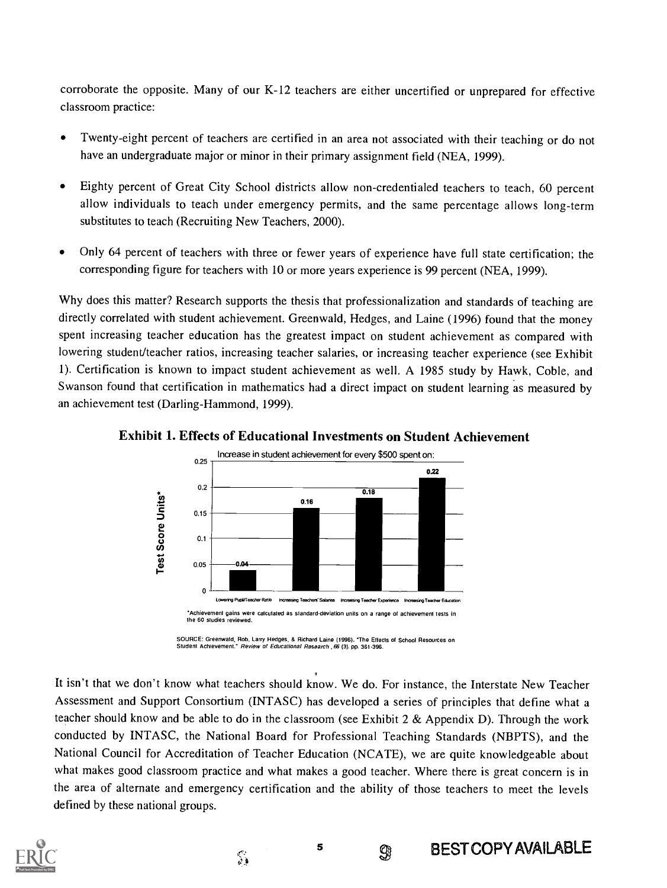corroborate the opposite. Many of our K-12 teachers are either uncertified or unprepared for effective classroom practice:

- Twenty-eight percent of teachers are certified in an area not associated with their teaching or do not have an undergraduate major or minor in their primary assignment field (NEA, 1999).
- Eighty percent of Great City School districts allow non-credentialed teachers to teach, 60 percent  $\bullet$ allow individuals to teach under emergency permits, and the same percentage allows long-term substitutes to teach (Recruiting New Teachers, 2000).
- Only 64 percent of teachers with three or fewer years of experience have full state certification; the corresponding figure for teachers with 10 or more years experience is 99 percent (NEA, 1999).

Why does this matter? Research supports the thesis that professionalization and standards of teaching are directly correlated with student achievement. Greenwald, Hedges, and Laine (1996) found that the money spent increasing teacher education has the greatest impact on student achievement as compared with lowering student/teacher ratios, increasing teacher salaries, or increasing teacher experience (see Exhibit 1). Certification is known to impact student achievement as well. A 1985 study by Hawk, Coble, and Swanson found that certification in mathematics had a direct impact on student learning as measured by an achievement test (Darling-Hammond, 1999).



#### Exhibit 1. Effects of Educational Investments on Student Achievement

SOURCE: Greenwald, Rob, Larry Hedges, & Richard Laine (1996). "The Effects of School Resources on<br>Student Achievement." *Review of Educational Research ,6*6 (3). pp. 361-396.

It isn't that we don't know what teachers should know. We do. For instance, the Interstate New Teacher Assessment and Support Consortium (INTASC) has developed a series of principles that define what a teacher should know and be able to do in the classroom (see Exhibit 2 & Appendix D). Through the work conducted by INTASC, the National Board for Professional Teaching Standards (NBPTS), and the National Council for Accreditation of Teacher Education (NCATE), we are quite knowledgeable about what makes good classroom practice and what makes a good teacher. Where there is great concern is in the area of alternate and emergency certification and the ability of those teachers to meet the levels defined by these national groups.



5 9 BEST COPY AVAILABLE

्<br>ब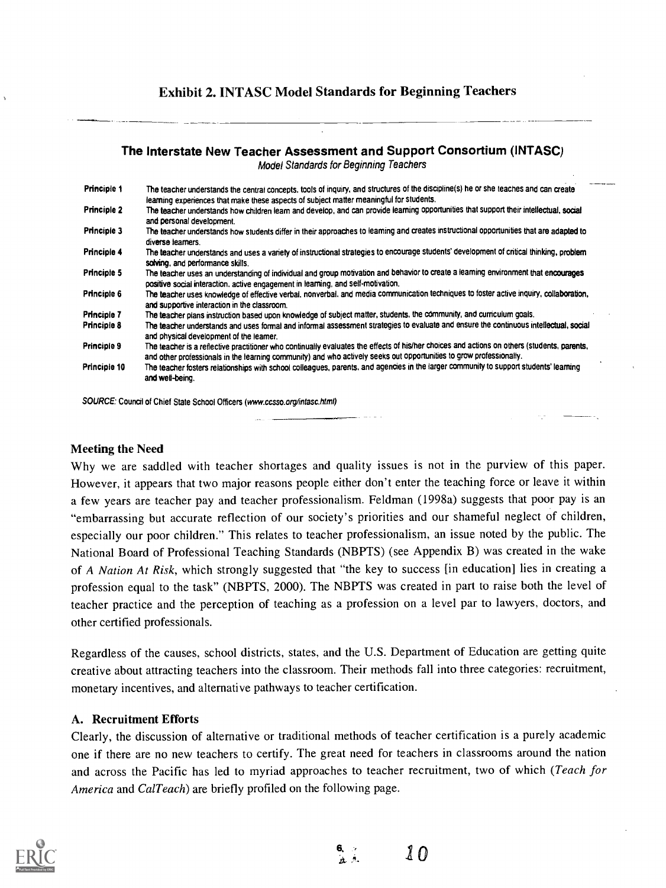### The Interstate New Teacher Assessment and Support Consortium (INTASC)

Model Standards for Beginning Teachers

| Principle 1        | The teacher understands the central concepts, tools of inquiry, and structures of the discipline(s) he or she teaches and can create<br>learning experiences that make these aspects of subject matter meaningful for students.                                    |  |
|--------------------|--------------------------------------------------------------------------------------------------------------------------------------------------------------------------------------------------------------------------------------------------------------------|--|
| <b>Principle 2</b> | The teacher understands how children leam and develop, and can provide learning opportunities that support their intellectual, social<br>and personal development.                                                                                                 |  |
| Principle 3        | The teacher understands how students differ in their approaches to leaming and creates instructional opportunities that are adapted to<br>diverse learners.                                                                                                        |  |
| Principle 4        | The teacher understands and uses a variety of instructional strategies to encourage students' development of critical thinking, problem<br>solving, and performance skills.                                                                                        |  |
| Principle 5        | The teacher uses an understanding of individual and group motivation and behavior to create a learning environment that encourages<br>positive social interaction, active engagement in learning, and self-motivation.                                             |  |
| Principle 6        | The teacher uses knowledge of effective verbal, nonverbal, and media communication techniques to foster active inquiry, collaboration,<br>and supportive interaction in the classroom.                                                                             |  |
| Principle 7        | The teacher plans instruction based upon knowledge of subject matter, students, the community, and curriculum goals.                                                                                                                                               |  |
| Principle 8        | The teacher understands and uses formal and informal assessment strategies to evaluate and ensure the continuous intellectual, social<br>and physical development of the learner.                                                                                  |  |
| <b>Principle 9</b> | The teacher is a reflective practitioner who continually evaluates the effects of his/her choices and actions on others (students, parents,<br>and other professionals in the learning community) and who actively seeks out opportunities to grow professionally. |  |
| Principle 10       | The teacher fosters relationships with school colleagues, parents, and agencies in the larger community to support students' learning<br>and well-being.                                                                                                           |  |

SOURCE: Council of Chief State School Officers (www.ccsso.org/intasc.html)

#### Meeting the Need

Why we are saddled with teacher shortages and quality issues is not in the purview of this paper. However, it appears that two major reasons people either don't enter the teaching force or leave it within a few years are teacher pay and teacher professionalism. Feldman (1998a) suggests that poor pay is an "embarrassing but accurate reflection of our society's priorities and our shameful neglect of children, especially our poor children." This relates to teacher professionalism, an issue noted by the public. The National Board of Professional Teaching Standards (NBPTS) (see Appendix B) was created in the wake of A Nation At Risk, which strongly suggested that "the key to success [in education] lies in creating a profession equal to the task" (NBPTS, 2000). The NBPTS was created in part to raise both the level of teacher practice and the perception of teaching as a profession on a level par to lawyers, doctors, and other certified professionals.

Regardless of the causes, school districts, states, and the U.S. Department of Education are getting quite creative about attracting teachers into the classroom. Their methods fall into three categories: recruitment, monetary incentives, and alternative pathways to teacher certification.

#### A. Recruitment Efforts

Clearly, the discussion of alternative or traditional methods of teacher certification is a purely academic one if there are no new teachers to certify. The great need for teachers in classrooms around the nation and across the Pacific has led to myriad approaches to teacher recruitment, two of which (Teach for America and CalTeach) are briefly profiled on the following page.



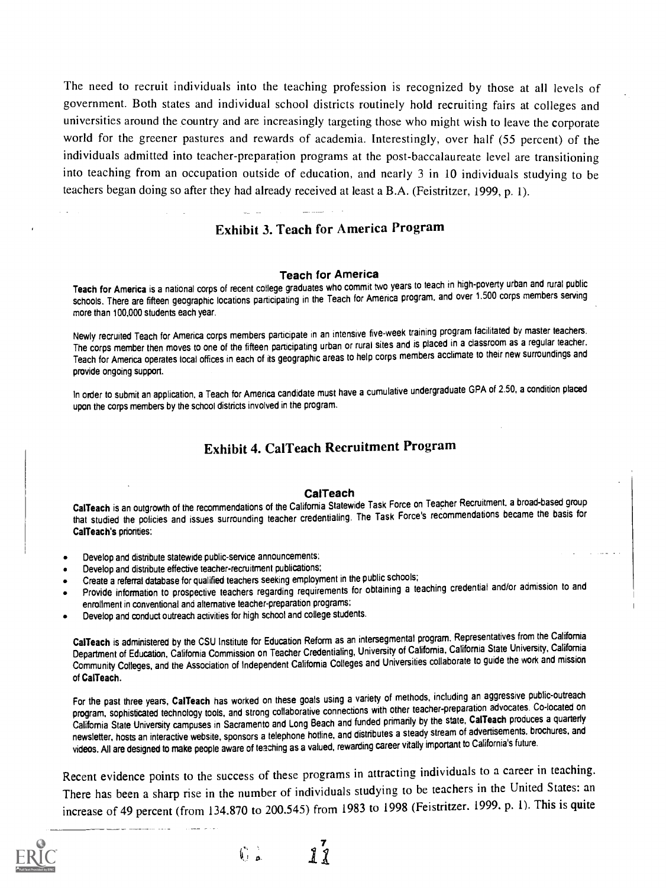The need to recruit individuals into the teaching profession is recognized by those at all levels of government. Both states and individual school districts routinely hold recruiting fairs at colleges and universities around the country and are increasingly targeting those who might wish to leave the corporate world for the greener pastures and rewards of academia. Interestingly, over half (55 percent) of the individuals admitted into teacher-preparation programs at the post-baccalaureate level are transitioning into teaching from an occupation outside of education, and nearly 3 in 10 individuals studying to be teachers began doing so after they had already received at least a B.A. (Feistritzer, 1999, p. 1).

#### Exhibit 3. Teach for America Program

#### Teach for America

Teach for America is a national corps of recent college graduates who commit two years to teach in high-poverty urban and rural public schools. There are fifteen geographic locations participating in the Teach for America program, and over 1.500 corps members serving more than 100,000 students each year.

Newly recruited Teach for America corps members participate in an intensive five-week training program facilitated by master teachers. The corps member then moves to one of the fifteen participating urban or rural sites and is placed in a classroom as a regular teacher. Teach for America operates local offices in each of its geographic areas to help corps members acclimate to their new surroundings and provide ongoing support.

In order to submit an application, a Teach for America candidate must have a cumulative undergraduate GPA of 2.50, a condition placed upon the corps members by the school districts involved in the program.

### Exhibit 4. Cal Teach Recruitment Program

#### CalTeach

Cal Teach is an outgrowth of the recommendations of the California Statewide Task Force on Teacher Recruitment, a broad-based group that studied the policies and issues surrounding teacher credentialing. The Task Force's recommendations became the basis for CalTeach's priorities:

- Develop and distribute statewide public-service announcements:
- Develop and distribute effective teacher-recruitment publications;
- Create a referral database for qualified teachers seeking employment in the public schools;
- Provide information to prospective teachers regarding requirements for obtaining a teaching credential and/or admission to and enrollment in conventional and alternative teacher-preparation programs;
- Develop and conduct outreach activities for high school and college students.

CalTeach is administered by the CSU Institute for Education Reform as an intersegmental program. Representatives from the California Department of Education, California Commission on Teacher Credentialing, University of California, California State University, California Community Colleges, and the Association of Independent California Colleges and Universities collaborate to guide the work and mission of CalTeach.

For the past three years, CalTeach has worked on these goals using a variety of methods, including an aggressive public-outreach program, sophisticated technology tools, and strong collaborative connections with other teacher-preparation advocates. Co-located on California State University campuses in Sacramento and Long Beach and funded primarily by the state, Cal Teach produces a quarterly newsletter, hosts an interactive website, sponsors a telephone hotline, and distributes a steady stream of advertisements. brochures, and videos. All are designed to make people aware of teaching as a valued, rewarding career vitally important to California's future.

Recent evidence points to the success of these programs in attracting individuals to a career in teaching. There has been a sharp rise in the number of individuals studying to be teachers in the United States: an increase of 49 percent (from 134.870 to 200.545) from 1983 to 1998 (Feistritzer. 1999. p. 1). This is quite

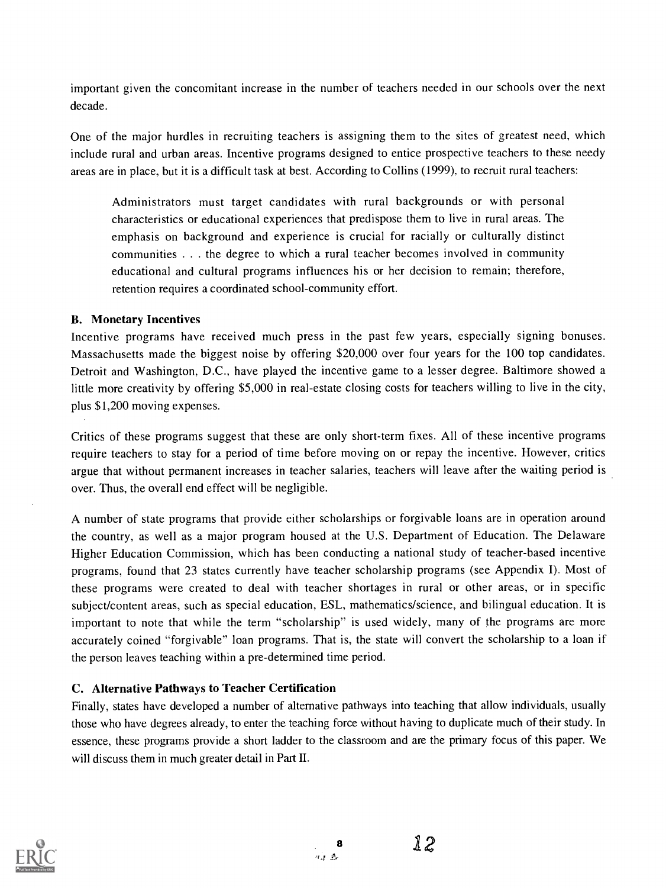important given the concomitant increase in the number of teachers needed in our schools over the next decade.

One of the major hurdles in recruiting teachers is assigning them to the sites of greatest need, which include rural and urban areas. Incentive programs designed to entice prospective teachers to these needy areas are in place, but it is a difficult task at best. According to Collins (1999), to recruit rural teachers:

Administrators must target candidates with rural backgrounds or with personal characteristics or educational experiences that predispose them to live in rural areas. The emphasis on background and experience is crucial for racially or culturally distinct communities . . . the degree to which a rural teacher becomes involved in community educational and cultural programs influences his or her decision to remain; therefore, retention requires a coordinated school-community effort.

#### B. Monetary Incentives

Incentive programs have received much press in the past few years, especially signing bonuses. Massachusetts made the biggest noise by offering \$20,000 over four years for the 100 top candidates. Detroit and Washington, D.C., have played the incentive game to a lesser degree. Baltimore showed a little more creativity by offering \$5,000 in real-estate closing costs for teachers willing to live in the city, plus \$1,200 moving expenses.

Critics of these programs suggest that these are only short-term fixes. All of these incentive programs require teachers to stay for a period of time before moving on or repay the incentive. However, critics argue that without permanent increases in teacher salaries, teachers will leave after the waiting period is over. Thus, the overall end effect will be negligible.

A number of state programs that provide either scholarships or forgivable loans are in operation around the country, as well as a major program housed at the U.S. Department of Education. The Delaware Higher Education Commission, which has been conducting a national study of teacher-based incentive programs, found that 23 states currently have teacher scholarship programs (see Appendix I). Most of these programs were created to deal with teacher shortages in rural or other areas, or in specific subject/content areas, such as special education, ESL, mathematics/science, and bilingual education. It is important to note that while the term "scholarship" is used widely, many of the programs are more accurately coined "forgivable" loan programs. That is, the state will convert the scholarship to a loan if the person leaves teaching within a pre-determined time period.

#### C. Alternative Pathways to Teacher Certification

Finally, states have developed a number of alternative pathways into teaching that allow individuals, usually those who have degrees already, to enter the teaching force without having to duplicate much of their study. In essence, these programs provide a short ladder to the classroom and are the primary focus of this paper. We will discuss them in much greater detail in Part II.

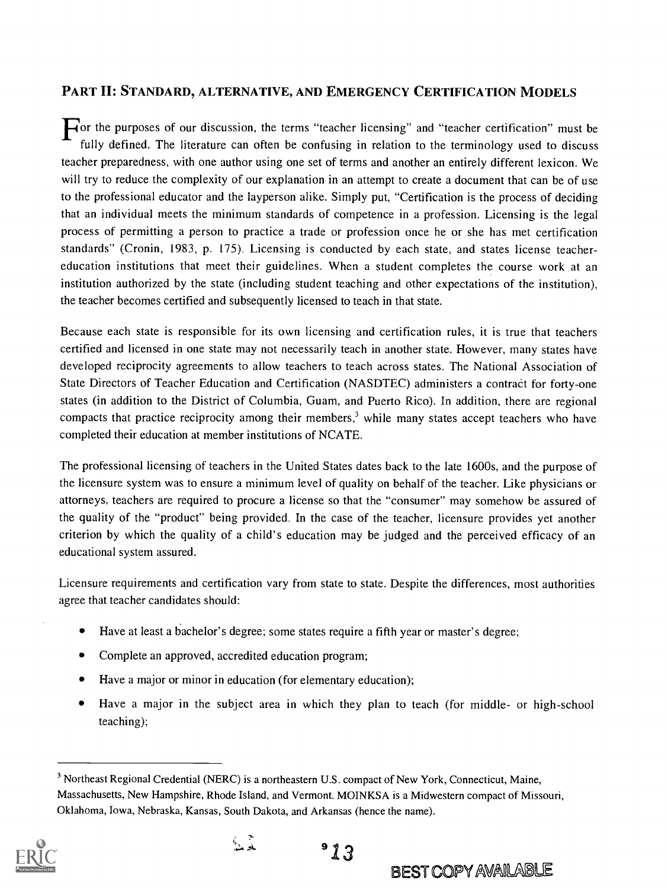### PART II: STANDARD, ALTERNATIVE, AND EMERGENCY CERTIFICATION MODELS

For the purposes of our discussion, the terms "teacher licensing" and "teacher certification" must be fully defined. The literature can often be confusing in relation to the terminology used to discuss teacher preparedness, with one author using one set of terms and another an entirely different lexicon. We will try to reduce the complexity of our explanation in an attempt to create a document that can be of use to the professional educator and the layperson alike. Simply put, "Certification is the process of deciding that an individual meets the minimum standards of competence in a profession. Licensing is the legal process of permitting a person to practice a trade or profession once he or she has met certification standards" (Cronin, 1983, p. 175). Licensing is conducted by each state, and states license teachereducation institutions that meet their guidelines. When a student completes the course work at an institution authorized by the state (including student teaching and other expectations of the institution), the teacher becomes certified and subsequently licensed to teach in that state.

Because each state is responsible for its own licensing and certification rules, it is true that teachers certified and licensed in one state may not necessarily teach in another state. However, many states have developed reciprocity agreements to allow teachers to teach across states. The National Association of State Directors of Teacher Education and Certification (NASDTEC) administers a contract for forty-one states (in addition to the District of Columbia, Guam, and Puerto Rico). In addition, there are regional compacts that practice reciprocity among their members,<sup>3</sup> while many states accept teachers who have completed their education at member institutions of NCATE.

The professional licensing of teachers in the United States dates back to the late 1600s, and the purpose of the licensure system was to ensure a minimum level of quality on behalf of the teacher. Like physicians or attorneys, teachers are required to procure a license so that the "consumer" may somehow be assured of the quality of the "product" being provided. In the case of the teacher, licensure provides yet another criterion by which the quality of a child's education may be judged and the perceived efficacy of an educational system assured.

Licensure requirements and certification vary from state to state. Despite the differences, most authorities agree that teacher candidates should:

- Have at least a bachelor's degree; some states require a fifth year or master's degree;
- Complete an approved, accredited education program;
- Have a major or minor in education (for elementary education);

 $\frac{1}{2}$ 

Have a major in the subject area in which they plan to teach (for middle- or high-school teaching);

<sup>&</sup>lt;sup>3</sup> Northeast Regional Credential (NERC) is a northeastern U.S. compact of New York, Connecticut, Maine, Massachusetts, New Hampshire, Rhode Island, and Vermont. MOINKSA is a Midwestern compact of Missouri, Oklahoma, Iowa, Nebraska, Kansas, South Dakota, and Arkansas (hence the name).

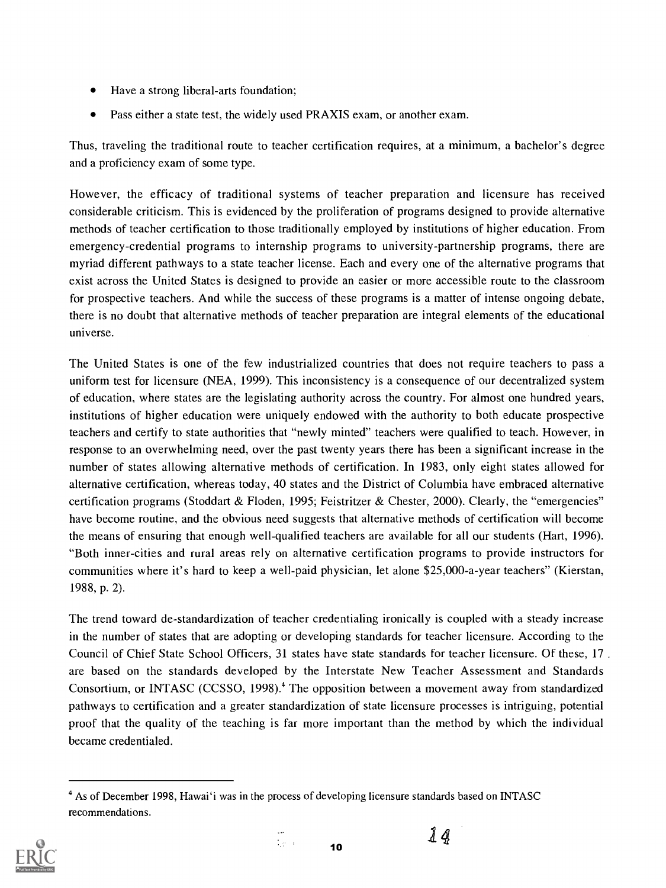- Have a strong liberal-arts foundation;
- Pass either a state test, the widely used PRAXIS exam, or another exam.

Thus, traveling the traditional route to teacher certification requires, at a minimum, a bachelor's degree and a proficiency exam of some type.

However, the efficacy of traditional systems of teacher preparation and licensure has received considerable criticism. This is evidenced by the proliferation of programs designed to provide alternative methods of teacher certification to those traditionally employed by institutions of higher education. From emergency-credential programs to internship programs to university-partnership programs, there are myriad different pathways to a state teacher license. Each and every one of the alternative programs that exist across the United States is designed to provide an easier or more accessible route to the classroom for prospective teachers. And while the success of these programs is a matter of intense ongoing debate, there is no doubt that alternative methods of teacher preparation are integral elements of the educational universe.

The United States is one of the few industrialized countries that does not require teachers to pass a uniform test for licensure (NEA, 1999). This inconsistency is a consequence of our decentralized system of education, where states are the legislating authority across the country. For almost one hundred years, institutions of higher education were uniquely endowed with the authority to both educate prospective teachers and certify to state authorities that "newly minted" teachers were qualified to teach. However, in response to an overwhelming need, over the past twenty years there has been a significant increase in the number of states allowing alternative methods of certification. In 1983, only eight states allowed for alternative certification, whereas today, 40 states and the District of Columbia have embraced alternative certification programs (Stoddart & Floden, 1995; Feistritzer & Chester, 2000). Clearly, the "emergencies" have become routine, and the obvious need suggests that alternative methods of certification will become the means of ensuring that enough well-qualified teachers are available for all our students (Hart, 1996). "Both inner-cities and rural areas rely on alternative certification programs to provide instructors for communities where it's hard to keep a well-paid physician, let alone \$25,000-a-year teachers" (Kierstan, 1988, p. 2).

The trend toward de-standardization of teacher credentialing ironically is coupled with a steady increase in the number of states that are adopting or developing standards for teacher licensure. According to the Council of Chief State School Officers, 31 states have state standards for teacher licensure. Of these, 17 are based on the standards developed by the Interstate New Teacher Assessment and Standards Consortium, or INTASC (CCSSO, 1998).<sup>4</sup> The opposition between a movement away from standardized pathways to certification and a greater standardization of state licensure processes is intriguing, potential proof that the quality of the teaching is far more important than the method by which the individual became credentialed.

 $\frac{1}{2} \frac{1}{2} \frac{1}{2} \frac{1}{2}$ 



<sup>&</sup>lt;sup>4</sup> As of December 1998, Hawai'i was in the process of developing licensure standards based on INTASC recommendations.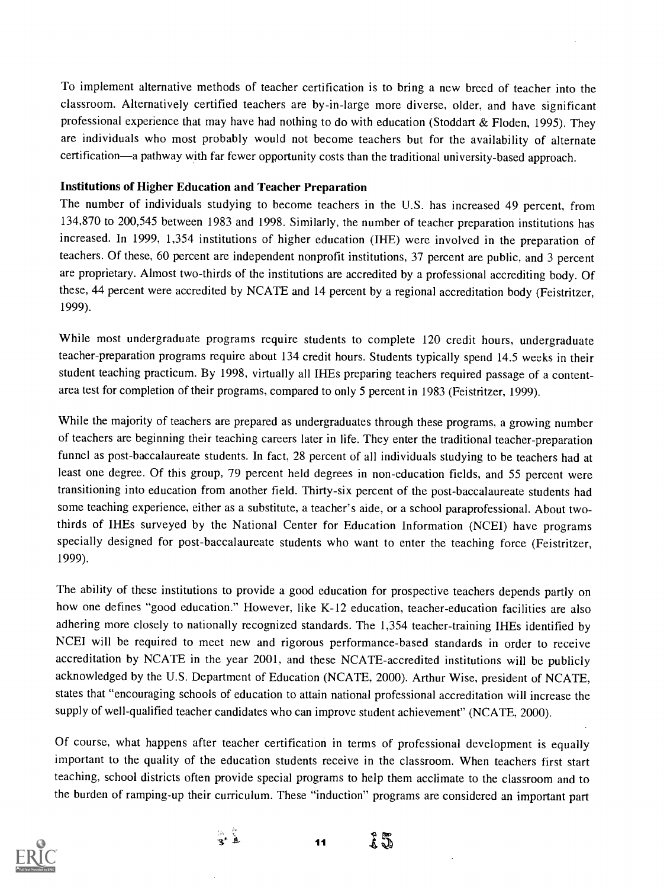To implement alternative methods of teacher certification is to bring a new breed of teacher into the classroom. Alternatively certified teachers are by-in-large more diverse, older, and have significant professional experience that may have had nothing to do with education (Stoddart & Floden, 1995). They are individuals who most probably would not become teachers but for the availability of alternate certification—a pathway with far fewer opportunity costs than the traditional university-based approach.

#### Institutions of Higher Education and Teacher Preparation

The number of individuals studying to become teachers in the U.S. has increased 49 percent, from 134,870 to 200,545 between 1983 and 1998. Similarly, the number of teacher preparation institutions has increased. In 1999, 1,354 institutions of higher education (IHE) were involved in the preparation of teachers. Of these, 60 percent are independent nonprofit institutions, 37 percent are public, and 3 percent are proprietary. Almost two-thirds of the institutions are accredited by a professional accrediting body. Of these, 44 percent were accredited by NCATE and 14 percent by a regional accreditation body (Feistritzer, 1999).

While most undergraduate programs require students to complete 120 credit hours, undergraduate teacher-preparation programs require about 134 credit hours. Students typically spend 14.5 weeks in their student teaching practicum. By 1998, virtually all IHEs preparing teachers required passage of a contentarea test for completion of their programs, compared to only 5 percent in 1983 (Feistritzer, 1999).

While the majority of teachers are prepared as undergraduates through these programs, a growing number of teachers are beginning their teaching careers later in life. They enter the traditional teacher-preparation funnel as post-baccalaureate students. In fact, 28 percent of all individuals studying to be teachers had at least one degree. Of this group, 79 percent held degrees in non-education fields, and 55 percent were transitioning into education from another field. Thirty-six percent of the post-baccalaureate students had some teaching experience, either as a substitute, a teacher's aide, or a school paraprofessional. About twothirds of IHEs surveyed by the National Center for Education Information (NCEI) have programs specially designed for post-baccalaureate students who want to enter the teaching force (Feistritzer, 1999).

The ability of these institutions to provide a good education for prospective teachers depends partly on how one defines "good education." However, like K-12 education, teacher-education facilities are also adhering more closely to nationally recognized standards. The 1,354 teacher-training IHEs identified by NCEI will be required to meet new and rigorous performance-based standards in order to receive accreditation by NCATE in the year 2001, and these NCATE-accredited institutions will be publicly acknowledged by the U.S. Department of Education (NCATE, 2000). Arthur Wise, president of NCATE, states that "encouraging schools of education to attain national professional accreditation will increase the supply of well-qualified teacher candidates who can improve student achievement" (NCATE, 2000).

Of course, what happens after teacher certification in terms of professional development is equally important to the quality of the education students receive in the classroom. When teachers first start teaching, school districts often provide special programs to help them acclimate to the classroom and to the burden of ramping-up their curriculum. These "induction" programs are considered an important part



36 音

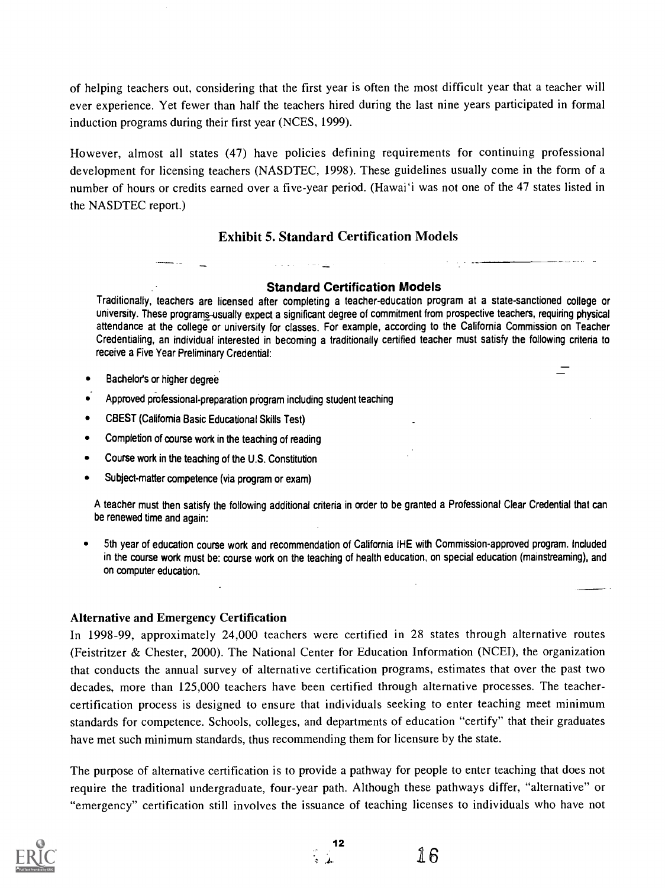of helping teachers out, considering that the first year is often the most difficult year that a teacher will ever experience. Yet fewer than half the teachers hired during the last nine years participated in formal induction programs during their first year (NCES, 1999).

However, almost all states (47) have policies defining requirements for continuing professional development for licensing teachers (NASDTEC, 1998). These guidelines usually come in the form of a number of hours or credits earned over a five-year period. (Hawai'i was not one of the 47 states listed in the NASDTEC report.)

### Exhibit 5. Standard Certification Models

#### Standard Certification Models

Traditionally, teachers are licensed after completing a teacher-education program at a state-sanctioned college or university. These programs-usually expect a significant degree of commitment from prospective teachers, requiring physical attendance at the college or university for classes. For example, according to the California Commission on Teacher Credentialing, an individual interested in becoming a traditionally certified teacher must satisfy the following criteria to receive a Five Year Preliminary Credential:

- Bachelor's or higher degree
- Approved professional-preparation program including student teaching
- CBEST (California Basic Educational Skills Test)
- Completion of course work in the teaching of reading
- Course work in the teaching of the U.S. Constitution  $\bullet$
- Subject-matter competence (via program or exam)

A teacher must then satisfy the following additional criteria in order to be granted a Professional Clear Credential that can be renewed time and again:

 $\bullet$ 5th year of education course work and recommendation of California IHE with Commission-approved program. Included in the course work must be: course work on the teaching of health education, on special education (mainstreaming), and on computer education.

#### Alternative and Emergency Certification

In 1998-99, approximately 24,000 teachers were certified in 28 states through alternative routes (Feistritzer & Chester, 2000). The National Center for Education Information (NCEI), the organization that conducts the annual survey of alternative certification programs, estimates that over the past two decades, more than 125,000 teachers have been certified through alternative processes. The teachercertification process is designed to ensure that individuals seeking to enter teaching meet minimum standards for competence. Schools, colleges, and departments of education "certify" that their graduates have met such minimum standards, thus recommending them for licensure by the state.

The purpose of alternative certification is to provide a pathway for people to enter teaching that does not require the traditional undergraduate, four-year path. Although these pathways differ, "alternative" or "emergency" certification still involves the issuance of teaching licenses to individuals who have not





1ิ 6ิ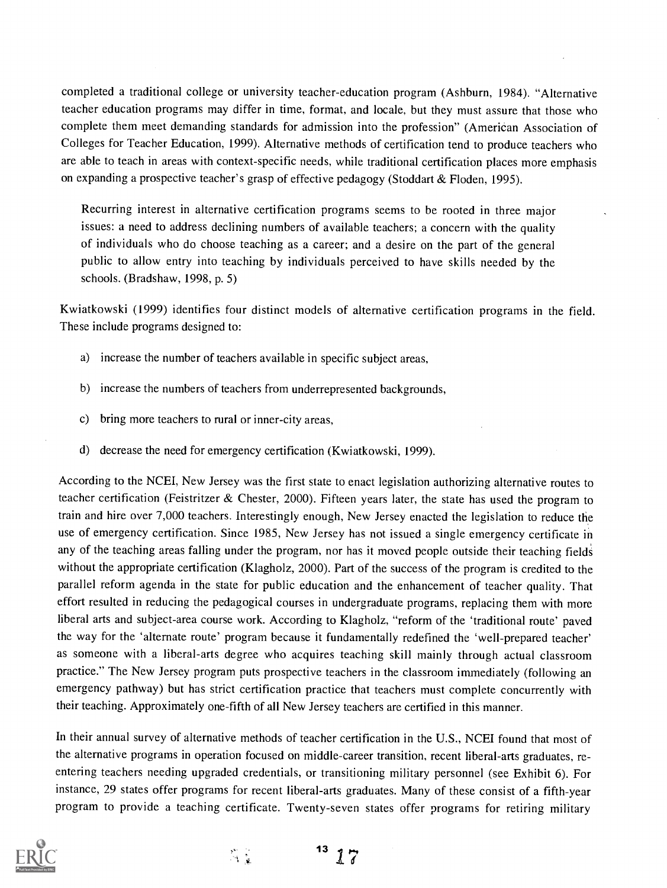completed a traditional college or university teacher-education program (Ashburn, 1984). "Alternative teacher education programs may differ in time, format, and locale, but they must assure that those who complete them meet demanding standards for admission into the profession" (American Association of Colleges for Teacher Education, 1999). Alternative methods of certification tend to produce teachers who are able to teach in areas with context-specific needs, while traditional certification places more emphasis on expanding a prospective teacher's grasp of effective pedagogy (Stoddart & Floden, 1995).

Recurring interest in alternative certification programs seems to be rooted in three major issues: a need to address declining numbers of available teachers; a concern with the quality of individuals who do choose teaching as a career; and a desire on the part of the general public to allow entry into teaching by individuals perceived to have skills needed by the schools. (Bradshaw, 1998, p. 5)

Kwiatkowski (1999) identifies four distinct models of alternative certification programs in the field. These include programs designed to:

- a) increase the number of teachers available in specific subject areas,
- b) increase the numbers of teachers from underrepresented backgrounds,
- c) bring more teachers to rural or inner-city areas,
- d) decrease the need for emergency certification (Kwiatkowski, 1999).

According to the NCEI, New Jersey was the first state to enact legislation authorizing alternative routes to teacher certification (Feistritzer & Chester, 2000). Fifteen years later, the state has used the program to train and hire over 7,000 teachers. Interestingly enough, New Jersey enacted the legislation to reduce the use of emergency certification. Since 1985, New Jersey has not issued a single emergency certificate in any of the teaching areas falling under the program, nor has it moved people outside their teaching fields without the appropriate certification (Klagholz, 2000). Part of the success of the program is credited to the parallel reform agenda in the state for public education and the enhancement of teacher quality. That effort resulted in reducing the pedagogical courses in undergraduate programs, replacing them with more liberal arts and subject-area course work. According to Klagholz, "reform of the 'traditional route' paved the way for the 'alternate route' program because it fundamentally redefined the 'well-prepared teacher' as someone with a liberal-arts degree who acquires teaching skill mainly through actual classroom practice." The New Jersey program puts prospective teachers in the classroom immediately (following an emergency pathway) but has strict certification practice that teachers must complete concurrently with their teaching. Approximately one-fifth of all New Jersey teachers are certified in this manner.

In their annual survey of alternative methods of teacher certification in the U.S., NCEI found that most of the alternative programs in operation focused on middle-career transition, recent liberal-arts graduates, reentering teachers needing upgraded credentials, or transitioning military personnel (see Exhibit 6). For instance, 29 states offer programs for recent liberal-arts graduates. Many of these consist of a fifth-year program to provide a teaching certificate. Twenty-seven states offer programs for retiring military



 $13 \t 17$ 

 $\mathbb{R}^n$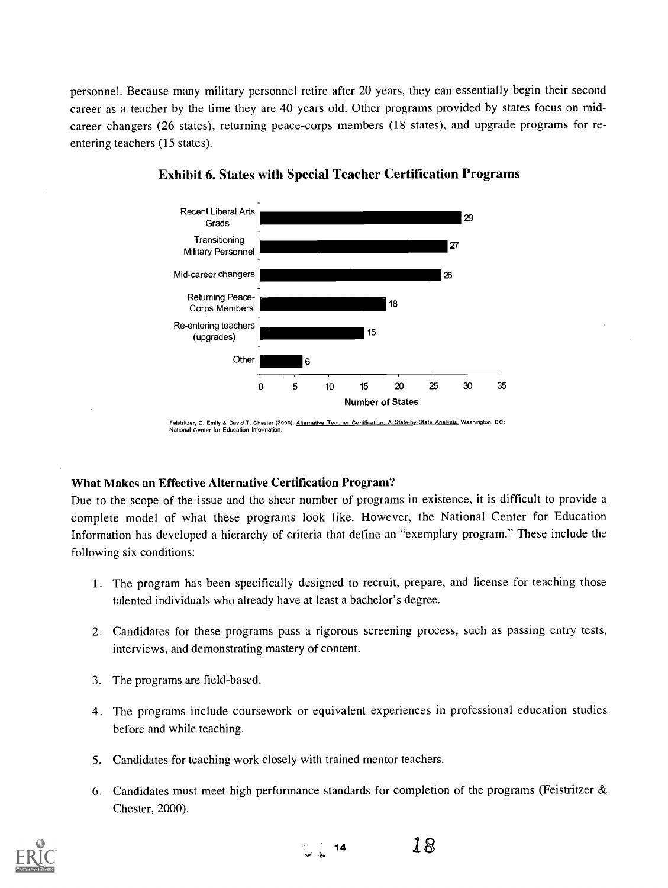personnel. Because many military personnel retire after 20 years, they can essentially begin their second career as a teacher by the time they are 40 years old. Other programs provided by states focus on midcareer changers (26 states), returning peace-corps members (18 states), and upgrade programs for reentering teachers (15 states).



### Exhibit 6. States with Special Teacher Certification Programs

#### What Makes an Effective Alternative Certification Program?

Due to the scope of the issue and the sheer number of programs in existence, it is difficult to provide a complete model of what these programs look like. However, the National Center for Education Information has developed a hierarchy of criteria that define an "exemplary program." These include the following six conditions:

- 1. The program has been specifically designed to recruit, prepare, and license for teaching those talented individuals who already have at least a bachelor's degree.
- 2. Candidates for these programs pass a rigorous screening process, such as passing entry tests, interviews, and demonstrating mastery of content.
- 3. The programs are field-based.
- 4. The programs include coursework or equivalent experiences in professional education studies before and while teaching.
- 5. Candidates for teaching work closely with trained mentor teachers.
- 6. Candidates must meet high performance standards for completion of the programs (Feistritzer & Chester, 2000).





Feistritzer, C. Emily & David T. Chester (2000). <u>Alternative Teacher Certification. A State-by-State Analysis.</u> Washington, DC:<br>National Center for Education Information.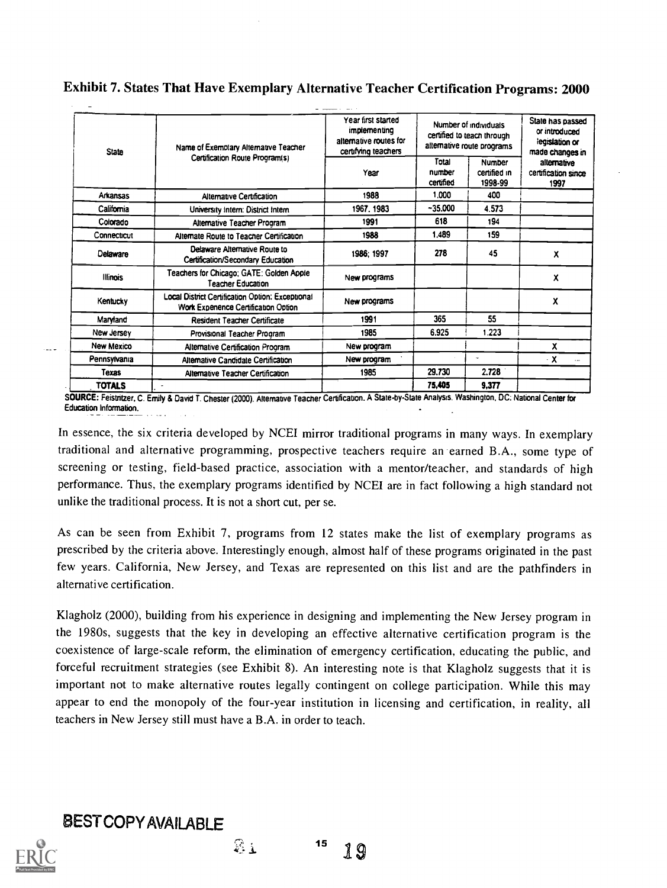| <b>State</b>      | Name of Exemplary Alternative Teacher                                                   | Year first started<br>implementing<br>alternative routes for<br>certifying teachers | Number of individuals<br>certified to teach through<br>alternative route programs | State has passed<br>or introduced<br>legislation or<br>made changes in |                                            |
|-------------------|-----------------------------------------------------------------------------------------|-------------------------------------------------------------------------------------|-----------------------------------------------------------------------------------|------------------------------------------------------------------------|--------------------------------------------|
|                   | Certification Route Program(s)                                                          | Year                                                                                | Total<br>number<br>certified                                                      | Number<br>certified in<br>1998-99                                      | alternative<br>certification since<br>1997 |
| Arkansas          | <b>Alternative Certification</b>                                                        | 1988                                                                                | 1.000                                                                             | 400                                                                    |                                            |
| California        | University Intern: District Intern                                                      | 1967.1983                                                                           | $-35.000$                                                                         | 4.573                                                                  |                                            |
| Colorado          | Alternative Teacher Program                                                             | 1991                                                                                | 618                                                                               | 194                                                                    |                                            |
| Connecticut       | Alternate Route to Teacher Certification                                                | 1988                                                                                | 1.489                                                                             | 159                                                                    |                                            |
| Delaware          | Delaware Alternative Route to<br>Certification/Secondary Education                      | 1986; 1997                                                                          | 278                                                                               | 45                                                                     | x                                          |
| <b>Illinois</b>   | Teachers for Chicago; GATE: Golden Apple<br><b>Teacher Education</b>                    | New programs                                                                        |                                                                                   |                                                                        | x                                          |
| Kentucky          | Local District Certification Option: Exceptional<br>Work Expenence Certification Option | New programs                                                                        |                                                                                   |                                                                        | x                                          |
| Maryland          | <b>Resident Teacher Certificate</b>                                                     | 1991                                                                                | 365                                                                               | 55                                                                     |                                            |
| New Jersey        | Provisional Teacher Program                                                             | 1985                                                                                | 6.925                                                                             | 1.223                                                                  |                                            |
| <b>New Mexico</b> | Alternative Certification Program                                                       | New program                                                                         |                                                                                   |                                                                        | x                                          |
| Pennsylvania      | Alternative Candidate Certification                                                     | New program                                                                         |                                                                                   | ų,                                                                     | $\cdot$ X<br>$\ddotsc$                     |
| Texas             | Alternative Teacher Certification                                                       | 1985                                                                                | 29.730                                                                            | 2.728                                                                  |                                            |
| <b>TOTALS</b>     | ٠                                                                                       |                                                                                     | 75,405                                                                            | 9.377                                                                  |                                            |

### Exhibit 7. States That Have Exemplary Alternative Teacher Certification Programs: 2000

SOURCE: Feistritzer, C. Emily & David T. Chester (2000). Alternative Teacher Certification. A State-by-State Analysis. Washington, DC: National Center for Education Information.

In essence, the six criteria developed by NCEI mirror traditional programs in many ways. In exemplary traditional and alternative programming, prospective teachers require an earned B.A., some type of screening or testing, field-based practice, association with a mentor/teacher, and standards of high performance. Thus, the exemplary programs identified by NCEI are in fact following a high standard not unlike the traditional process. It is not a short cut, per se.

As can be seen from Exhibit 7, programs from 12 states make the list of exemplary programs as prescribed by the criteria above. Interestingly enough, almost half of these programs originated in the past few years. California, New Jersey, and Texas are represented on this list and are the pathfinders in alternative certification.

Klagholz (2000), building from his experience in designing and implementing the New Jersey program in the 1980s, suggests that the key in developing an effective alternative certification program is the coexistence of large-scale reform, the elimination of emergency certification, educating the public, and forceful recruitment strategies (see Exhibit 8). An interesting note is that Klagholz suggests that it is important not to make alternative routes legally contingent on college participation. While this may appear to end the monopoly of the four-year institution in licensing and certification, in reality, all teachers in New Jersey still must have a B.A. in order to teach.



 $\sim$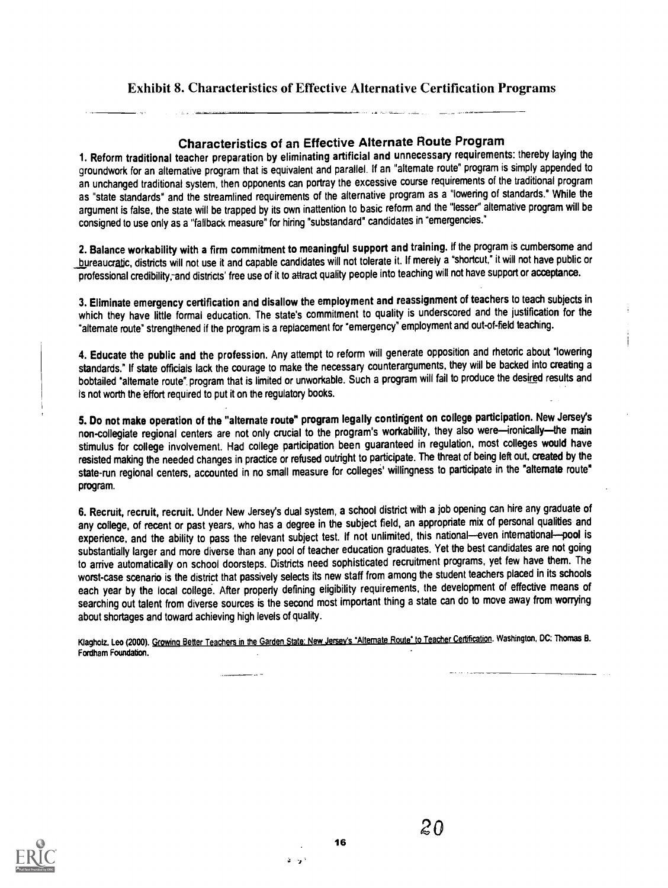### Exhibit 8. Characteristics of Effective Alternative Certification Programs

### Characteristics of an Effective Alternate Route Program

1. Reform traditional teacher preparation by eliminating artificial and unnecessary requirements: thereby laying the groundwork for an alternative program that is equivalent and parallel. If an "alternate route" program is simply appended to an unchanged traditional system, then opponents can portray the excessive course requirements of the traditional program as "state standards" and the streamlined requirements of the alternative program as a "lowering of standards." While the argument is false, the state will be trapped by its own inattention to basic reform and the "lessee' alternative program will be consigned to use only as a "fallback measure" for hiring "substandard" candidates in "emergencies."

2. Balance workability with a firm commitment to meaningful support and training. If the program is cumbersome and bureaucratic, districts will not use it and capable candidates will not tolerate it. If merely a "shortcut," it will not have public or professional credibility, and districts' free use of it to attract quality people into teaching will not have support or acceptance.

3. Eliminate emergency certification and disallow the employment and reassignment of teachers to teach subjects in which they have little formal education. The state's commitment to quality is underscored and the justification for the "alternate route" strengthened if the program is a replacement for "emergency" employment and out-of-field teaching.

4. Educate the public and the profession. Any attempt to reform will generate opposition and rhetoric about 'lowering standards." If state officials lack the courage to make the necessary counterarguments, they will be backed into creating a bobtailed "alternate route" program that is limited or unworkable. Such a program will fail to produce the desired results and is not worth the effort required to put it on the regulatory books.

5. Do not make operation of the "alternate route" program legally contingent on college participation. New Jersey's non-collegiate regional centers are not only crucial to the program's workability, they also were-ironically-the main stimulus for college involvement. Had college participation been guaranteed in regulation, most colleges would have resisted making the needed changes in practice or refused outright to participate. The threat of being left out, created by the state-run regional centers, accounted in no small measure for colleges' willingness to participate in the "alternate route" Program.

6. Recruit, recruit, recruit. Under New Jersey's dual system, a school district with a job opening canhire any graduate of any college, of recent or past years, who has a degree in the subject field, an appropriate mix of personal qualities and experience, and the ability to pass the relevant subject test. If not unlimited, this national-even international-pool is substantially larger and more diverse than any pool of teacher education graduates. Yet the best candidates are not going to arrive automatically on school doorsteps. Districts need sophisticated recruitment programs, yet few have them. The worst-case scenario is the district that passively selects its new staff from among the student teachers placed in its schools each year by the local college. After properly defining eligibility requirements, the development of effective means of searching out talent from diverse sources is the second most important thing a state can do to move away from worrying about shortages and toward achieving high levels of quality.

Klagholz, Leo (2000). Growing Better Teachers in the Garden State: New Jersey's "Alternate Route" to Teacher Certification. Washington, DC: Thomas B. Fordham Foundation.



أأرجاه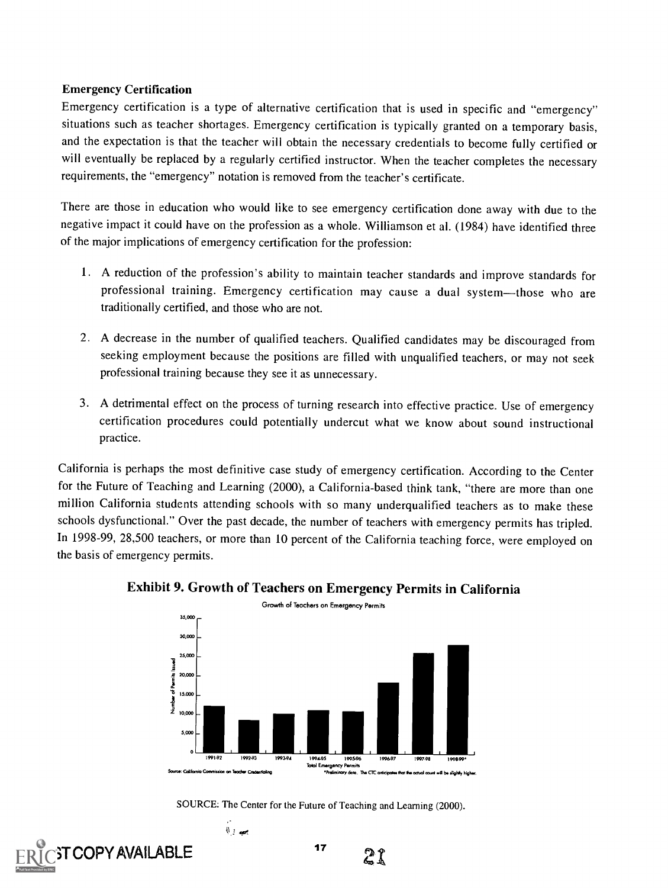#### Emergency Certification

Emergency certification is a type of alternative certification that is used in specific and "emergency" situations such as teacher shortages. Emergency certification is typically granted on a temporary basis, and the expectation is that the teacher will obtain the necessary credentials to become fully certified or will eventually be replaced by a regularly certified instructor. When the teacher completes the necessary requirements, the "emergency" notation is removed from the teacher's certificate.

There are those in education who would like to see emergency certification done away with due to the negative impact it could have on the profession as a whole. Williamson et al. (1984) have identified three of the major implications of emergency certification for the profession:

- 1. A reduction of the profession's ability to maintain teacher standards and improve standards for professional training. Emergency certification may cause a dual system-those who are traditionally certified, and those who are not.
- 2. A decrease in the number of qualified teachers. Qualified candidates may be discouraged from seeking employment because the positions are filled with unqualified teachers, or may not seek professional training because they see it as unnecessary.
- 3. A detrimental effect on the process of turning research into effective practice. Use of emergency certification procedures could potentially undercut what we know about sound instructional practice.

California is perhaps the most definitive case study of emergency certification. According to the Center for the Future of Teaching and Learning (2000), a California-based think tank, "there are more than one million California students attending schools with so many underqualified teachers as to make these schools dysfunctional." Over the past decade, the number of teachers with emergency permits has tripled. In 1998-99, 28,500 teachers, or more than 10 percent of the California teaching force, were employed on the basis of emergency permits.



### Exhibit 9. Growth of Teachers on Emergency Permits in California

SOURCE: The Center for the Future of Teaching and Learning (2000).

 $21$ 

.<br>اسم : ا

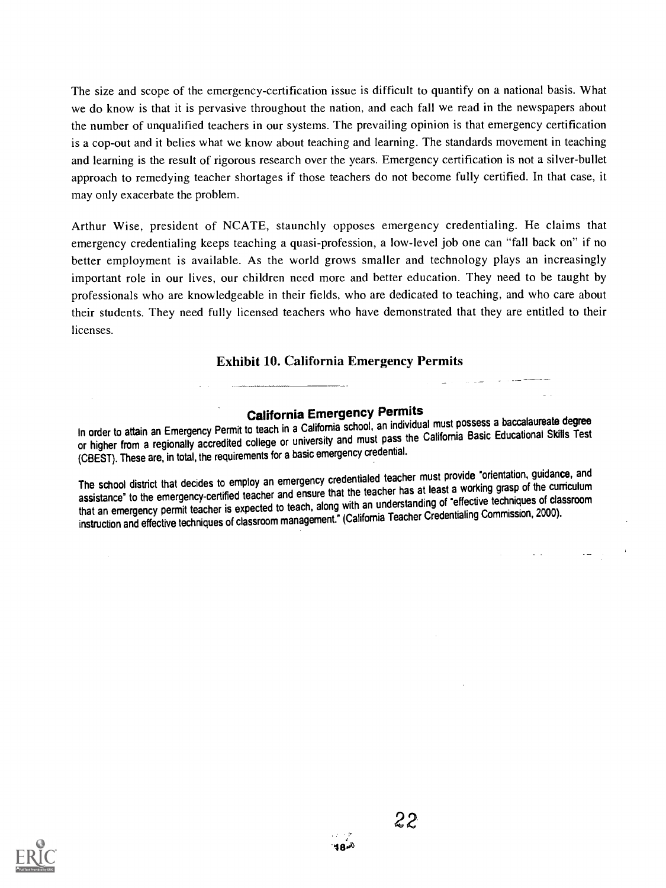The size and scope of the emergency-certification issue is difficult to quantify on a national basis. What we do know is that it is pervasive throughout the nation, and each fall we read in the newspapers about the number of unqualified teachers in our systems. The prevailing opinion is that emergency certification is a cop-out and it belies what we know about teaching and learning. The standards movement in teaching and learning is the result of rigorous research over the years. Emergency certification is not a silver-bullet approach to remedying teacher shortages if those teachers do not become fully certified. In that case, it may only exacerbate the problem.

Arthur Wise, president of NCATE, staunchly opposes emergency credentialing. He claims that emergency credentialing keeps teaching a quasi-profession, a low-level job one can "fall back on" if no better employment is available. As the world grows smaller and technology plays an increasingly important role in our lives, our children need more and better education. They need to be taught by professionals who are knowledgeable in their fields, who are dedicated to teaching, and who care about their students. They need fully licensed teachers who have demonstrated that they are entitled to their licenses.

#### Exhibit 10. California Emergency Permits

### California Emergency Permits

In order to attain an Emergency Permit to teach in a California school, an individual must possess a baccalaureate degree or higher from a regionally accredited college or university and must pass the California Basic Educational Skills Test (CBEST). These are, in total, the requirements for a basic emergency credential.

The school district that decides to employ an emergency credentialed teacher must provide 'orientation, guidance, and assistance" to the emergency-certified teacher and ensure that the teacher has at least a working grasp of the curriculum that an emergency permit teacher is expected to teach, along with an understanding of 'effective techniques of classroom instruction and effective techniques of classroom management." (California Teacher Credentialing Commission, 2000).

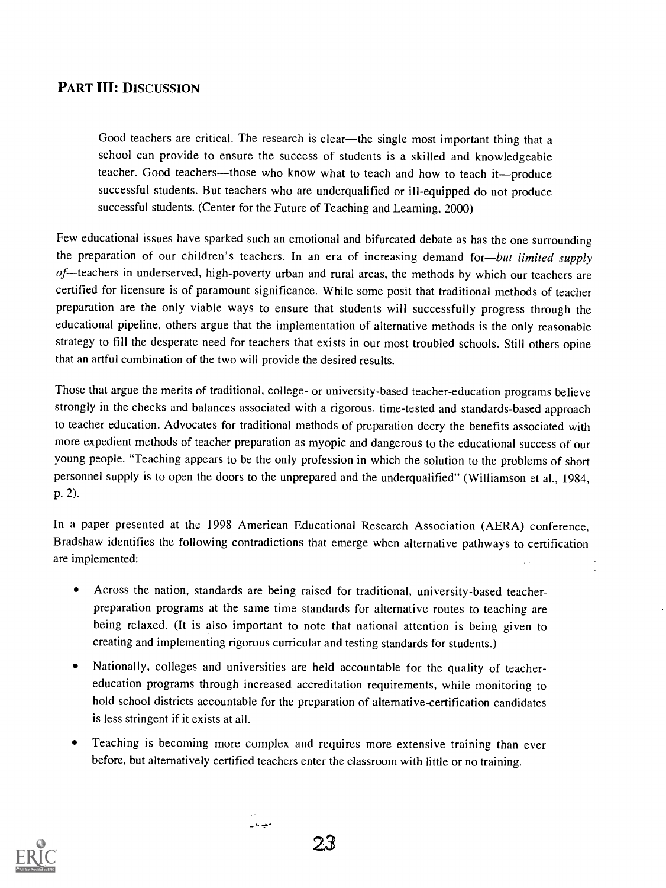### PART III: DISCUSSION

Good teachers are critical. The research is clear—the single most important thing that a school can provide to ensure the success of students is a skilled and knowledgeable teacher. Good teachers-those who know what to teach and how to teach it-produce successful students. But teachers who are underqualified or ill-equipped do not produce successful students. (Center for the Future of Teaching and Learning, 2000)

Few educational issues have sparked such an emotional and bifurcated debate as has the one surrounding the preparation of our children's teachers. In an era of increasing demand for—but limited supply  $of$ —teachers in underserved, high-poverty urban and rural areas, the methods by which our teachers are certified for licensure is of paramount significance. While some posit that traditional methods of teacher preparation are the only viable ways to ensure that students will successfully progress through the educational pipeline, others argue that the implementation of alternative methods is the only reasonable strategy to fill the desperate need for teachers that exists in our most troubled schools. Still others opine that an artful combination of the two will provide the desired results.

Those that argue the merits of traditional, college- or university-based teacher-education programs believe strongly in the checks and balances associated with a rigorous, time-tested and standards-based approach to teacher education. Advocates for traditional methods of preparation decry the benefits associated with more expedient methods of teacher preparation as myopic and dangerous to the educational success of our young people. "Teaching appears to be the only profession in which the solution to the problems of short personnel supply is to open the doors to the unprepared and the underqualified" (Williamson et al., 1984, p. 2).

In a paper presented at the 1998 American Educational Research Association (AERA) conference, Bradshaw identifies the following contradictions that emerge when alternative pathways to certification are implemented:

- $\bullet$ Across the nation, standards are being raised for traditional, university-based teacherpreparation programs at the same time standards for alternative routes to teaching are being relaxed. (It is also important to note that national attention is being given to creating and implementing rigorous curricular and testing standards for students.)
- Nationally, colleges and universities are held accountable for the quality of teachereducation programs through increased accreditation requirements, while monitoring to hold school districts accountable for the preparation of alternative-certification candidates is less stringent if it exists at all.
- Teaching is becoming more complex and requires more extensive training than ever before, but alternatively certified teachers enter the classroom with little or no training.

وأنقبت معاليل

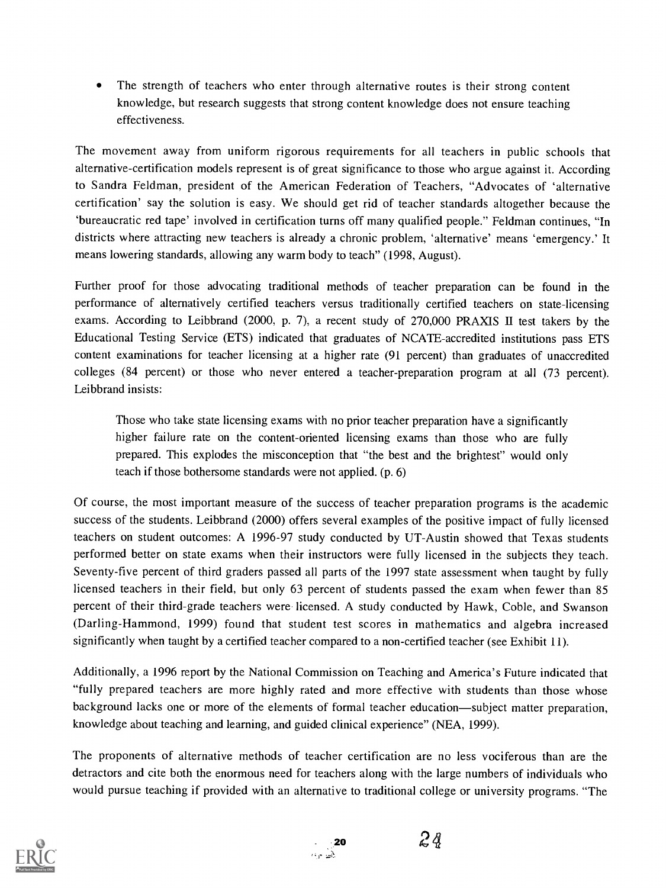$\bullet$ The strength of teachers who enter through alternative routes is their strong content knowledge, but research suggests that strong content knowledge does not ensure teaching effectiveness.

The movement away from uniform rigorous requirements for all teachers in public schools that alternative-certification models represent is of great significance to those who argue against it. According to Sandra Feldman, president of the American Federation of Teachers, "Advocates of 'alternative certification' say the solution is easy. We should get rid of teacher standards altogether because the `bureaucratic red tape' involved in certification turns off many qualified people." Feldman continues, "In districts where attracting new teachers is already a chronic problem, 'alternative' means 'emergency.' It means lowering standards, allowing any warm body to teach" (1998, August).

Further proof for those advocating traditional methods of teacher preparation can be found in the performance of alternatively certified teachers versus traditionally certified teachers on state-licensing exams. According to Leibbrand (2000, p. 7), a recent study of 270,000 PRAXIS II test takers by the Educational Testing Service (ETS) indicated that graduates of NCATE-accredited institutions pass ETS content examinations for teacher licensing at a higher rate (91 percent) than graduates of unaccredited colleges (84 percent) or those who never entered a teacher-preparation program at all (73 percent). Leibbrand insists:

Those who take state licensing exams with no prior teacher preparation have a significantly higher failure rate on the content-oriented licensing exams than those who are fully prepared. This explodes the misconception that "the best and the brightest" would only teach if those bothersome standards were not applied. (p. 6)

Of course, the most important measure of the success of teacher preparation programs is the academic success of the students. Leibbrand (2000) offers several examples of the positive impact of fully licensed teachers on student outcomes: A 1996-97 study conducted by UT-Austin showed that Texas students performed better on state exams when their instructors were fully licensed in the subjects they teach. Seventy-five percent of third graders passed all parts of the 1997 state assessment when taught by fully licensed teachers in their field, but only 63 percent of students passed the exam when fewer than 85 percent of their third-grade teachers were licensed. A study conducted by Hawk, Coble, and Swanson (Darling-Hammond, 1999) found that student test scores in mathematics and algebra increased significantly when taught by a certified teacher compared to a non-certified teacher (see Exhibit 11).

Additionally, a 1996 report by the National Commission on Teaching and America's Future indicated that "fully prepared teachers are more highly rated and more effective with students than those whose background lacks one or more of the elements of formal teacher education—subject matter preparation, knowledge about teaching and learning, and guided clinical experience" (NEA, 1999).

The proponents of alternative methods of teacher certification are no less vociferous than are the detractors and cite both the enormous need for teachers along with the large numbers of individuals who would pursue teaching if provided with an alternative to traditional college or university programs. "The



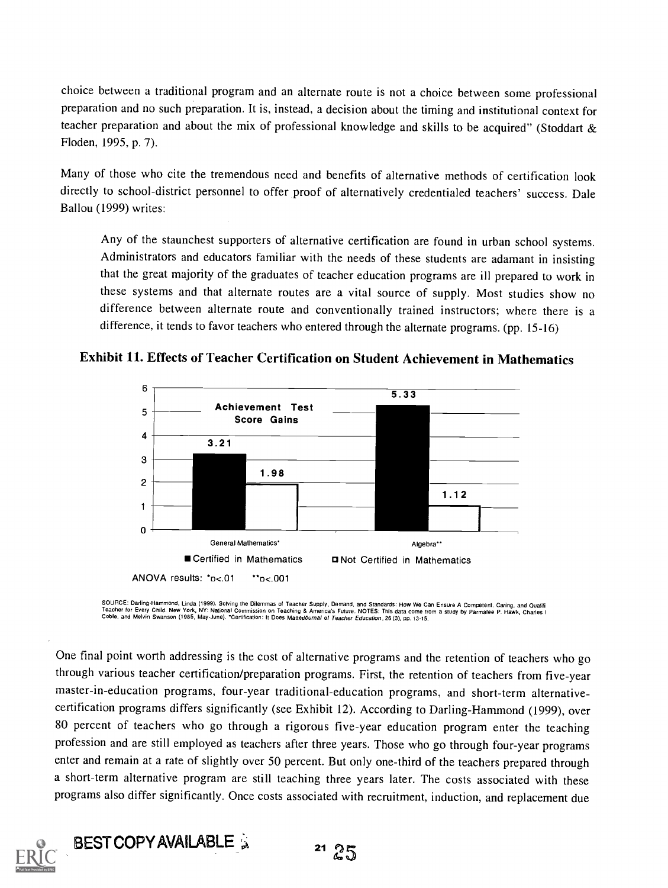choice between a traditional program and an alternate route is not a choice between some professional preparation and no such preparation. It is, instead, a decision about the timing and institutional context for teacher preparation and about the mix of professional knowledge and skills to be acquired" (Stoddart & Floden, 1995, p. 7).

Many of those who cite the tremendous need and benefits of alternative methods of certification look directly to school-district personnel to offer proof of alternatively credentialed teachers' success. Dale Ballou (1999) writes:

Any of the staunchest supporters of alternative certification are found in urban school systems. Administrators and educators familiar with the needs of these students are adamant in insisting that the great majority of the graduates of teacher education programs are ill prepared to work in these systems and that alternate routes are a vital source of supply. Most studies show no difference between alternate route and conventionally trained instructors; where there is a difference, it tends to favor teachers who entered through the alternate programs. (pp. 15-16)





SOUHCE: Darling-Hammond, Linda (1999). Solving the Dilemmas of Teacher Supply, Demand, and Standards: How We Can Ensure A Competent, Caring, and Qualifi<br>Teacher for Every Child. New York, NY: National Commission on Teachin

One final point worth addressing is the cost of alternative programs and the retention of teachers who go through various teacher certification/preparation programs. First, the retention of teachers from five-year master-in-education programs, four-year traditional-education programs, and short-term alternativecertification programs differs significantly (see Exhibit 12). According to Darling-Hammond (1999), over 80 percent of teachers who go through a rigorous five-year education program enter the teaching profession and are still employed as teachers after three years. Those who go through four-year programs enter and remain at a rate of slightly over 50 percent. But only one-third of the teachers prepared through a short-term alternative program are still teaching three years later. The costs associated with these programs also differ significantly. Once costs associated with recruitment, induction, and replacement due



**BEST COPY AVAILABLE** 

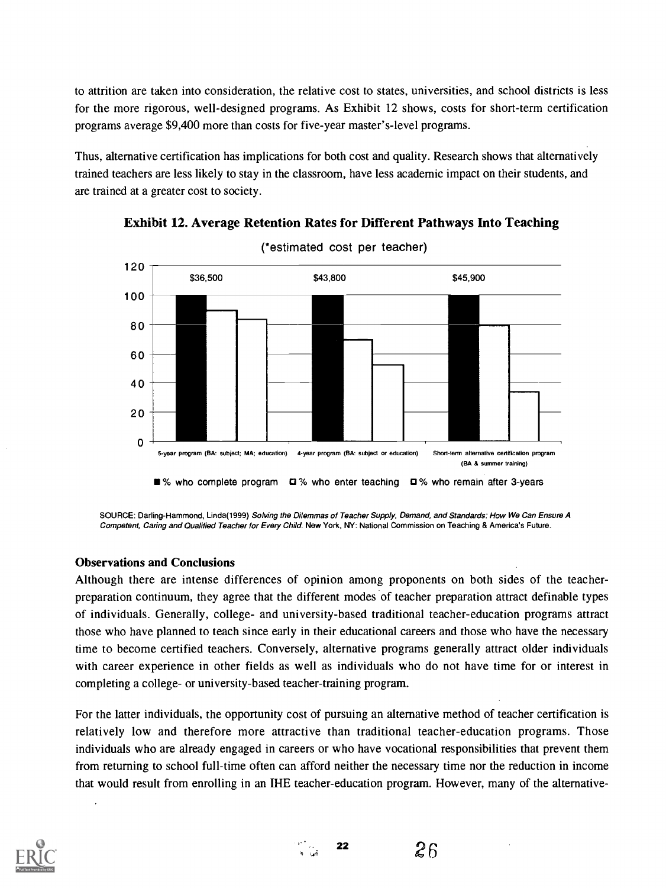to attrition are taken into consideration, the relative cost to states, universities, and school districts is less for the more rigorous, well-designed programs. As Exhibit 12 shows, costs for short-term certification programs average \$9,400 more than costs for five-year master's-level programs.

Thus, alternative certification has implications for both cost and quality. Research shows that alternatively trained teachers are less likely to stay in the classroom, have less academic impact on their students, and are trained at a greater cost to society.



Exhibit 12. Average Retention Rates for Different Pathways Into Teaching

SOURCE: Darling-Hammond, Linda(1999) Solving the Dilemmas of Teacher Supply, Demand, and Standards: How We Can Ensure A Competent, Caring and Qualified Teacher for Every Child. New York, NY: National Commission on Teaching & America's Future.

#### Observations and Conclusions

Although there are intense differences of opinion among proponents on both sides of the teacherpreparation continuum, they agree that the different modes of teacher preparation attract definable types of individuals. Generally, college- and university-based traditional teacher-education programs attract those who have planned to teach since early in their educational careers and those who have the necessary time to become certified teachers. Conversely, alternative programs generally attract older individuals with career experience in other fields as well as individuals who do not have time for or interest in completing a college- or university-based teacher-training program.

For the latter individuals, the opportunity cost of pursuing an alternative method of teacher certification is relatively low and therefore more attractive than traditional teacher-education programs. Those individuals who are already engaged in careers or who have vocational responsibilities that prevent them from returning to school full-time often can afford neither the necessary time nor the reduction in income that would result from enrolling in an IHE teacher-education program. However, many of the alternative-



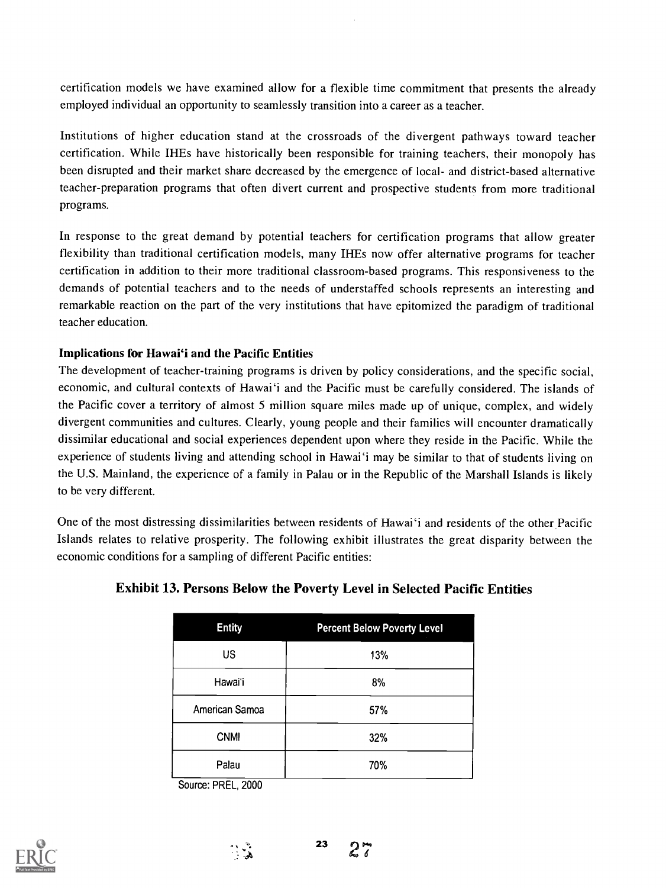certification models we have examined allow for a flexible time commitment that presents the already employed individual an opportunity to seamlessly transition into a career as a teacher.

Institutions of higher education stand at the crossroads of the divergent pathways toward teacher certification. While IHEs have historically been responsible for training teachers, their monopoly has been disrupted and their market share decreased by the emergence of local- and district-based alternative teacher-preparation programs that often divert current and prospective students from more traditional programs.

In response to the great demand by potential teachers for certification programs that allow greater flexibility than traditional certification models, many IHEs now offer alternative programs for teacher certification in addition to their more traditional classroom-based programs. This responsiveness to the demands of potential teachers and to the needs of understaffed schools represents an interesting and remarkable reaction on the part of the very institutions that have epitomized the paradigm of traditional teacher education.

### Implications for Hawai'i and the Pacific Entities

The development of teacher-training programs is driven by policy considerations, and the specific social, economic, and cultural contexts of Hawai'i and the Pacific must be carefully considered. The islands of the Pacific cover a territory of almost 5 million square miles made up of unique, complex, and widely divergent communities and cultures. Clearly, young people and their families will encounter dramatically dissimilar educational and social experiences dependent upon where they reside in the Pacific. While the experience of students living and attending school in Hawai'i may be similar to that of students living on the U.S. Mainland, the experience of a family in Palau or in the Republic of the Marshall Islands is likely to be very different.

One of the most distressing dissimilarities between residents of Hawai'i and residents of the other Pacific Islands relates to relative prosperity. The following exhibit illustrates the great disparity between the economic conditions for a sampling of different Pacific entities:

| <b>Entity</b>  | <b>Percent Below Poverty Level</b> |
|----------------|------------------------------------|
| US             | 13%                                |
| Hawai'i        | 8%                                 |
| American Samoa | 57%                                |
| <b>CNMI</b>    | 32%                                |
| Palau          | 70%                                |

### Exhibit 13. Persons Below the Poverty Level in Selected Pacific Entities

Source: PREL, 2000

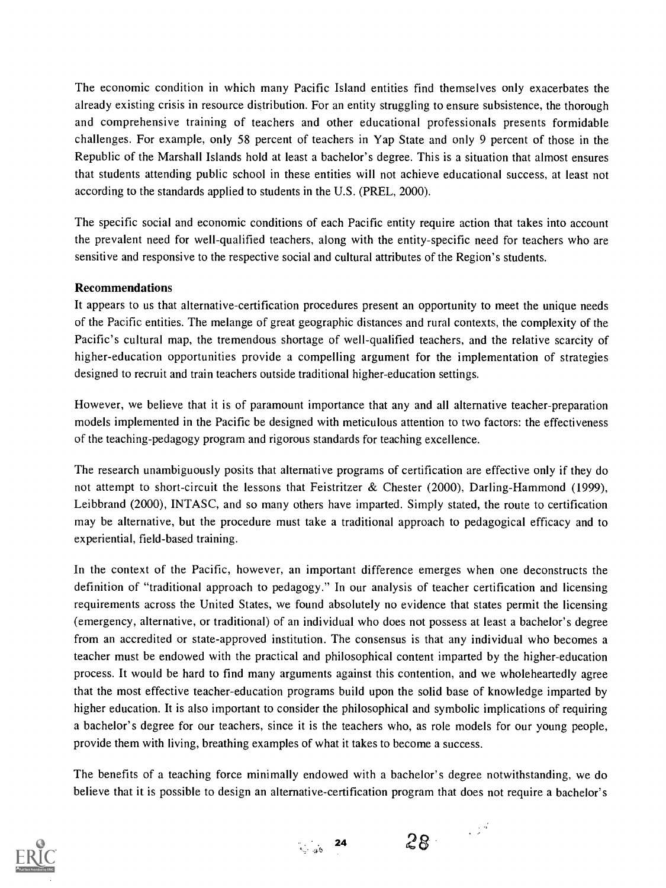The economic condition in which many Pacific Island entities find themselves only exacerbates the already existing crisis in resource distribution. For an entity struggling to ensure subsistence, the thorough and comprehensive training of teachers and other educational professionals presents formidable challenges. For example, only 58 percent of teachers in Yap State and only 9 percent of those in the Republic of the Marshall Islands hold at least a bachelor's degree. This is a situation that almost ensures that students attending public school in these entities will not achieve educational success, at least not according to the standards applied to students in the U.S. (PREL, 2000).

The specific social and economic conditions of each Pacific entity require action that takes into account the prevalent need for well-qualified teachers, along with the entity-specific need for teachers who are sensitive and responsive to the respective social and cultural attributes of the Region's students.

#### Recommendations

It appears to us that alternative-certification procedures present an opportunity to meet the unique needs of the Pacific entities. The melange of great geographic distances and rural contexts, the complexity of the Pacific's cultural map, the tremendous shortage of well-qualified teachers, and the relative scarcity of higher-education opportunities provide a compelling argument for the implementation of strategies designed to recruit and train teachers outside traditional higher-education settings.

However, we believe that it is of paramount importance that any and all alternative teacher-preparation models implemented in the Pacific be designed with meticulous attention to two factors: the effectiveness of the teaching-pedagogy program and rigorous standards for teaching excellence.

The research unambiguously posits that alternative programs of certification are effective only if they do not attempt to short-circuit the lessons that Feistritzer & Chester (2000), Darling-Hammond (1999), Leibbrand (2000), INTASC, and so many others have imparted. Simply stated, the route to certification may be alternative, but the procedure must take a traditional approach to pedagogical efficacy and to experiential, field-based training.

In the context of the Pacific, however, an important difference emerges when one deconstructs the definition of "traditional approach to pedagogy." In our analysis of teacher certification and licensing requirements across the United States, we found absolutely no evidence that states permit the licensing (emergency, alternative, or traditional) of an individual who does not possess at least a bachelor's degree from an accredited or state-approved institution. The consensus is that any individual who becomes a teacher must be endowed with the practical and philosophical content imparted by the higher-education process. It would be hard to find many arguments against this contention, and we wholeheartedly agree that the most effective teacher-education programs build upon the solid base of knowledge imparted by higher education. It is also important to consider the philosophical and symbolic implications of requiring a bachelor's degree for our teachers, since it is the teachers who, as role models for our young people, provide them with living, breathing examples of what it takes to become a success.

The benefits of a teaching force minimally endowed with a bachelor's degree notwithstanding, we do believe that it is possible to design an alternative-certification program that does not require a bachelor's

 $\sim$  24 28  $^{11}$ 

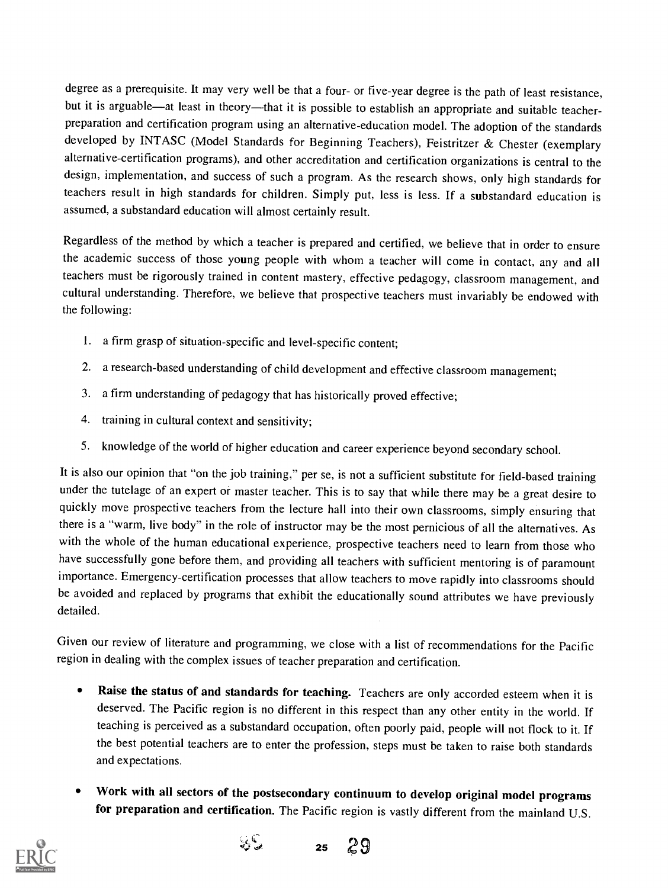degree as a prerequisite. It may very well be that a four- or five-year degree is the path of least resistance, but it is arguable—at least in theory—that it is possible to establish an appropriate and suitable teacherpreparation and certification program using an alternative-education model. The adoption of the standards developed by INTASC (Model Standards for Beginning Teachers), Feistritzer & Chester (exemplary alternative-certification programs), and other accreditation and certification organizations is central to the design, implementation, and success of such a program. As the research shows, only high standards for teachers result in high standards for children. Simply put, less is less. If a substandard education is assumed, a substandard education will almost certainly result.

Regardless of the method by which a teacher is prepared and certified, we believe that in order to ensure the academic success of those young people with whom a teacher will come in contact, any and all teachers must be rigorously trained in content mastery, effective pedagogy, classroom management, and cultural understanding. Therefore, we believe that prospective teachers must invariably be endowed with the following:

- 1. a firm grasp of situation-specific and level-specific content;
- 2. a research-based understanding of child development and effective classroom management;
- 3. a firm understanding of pedagogy that has historically proved effective;
- 4. training in cultural context and sensitivity;
- 5. knowledge of the world of higher education and career experience beyond secondary school.

It is also our opinion that "on the job training," per se, is not a sufficient substitute for field-based training under the tutelage of an expert or master teacher. This is to say that while there may be a great desire to quickly move prospective teachers from the lecture hall into their own classrooms, simply ensuring that there is a "warm, live body" in the role of instructor may be the most pernicious of all the alternatives. As with the whole of the human educational experience, prospective teachers need to learn from those who have successfully gone before them, and providing all teachers with sufficient mentoring is of paramount importance. Emergency-certification processes that allow teachers to move rapidly into classrooms should be avoided and replaced by programs that exhibit the educationally sound attributes we have previously detailed.

Given our review of literature and programming, we close with a list of recommendations for the Pacific region in dealing with the complex issues of teacher preparation and certification.

- Raise the status of and standards for teaching. Teachers are only accorded esteem when it is deserved. The Pacific region is no different in this respect than any other entity in the world. If teaching is perceived as a substandard occupation, often poorly paid, people will not flock to it. If the best potential teachers are to enter the profession, steps must be taken to raise both standards and expectations.
- Work with all sectors of the postsecondary continuum to develop original model programs  $\bullet$ for preparation and certification. The Pacific region is vastly different from the mainland U.S.



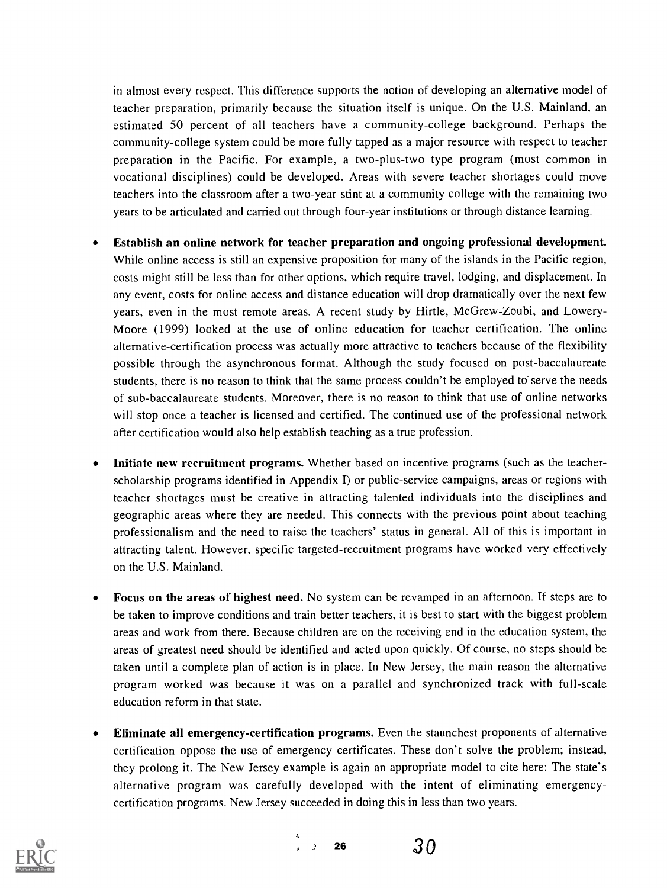in almost every respect. This difference supports the notion of developing an alternative model of teacher preparation, primarily because the situation itself is unique. On the U.S. Mainland, an estimated 50 percent of all teachers have a community-college background. Perhaps the community-college system could be more fully tapped as a major resource with respect to teacher preparation in the Pacific. For example, a two-plus-two type program (most common in vocational disciplines) could be developed. Areas with severe teacher shortages could move teachers into the classroom after a two-year stint at a community college with the remaining two years to be articulated and carried out through four-year institutions or through distance learning.

- Establish an online network for teacher preparation and ongoing professional development.  $\bullet$ While online access is still an expensive proposition for many of the islands in the Pacific region, costs might still be less than for other options, which require travel, lodging, and displacement. In any event, costs for online access and distance education will drop dramatically over the next few years, even in the most remote areas. A recent study by Hirtle, McGrew-Zoubi, and Lowery-Moore (1999) looked at the use of online education for teacher certification. The online alternative-certification process was actually more attractive to teachers because of the flexibility possible through the asynchronous format. Although the study focused on post-baccalaureate students, there is no reason to think that the same process couldn't be employed to serve the needs of sub-baccalaureate students. Moreover, there is no reason to think that use of online networks will stop once a teacher is licensed and certified. The continued use of the professional network after certification would also help establish teaching as a true profession.
- Initiate new recruitment programs. Whether based on incentive programs (such as the teacher- $\bullet$ scholarship programs identified in Appendix I) or public-service campaigns, areas or regions with teacher shortages must be creative in attracting talented individuals into the disciplines and geographic areas where they are needed. This connects with the previous point about teaching professionalism and the need to raise the teachers' status in general. All of this is important in attracting talent. However, specific targeted-recruitment programs have worked very effectively on the U.S. Mainland.
- Focus on the areas of highest need. No system can be revamped in an afternoon. If steps are to  $\bullet$ be taken to improve conditions and train better teachers, it is best to start with the biggest problem areas and work from there. Because children are on the receiving end in the education system, the areas of greatest need should be identified and acted upon quickly. Of course, no steps should be taken until a complete plan of action is in place. In New Jersey, the main reason the alternative program worked was because it was on a parallel and synchronized track with full-scale education reform in that state.
- Eliminate all emergency-certification programs. Even the staunchest proponents of alternative  $\bullet$ certification oppose the use of emergency certificates. These don't solve the problem; instead, they prolong it. The New Jersey example is again an appropriate model to cite here: The state's alternative program was carefully developed with the intent of eliminating emergencycertification programs. New Jersey succeeded in doing this in less than two years.



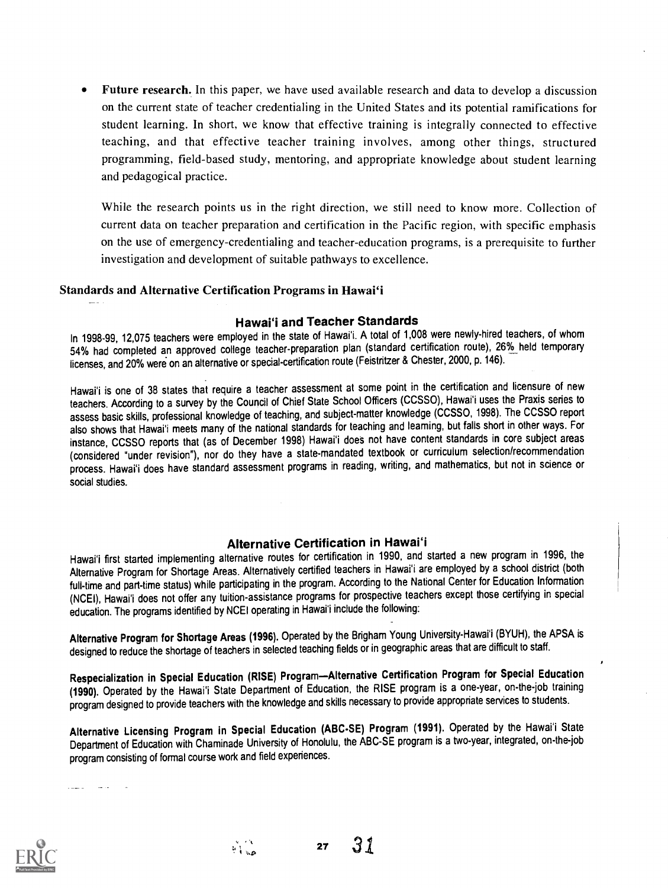$\bullet$ Future research. In this paper, we have used available research and data to develop a discussion on the current state of teacher credentialing in the United States and its potential ramifications for student learning. In short, we know that effective training is integrally connected to effective teaching, and that effective teacher training involves, among other things, structured programming, field-based study, mentoring, and appropriate knowledge about student learning and pedagogical practice.

While the research points us in the right direction, we still need to know more. Collection of current data on teacher preparation and certification in the Pacific region, with specific emphasis on the use of emergency-credentialing and teacher-education programs, is a prerequisite to further investigation and development of suitable pathways to excellence.

#### Standards and Alternative Certification Programs in Hawai'i

#### Hawai'i and Teacher Standards

In 1998-99, 12,075 teachers were employed in the state of Hawai'i. A total of 1,008 were newly-hired teachers, of whom 54% had completed an approved college teacher-preparation plan (standard certification route), 26% held temporary licenses, and 20% were on an alternative or special-certification route(Feistritzer & Chester, 2000, p. 146).

Hawai'i is one of 38 states that require a teacher assessment at some point in the certification and licensure of new teachers. According to a survey by the Council of Chief State School Officers (CCSSO), Hawai'i uses the Praxis series to assess basic skills, professional knowledge of teaching, and subject-matter knowledge (CCSSO, 1998). The CCSSO report also shows that Hawai'i meets many of the national standards for teaching and learning, but falls short in other ways. For instance, CCSSO reports that (as of December 1998) Hawai'i does not have content standards in core subject areas (considered "under revision"), nor do they have a state-mandated textbook or curriculum selection/recommendation process. Hawai'i does have standard assessment programs in reading, writing, and mathematics, but not in science or social studies.

#### Alternative Certification in Hawai'i

Hawai'i first started implementing alternative routes for certification in 1990, and started a new program in 1996, the Alternative Program for Shortage Areas. Alternatively certified teachers in Hawai'i are employed by a school district (both full-time and part-time status) while participating in the program. According to the National Center for Education Information (NCEI), Hawai'i does not offer any tuition-assistance programs for prospective teachers except those certifying in special education. The programs identified by NCEI operating in Hawai'i include the following:

Alternative Program for Shortage Areas (1996). Operated by the Brigham Young University-Hawai'i (BYUH), the APSA is designed to reduce the shortage of teachers in selected teaching fields or in geographic areas that are difficult to staff.

Respecialization in Special Education (RISE) Program-Alternative Certification Program for Special Education (1990). Operated by the Hawaii State Department of Education, the RISE program is a one-year, on-the-job training program designed to provide teachers with the knowledge and skills necessary to provide appropriate services to students.

Alternative Licensing Program in Special Education (ABC-SE) Program (1991). Operated by the Hawai'i State Department of Education with Chaminade University of Honolulu, the ABC-SE program is a two-year, integrated, on-the-job program consisting of formal course work and field experiences.

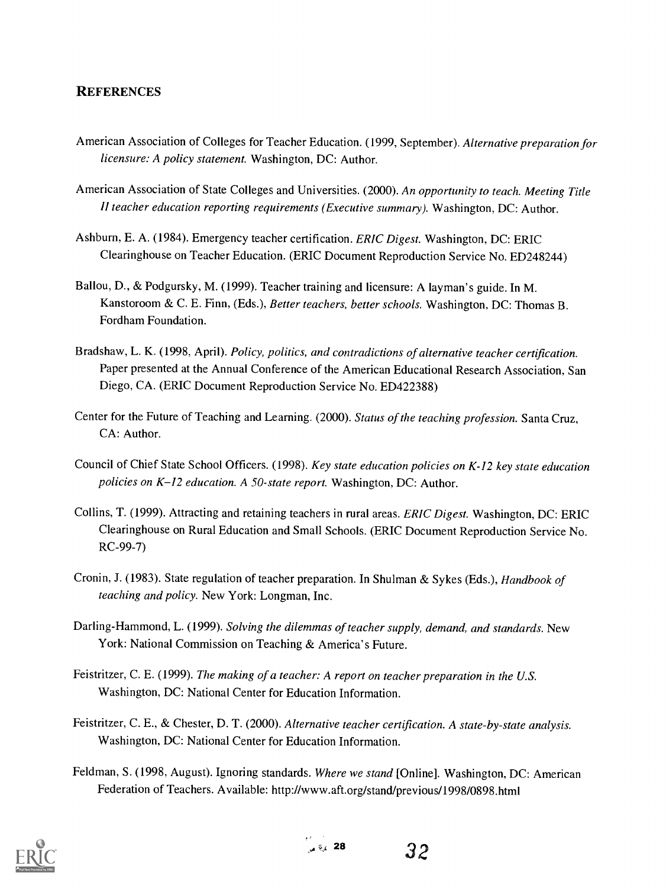### **REFERENCES**

- American Association of Colleges for Teacher Education. (1999, September). Alternative preparation for licensure: A policy statement. Washington, DC: Author.
- American Association of State Colleges and Universities. (2000). An opportunity to teach. Meeting Title II teacher education reporting requirements (Executive summary). Washington, DC: Author.
- Ashburn, E. A. (1984). Emergency teacher certification. ERIC Digest. Washington, DC: ERIC Clearinghouse on Teacher Education. (ERIC Document Reproduction Service No. ED248244)
- Ballou, D., & Podgursky, M. (1999). Teacher training and licensure: A layman's guide. In M. Kanstoroom & C. E. Finn, (Eds.), *Better teachers, better schools*. Washington, DC: Thomas B. Fordham Foundation.
- Bradshaw, L. K. (1998, April). Policy, politics, and contradictions of alternative teacher certification. Paper presented at the Annual Conference of the American Educational Research Association, San Diego, CA. (ERIC Document Reproduction Service No. ED422388)
- Center for the Future of Teaching and Learning. (2000). Status of the teaching profession. Santa Cruz, CA: Author.
- Council of Chief State School Officers. (1998). Key state education policies on K-12 key state education policies on K-12 education. A 50-state report. Washington, DC: Author.
- Collins, T. (1999). Attracting and retaining teachers in rural areas. ERIC Digest. Washington, DC: ERIC Clearinghouse on Rural Education and Small Schools. (ERIC Document Reproduction Service No. RC-99-7)
- Cronin, J. (1983). State regulation of teacher preparation. In Shulman & Sykes (Eds.), Handbook of teaching and policy. New York: Longman, Inc.
- Darling-Hammond, L. (1999). Solving the dilemmas of teacher supply, demand, and standards. New York: National Commission on Teaching & America's Future.
- Feistritzer, C. E. (1999). The making of a teacher: A report on teacher preparation in the U.S. Washington, DC: National Center for Education Information.
- Feistritzer, C. E., & Chester, D. T. (2000). Alternative teacher certification. A state-by-state analysis. Washington, DC: National Center for Education Information.
- Feldman, S. (1998, August). Ignoring standards. Where we stand [Online]. Washington, DC: American Federation of Teachers. Available: http://www.aft.org/stand/previous/1998/0898.html



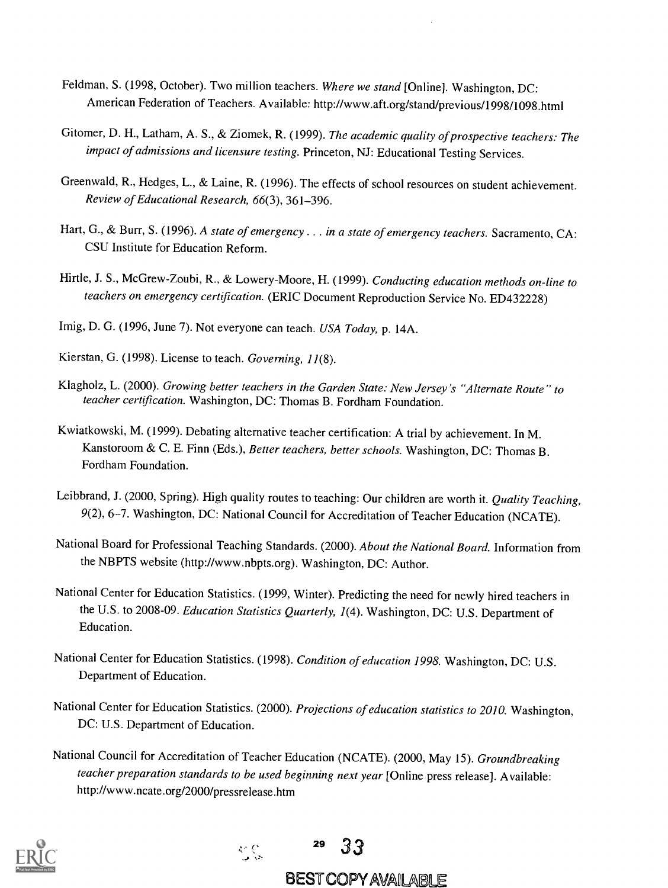- Feldman, S. (1998, October). Two million teachers. Where we stand [Online]. Washington, DC: American Federation of Teachers. Available: http://www.aft.org/stand/previous/1998/1098.html
- Gitomer, D. H., Latham, A. S., & Ziomek, R. (1999). The academic quality of prospective teachers: The impact of admissions and licensure testing. Princeton, NJ: Educational Testing Services.
- Greenwald, R., Hedges, L., & Laine, R. (1996). The effects of school resources on student achievement. Review of Educational Research, 66(3), 361-396.
- Hart, G., & Burr, S. (1996). A state of emergency . . . in a state of emergency teachers. Sacramento, CA: CSU Institute for Education Reform.
- Hirtle, J. S., McGrew-Zoubi, R., & Lowery-Moore, H. (1999). Conducting education methods on-line to teachers on emergency certification. (ERIC Document Reproduction Service No. ED432228)
- Imig, D. G. (1996, June 7). Not everyone can teach. USA Today, p. 14A.
- Kierstan, G. (1998). License to teach. Governing, 11(8).
- Klagholz, L. (2000). Growing better teachers in the Garden State: New Jersey's "Alternate Route" to teacher certification. Washington, DC: Thomas B. Fordham Foundation.
- Kwiatkowski, M. (1999). Debating alternative teacher certification: A trial by achievement. In M. Kanstoroom & C. E. Finn (Eds.), Better teachers, better schools. Washington, DC: Thomas B. Fordham Foundation.
- Leibbrand, J. (2000, Spring). High quality routes to teaching: Our children are worth it. Quality Teaching, 9(2), 6-7. Washington, DC: National Council for Accreditation of Teacher Education (NCATE).
- National Board for Professional Teaching Standards. (2000). About the National Board. Information from the NBPTS website (http://www.nbpts.org). Washington, DC: Author.
- National Center for Education Statistics. (1999, Winter). Predicting the need for newly hired teachers in the U.S. to 2008-09. Education Statistics Quarterly, 1(4). Washington, DC: U.S. Department of Education.
- National Center for Education Statistics. (1998). Condition of education 1998. Washington, DC: U.S. Department of Education.
- National Center for Education Statistics. (2000). Projections of education statistics to 2010. Washington, DC: U.S. Department of Education.
- National Council for Accreditation of Teacher Education (NCATE). (2000, May 15). Groundbreaking teacher preparation standards to be used beginning next year [Online press release]. Available: http://www.ncate.org/2000/pressrelease.htm





### **BEST COPY AVAILABLE**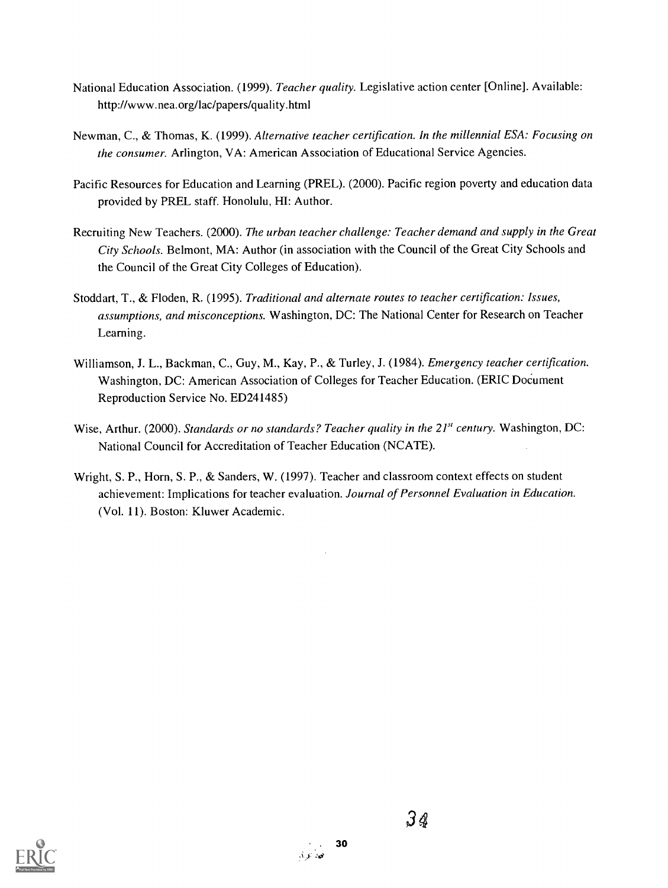- National Education Association. (1999). Teacher quality. Legislative action center [Online]. Available: http://www.nea.org/lac/papers/quality.html
- Newman, C., & Thomas, K. (1999). Alternative teacher certification. In the millennial ESA: Focusing on the consumer. Arlington, VA: American Association of Educational Service Agencies.
- Pacific Resources for Education and Learning (PREL). (2000). Pacific region poverty and education data provided by PREL staff. Honolulu, HI: Author.
- Recruiting New Teachers. (2000). The urban teacher challenge: Teacher demand and supply in the Great City Schools. Belmont, MA: Author (in association with the Council of the Great City Schools and the Council of the Great City Colleges of Education).
- Stoddart, T., & Floden, R. (1995). Traditional and alternate routes to teacher certification: Issues, assumptions, and misconceptions. Washington, DC: The National Center for Research on Teacher Learning.
- Williamson, J. L., Backman, C., Guy, M., Kay, P., & Turley, J. (1984). Emergency teacher certification. Washington, DC: American Association of Colleges for Teacher Education. (ERIC Document Reproduction Service No. ED241485)
- Wise, Arthur. (2000). Standards or no standards? Teacher quality in the 21<sup>st</sup> century. Washington, DC: National Council for Accreditation of Teacher Education (NCATE).
- Wright, S. P., Horn, S. P., & Sanders, W. (1997). Teacher and classroom context effects on student achievement: Implications for teacher evaluation. Journal of Personnel Evaluation in Education. (Vol. 11). Boston: Kluwer Academic.

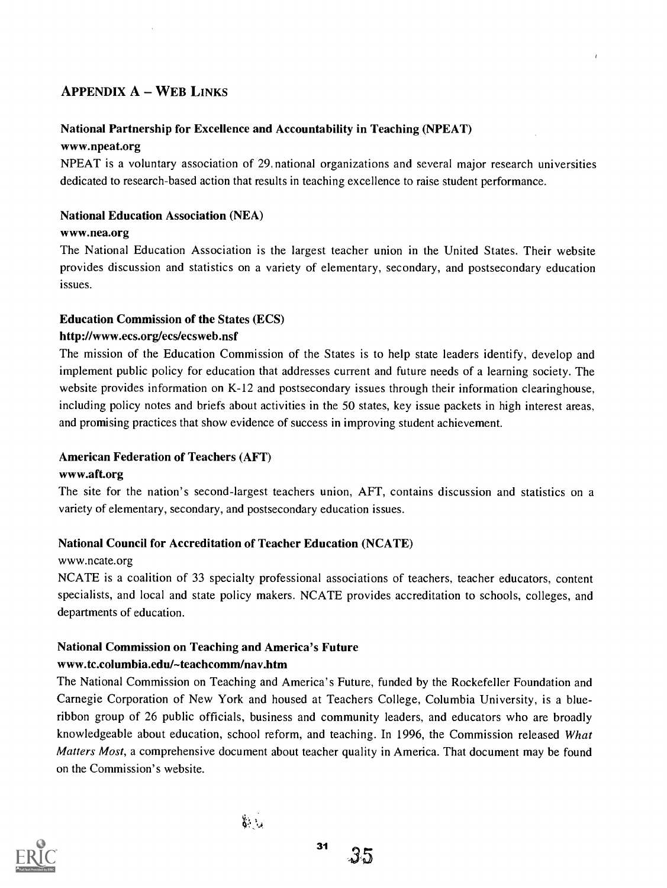### $APPENDIX A - WEB LINKS$

#### National Partnership for Excellence and Accountability in Teaching (NPEAT)

#### www.npeat.org

NPEAT is a voluntary association of 29, national organizations and several major research universities dedicated to research-based action that results in teaching excellence to raise student performance.

#### National Education Association (NEA)

#### www.nea.org

The National Education Association is the largest teacher union in the United States. Their website provides discussion and statistics on a variety of elementary, secondary, and postsecondary education issues.

#### Education Commission of the States (ECS)

#### http://www.ecs.org/ecs/ecsweb.nsf

The mission of the Education Commission of the States is to help state leaders identify, develop and implement public policy for education that addresses current and future needs of a learning society. The website provides information on K-12 and postsecondary issues through their information clearinghouse, including policy notes and briefs about activities in the 50 states, key issue packets in high interest areas, and promising practices that show evidence of success in improving student achievement.

#### American Federation of Teachers (AFT)

#### www.aft.org

The site for the nation's second-largest teachers union, AFT, contains discussion and statistics on a variety of elementary, secondary, and postsecondary education issues.

#### National Council for Accreditation of Teacher Education (NCATE)

#### www.ncate.org

NCATE is a coalition of 33 specialty professional associations of teachers, teacher educators, content specialists, and local and state policy makers. NCATE provides accreditation to schools, colleges, and departments of education.

### National Commission on Teaching and America's Future

#### www.tc.columbia.edu/~teachcomm/nay.htm

The National Commission on Teaching and America's Future, funded by the Rockefeller Foundation and Carnegie Corporation of New York and housed at Teachers College, Columbia University, is a blueribbon group of 26 public officials, business and community leaders, and educators who are broadly knowledgeable about education, school reform, and teaching. In 1996, the Commission released What Matters Most, a comprehensive document about teacher quality in America. That document may be found on the Commission's website.

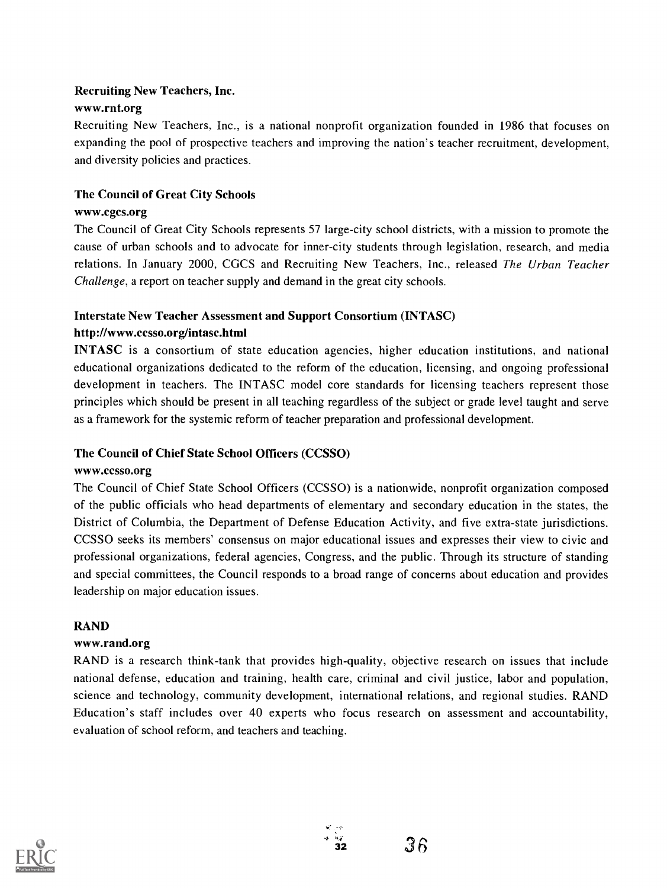#### Recruiting New Teachers, Inc.

### www.rnt.org

Recruiting New Teachers, Inc., is a national nonprofit organization founded in 1986 that focuses on expanding the pool of prospective teachers and improving the nation's teacher recruitment, development, and diversity policies and practices.

### The Council of Great City Schools

### www.cgcs.org

The Council of Great City Schools represents 57 large-city school districts, with a mission to promote the cause of urban schools and to advocate for inner-city students through legislation, research, and media relations. In January 2000, CGCS and Recruiting New Teachers, Inc., released The Urban Teacher Challenge, a report on teacher supply and demand in the great city schools.

# Interstate New Teacher Assessment and Support Consortium (INTASC)

### http://www.ccsso.org/intasc.html

INTASC is a consortium of state education agencies, higher education institutions, and national educational organizations dedicated to the reform of the education, licensing, and ongoing professional development in teachers. The INTASC model core standards for licensing teachers represent those principles which should be present in all teaching regardless of the subject or grade level taught and serve as a framework for the systemic reform of teacher preparation and professional development.

### The Council of Chief State School Officers (CCSSO)

#### www.ccsso.org

The Council of Chief State School Officers (CCSSO) is a nationwide, nonprofit organization composed of the public officials who head departments of elementary and secondary education in the states, the District of Columbia, the Department of Defense Education Activity, and five extra-state jurisdictions. CCSSO seeks its members' consensus on major educational issues and expresses their view to civic and professional organizations, federal agencies, Congress, and the public. Through its structure of standing and special committees, the Council responds to a broad range of concerns about education and provides leadership on major education issues.

### RAND

#### www.rand.org

RAND is a research think-tank that provides high-quality, objective research on issues that include national defense, education and training, health care, criminal and civil justice, labor and population, science and technology, community development, international relations, and regional studies. RAND Education's staff includes over 40 experts who focus research on assessment and accountability, evaluation of school reform, and teachers and teaching.



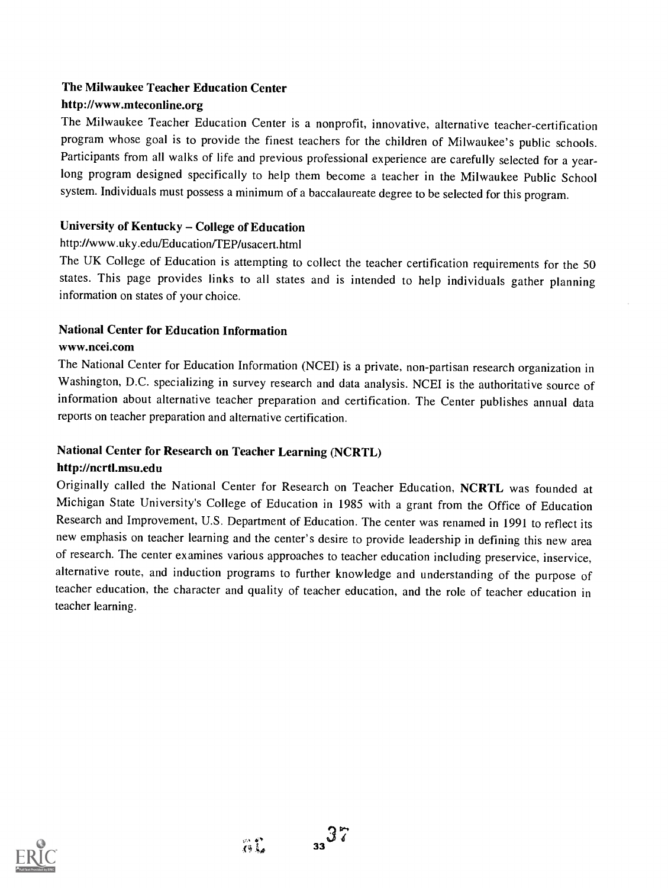### The Milwaukee Teacher Education Center

### http://www.mteconline.org

The Milwaukee Teacher Education Center is a nonprofit, innovative, alternative teacher-certification program whose goal is to provide the finest teachers for the children of Milwaukee's public schools. Participants from all walks of life and previous professional experience are carefully selected for a yearlong program designed specifically to help them become a teacher in the Milwaukee Public School system. Individuals must possess a minimum of a baccalaureate degree to be selected for this program.

### University of Kentucky - College of Education

### http://www.uky.edu/Education/TEP/usacert.html

The UK College of Education is attempting to collect the teacher certification requirements for the 50 states. This page provides links to all states and is intended to help individuals gather planning information on states of your choice.

### National Center for Education Information

#### www.ncei.com

The National Center for Education Information (NCEI) is a private, non-partisan research organization in Washington, D.C. specializing in survey research and data analysis. NCEI is the authoritative source of information about alternative teacher preparation and certification. The Center publishes annual data reports on teacher preparation and alternative certification.

# National Center for Research on Teacher Learning (NCRTL)

#### http://ncrtl.msu.edu

Originally called the National Center for Research on Teacher Education, NCRTL was founded at Michigan State University's College of Education in 1985 with a grant from the Office of Education Research and Improvement, U.S. Department of Education. The center was renamed in 1991 to reflect its new emphasis on teacher learning and the center's desire to provide leadership in defining this new area of research. The center examines various approaches to teacher education including preservice, inservice, alternative route, and induction programs to further knowledge and understanding of the purpose of teacher education, the character and quality of teacher education, and the role of teacher education in teacher learning.

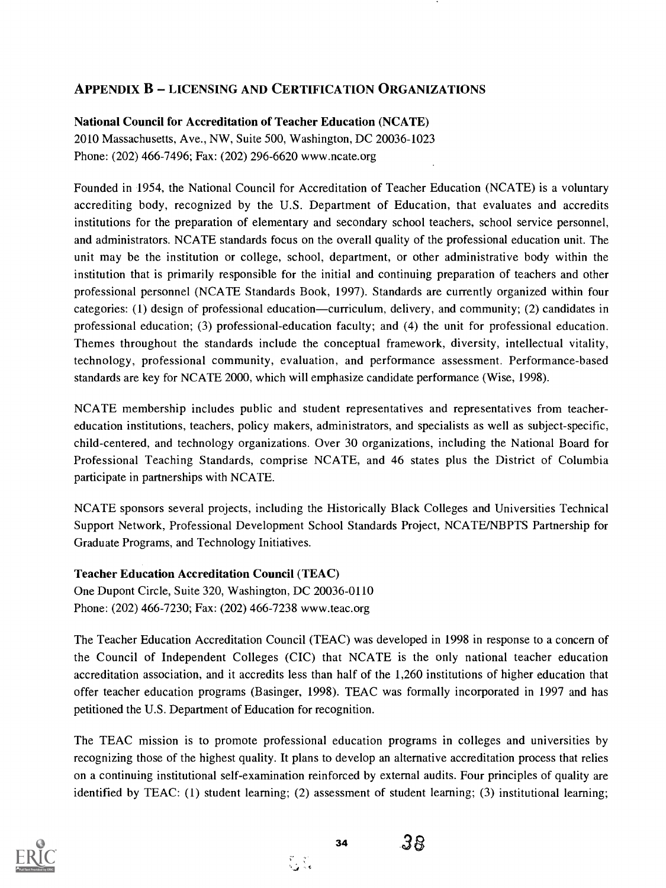### APPENDIX B - LICENSING AND CERTIFICATION ORGANIZATIONS

#### National Council for Accreditation of Teacher Education (NCATE)

2010 Massachusetts, Ave., NW, Suite 500, Washington, DC 20036-1023 Phone: (202) 466-7496; Fax: (202) 296-6620 www.ncate.org

Founded in 1954, the National Council for Accreditation of Teacher Education (NCATE) is a voluntary accrediting body, recognized by the U.S. Department of Education, that evaluates and accredits institutions for the preparation of elementary and secondary school teachers, school service personnel, and administrators. NCATE standards focus on the overall quality of the professional education unit. The unit may be the institution or college, school, department, or other administrative body within the institution that is primarily responsible for the initial and continuing preparation of teachers and other professional personnel (NCATE Standards Book, 1997). Standards are currently organized within four categories: (1) design of professional education—curriculum, delivery, and community; (2) candidates in professional education; (3) professional-education faculty; and (4) the unit for professional education. Themes throughout the standards include the conceptual framework, diversity, intellectual vitality, technology, professional community, evaluation, and performance assessment. Performance-based standards are key for NCATE 2000, which will emphasize candidate performance (Wise, 1998).

NCATE membership includes public and student representatives and representatives from teachereducation institutions, teachers, policy makers, administrators, and specialists as well as subject-specific, child-centered, and technology organizations. Over 30 organizations, including the National Board for Professional Teaching Standards, comprise NCATE, and 46 states plus the District of Columbia participate in partnerships with NCATE.

NCATE sponsors several projects, including the Historically Black Colleges and Universities Technical Support Network, Professional Development School Standards Project, NCATE/NBPTS Partnership for Graduate Programs, and Technology Initiatives.

#### Teacher Education Accreditation Council (TEAC)

One Dupont Circle, Suite 320, Washington, DC 20036-0110 Phone: (202) 466-7230; Fax: (202) 466-7238 www.teac.org

The Teacher Education Accreditation Council (TEAC) was developed in 1998 in response to a concern of the Council of Independent Colleges (CIC) that NCATE is the only national teacher education accreditation association, and it accredits less than half of the 1,260 institutions of higher education that offer teacher education programs (Basinger, 1998). TEAC was formally incorporated in 1997 and has petitioned the U.S. Department of Education for recognition.

The TEAC mission is to promote professional education programs in colleges and universities by recognizing those of the highest quality. It plans to develop an alternative accreditation process that relies on a continuing institutional self-examination reinforced by external audits. Four principles of quality are identified by TEAC: (1) student learning; (2) assessment of student learning; (3) institutional learning;





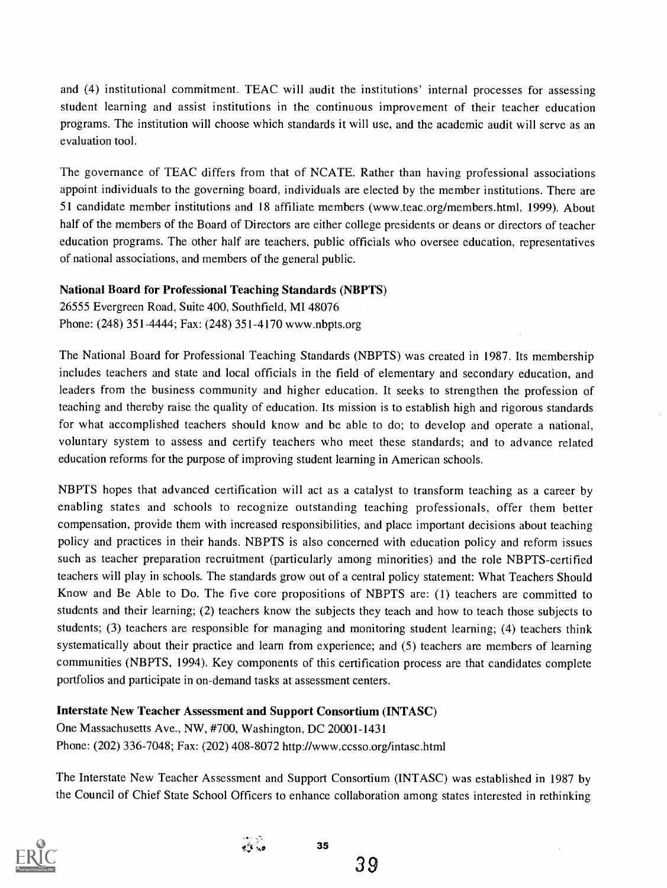and (4) institutional commitment. TEAC will audit the institutions' internal processes for assessing student learning and assist institutions in the continuous improvement of their teacher education programs. The institution will choose which standards it will use, and the academic audit will serve as an evaluation tool.

The governance of TEAC differs from that of NCATE. Rather than having professional associations appoint individuals to the governing board, individuals are elected by the member institutions. There are 51 candidate member institutions and 18 affiliate members (www.teac.org/members.html, 1999). About half of the members of the Board of Directors are either college presidents or deans or directors of teacher education programs. The other half are teachers, public officials who oversee education, representatives of national associations, and members of the general public.

#### National Board for Professional Teaching Standards (NBPTS)

26555 Evergreen Road, Suite 400, Southfield, MI 48076 Phone: (248) 351-4444; Fax: (248) 351-4170 www.nbpts.org

The National Board for Professional Teaching Standards (NBPTS) was created in 1987. Its membership includes teachers and state and local officials in the field of elementary and secondary education, and leaders from the business community and higher education. It seeks to strengthen the profession of teaching and thereby raise the quality of education. Its mission is to establish high and rigorous standards for what accomplished teachers should know and be able to do; to develop and operate a national, voluntary system to assess and certify teachers who meet these standards; and to advance related education reforms for the purpose of improving student learning in American schools.

NBPTS hopes that advanced certification will act as a catalyst to transform teaching as a career by enabling states and schools to recognize outstanding teaching professionals, offer them better compensation, provide them with increased responsibilities, and place important decisions about teaching policy and practices in their hands. NBPTS is also concerned with education policy and reform issues such as teacher preparation recruitment (particularly among minorities) and the role NBPTS-certified teachers will play in schools. The standards grow out of a central policy statement: What Teachers Should Know and Be Able to Do. The five core propositions of NBPTS are: (1) teachers are committed to students and their learning; (2) teachers know the subjects they teach and how to teach those subjects to students; (3) teachers are responsible for managing and monitoring student learning; (4) teachers think systematically about their practice and learn from experience; and (5) teachers are members of learning communities (NBPTS, 1994). Key components of this certification process are that candidates complete portfolios and participate in on-demand tasks at assessment centers.

#### Interstate New Teacher Assessment and Support Consortium (INTASC)

One Massachusetts Ave., NW, #700, Washington, DC 20001-1431 Phone: (202) 336-7048; Fax: (202) 408-8072 http://www.ccsso.org/intasc.html

The Interstate New Teacher Assessment and Support Consortium (INTASC) was established in 1987 by the Council of Chief State School Officers to enhance collaboration among states interested in rethinking

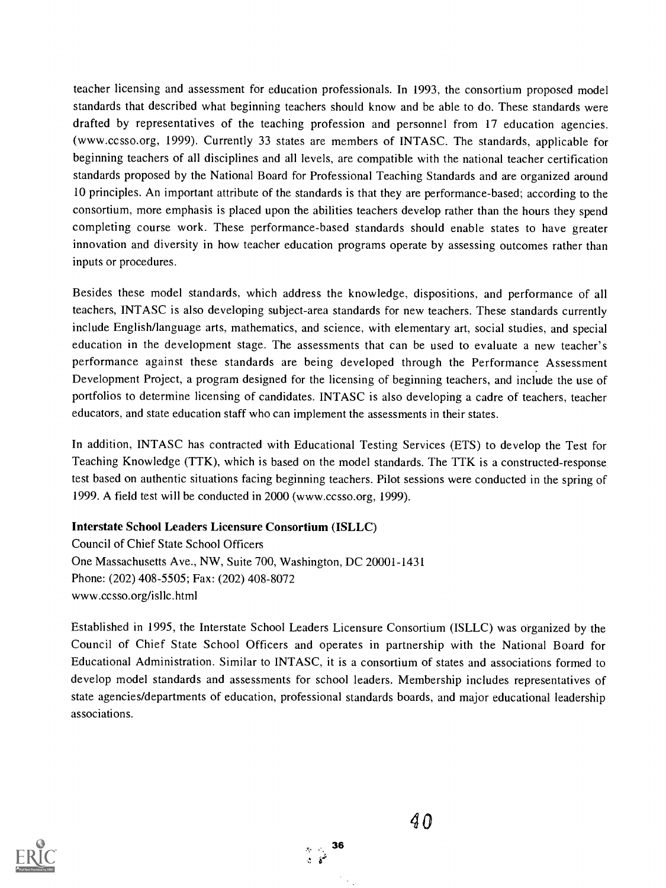teacher licensing and assessment for education professionals. In 1993, the consortium proposed model standards that described what beginning teachers should know and be able to do. These standards were drafted by representatives of the teaching profession and personnel from 17 education agencies. (www.ccsso.org, 1999). Currently 33 states are members of INTASC. The standards, applicable for beginning teachers of all disciplines and all levels, are compatible with the national teacher certification standards proposed by the National Board for Professional Teaching Standards and are organized around 10 principles. An important attribute of the standards is that they are performance-based; according to the consortium, more emphasis is placed upon the abilities teachers develop rather than the hours they spend completing course work. These performance-based standards should enable states to have greater innovation and diversity in how teacher education programs operate by assessing outcomes rather than inputs or procedures.

Besides these model standards, which address the knowledge, dispositions, and performance of all teachers, INTASC is also developing subject-area standards for new teachers. These standards currently include English/language arts, mathematics, and science, with elementary art, social studies, and special education in the development stage. The assessments that can be used to evaluate a new teacher's performance against these standards are being developed through the Performance Assessment Development Project, a program designed for the licensing of beginning teachers, and include the use of portfolios to determine licensing of candidates. INTASC is also developing a cadre of teachers, teacher educators, and state education staff who can implement the assessments in their states.

In addition, INTASC has contracted with Educational Testing Services (ETS) to develop the Test for Teaching Knowledge (TTK), which is based on the model standards. The TTK is a constructed-response test based on authentic situations facing beginning teachers. Pilot sessions were conducted in the spring of 1999. A field test will be conducted in 2000 (www.ccsso.org, 1999).

#### Interstate School Leaders Licensure Consortium (ISLLC)

Council of Chief State School Officers One Massachusetts Ave., NW, Suite 700, Washington, DC 20001-1431 Phone: (202) 408-5505; Fax: (202) 408-8072 www.ccsso.org/isllc.html

Established in 1995, the Interstate School Leaders Licensure Consortium (ISLLC) was organized by the Council of Chief State School Officers and operates in partnership with the National Board for Educational Administration. Similar to INTASC, it is a consortium of states and associations formed to develop model standards and assessments for school leaders. Membership includes representatives of state agencies/departments of education, professional standards boards, and major educational leadership associations.

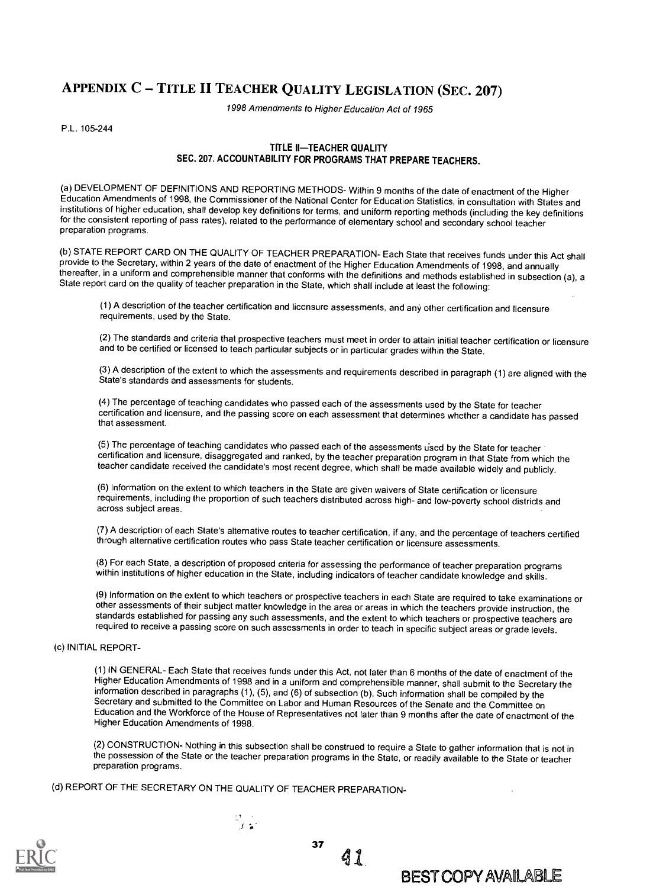# APPENDIX C - TITLE II TEACHER QUALITY LEGISLATION (SEC. 207)

1998 Amendments to Higher Education Act of 1965

P.L. 105-244

#### TITLE II-TEACHER QUALITY SEC. 207. ACCOUNTABILITY FOR PROGRAMS THAT PREPARE TEACHERS.

(a) DEVELOPMENT OF DEFINITIONS AND REPORTING METHODS- Within 9 months of the date of enactment of the Higher<br>Education Amendments of 1998, the Commissioner of the National Center for Education Statistics, in consultation w institutions of higher education, shall develop key definitions for terms, and uniform reporting methods (including the key definitions for the consistent reporting of pass rates), related to the performance of elementary school and secondary school teacher<br>preparation programs.

(b) STATE REPORT CARD ON THE QUALITY OF TEACHER PREPARATION- Each State that receives funds under this Act shall provide to the Secretary, within 2 years of the date of enactment of the Higher Education Amendments of 1998, and annually thereafter, in a uniform and comprehensible manner that conforms with the definitions and methods established in subsection (a), a<br>State report card on the quality of teacher preparation in the State, which shall include a

(1) A description of the teacher certification and licensure assessments, and any other certification and licensure requirements, used by the State.

(2) The standards and criteria that prospective teachers must meet in order to attain initialteacher certification or licensure and to be certified or licensed to teach particular subjects or in particular grades within the State.

(3) A description of the extent to which the assessments and requirements described in paragraph (1) are aligned with the<br>State's standards and assessments for students.

(4) The percentage of teaching candidates who passed each of the assessments used by the State for teacher certification and licensure, and the passing score on each assessment that determines whether a candidate has passed that assessment.

(5) The percentage of teaching candidates who passed each of the assessments used by the Statefor teacher certification and licensure, disaggregated and ranked, by the teacher preparation program in that State from which the teacher candidate received the candidate's most recent degree, which shall be made available widely and publicly.

(6) Information on the extent to which teachers in the State are given waivers of State certification or licensure requirements, including the proportion of such teachers distributed across high- and low-poverty school districtsand across subject areas.

(7) A description of each State's alternative routes to teacher certification, ifany, and the percentage of teachers certified through alternative certification routes who pass State teacher certification or licensure assessments.

(8) For each State, a description of proposed criteria for assessing the performance of teacher preparation programs<br>within institutions of higher education in the State, including indicators of teacher candidate knowledge

(9) Information on the extent to which teachers or prospective teachers in each State are required to take examinations or other assessments of their subject matter knowledge in the area or areas in which the teachers provide instruction, the standards established for passing any such assessments, and the extent to which teachers or prospective teachers are required to receive a passing score on such assessments in order to teach in specific subject areas or grade levels.

#### (c) INITIAL REPORT-

(1) IN GENERAL- Each State that receives funds under this Act, not later than 6 months of the date of enactment of the Higher Education Amendments of 1998 and in a uniform and comprehensible manner, shall submit to the Secretary the<br>information described in paragraphs (1), (5), and (6) of subsection (b). Such information shall be compiled Secretary and submitted to the Committee on Labor and Human Resources of the Senate and the Committee on Education and the Workforce of the House of Representatives not later than 9 months after the date of enactment of the Higher Education Amendments of 1998.

(2) CONSTRUCTION- Nothing in this subsection shall be construed to requirea State to gather information that is not in the possession of the State or the teacher preparation programs in the State, or readily available to the State or teacher preparation programs.

41

(d) REPORT OF THE SECRETARY ON THE QUALITY OF TEACHER PREPARATION-

 $\mathbb{R}^{n}$  .  $\mathbb{R}^{n}$  $\tilde{X}$ 



37

BEST COPY AVAILABLE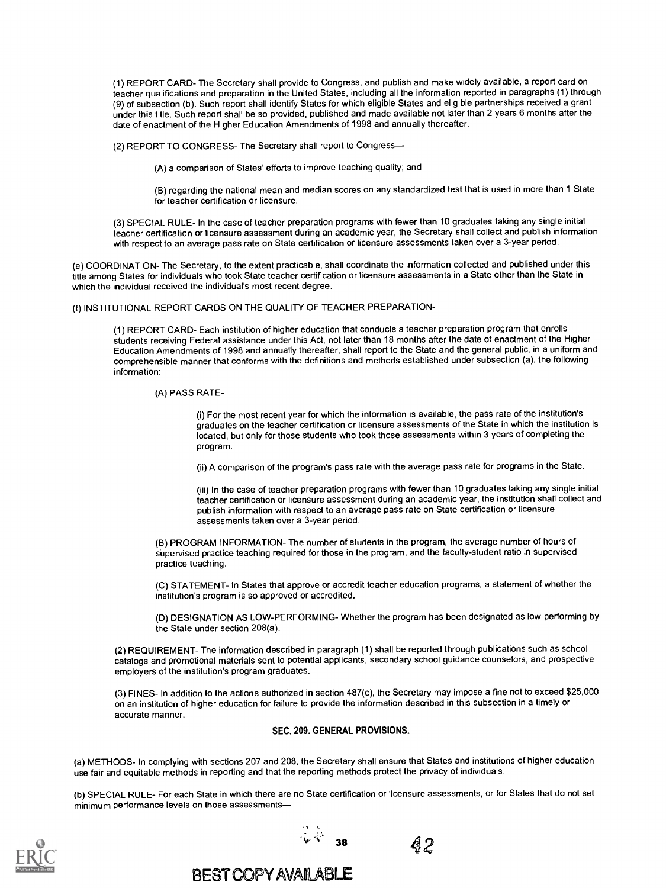(1) REPORT CARD- The Secretary shall provide to Congress, and publish and make widely available, a report card on teacher qualifications and preparation in the United States, including all the information reported in paragraphs (1) through (9) of subsection (b). Such report shall identify States for which eligible States and eligible partnerships received a grant under this title. Such report shall be so provided, published and made available not later than 2 years 6 months after the date of enactment of the Higher Education Amendments of 1998 and annually thereafter.

(2) REPORT TO CONGRESS- The Secretary shall report to Congress

(A) a comparison of States' efforts to improve teaching quality; and

(B) regarding the national mean and median scores on any standardized test that is used in more than 1 State for teacher certification or licensure.

(3) SPECIAL RULE- In the case of teacher preparation programs with fewer than 10 graduates taking any single initial teacher certification or licensure assessment during an academic year, the Secretary shall collect and publish information with respect to an average pass rate on State certification or licensure assessments taken over a 3-year period.

(e) COORDINATION- The Secretary, to the extent practicable, shall coordinate the information collected and published under this title among States for individuals who took State teacher certification or licensure assessments in a State other than the State in which the individual received the individual's most recent degree.

(f) INSTITUTIONAL REPORT CARDS ON THE QUALITY OF TEACHER PREPARATION-

(1) REPORT CARD- Each institution of higher education that conducts a teacher preparation program that enrolls students receiving Federal assistance under this Act, not later than 18 months after the date of enactment of the Higher Education Amendments of 1998 and annually thereafter, shall report to the State and the general public, in a uniform and comprehensible manner that conforms with the definitions and methods established under subsection (a), the following information:

(A) PASS RATE-

(i) For the most recent year for which the information is available, the pass rate of the institution's graduates on the teacher certification or licensure assessments of the State in which the institution is located, but only for those students who took those assessments within 3 years of completing the program.

(ii) A comparison of the program's pass rate with the average pass rate for programs in the State.

(iii) In the case of teacher preparation programs with fewer than 10 graduates taking any single initial teacher certification or licensure assessment during an academic year, the institution shall collect and publish information with respect to an average pass rate on State certification or licensure assessments taken over a 3-year period.

(B) PROGRAM INFORMATION- The number of students in the program, the average number of hours of supervised practice teaching required for those in the program, and the faculty-student ratio in supervised practice teaching.

(C) STATEMENT- In States that approve or accredit teacher education programs, a statement of whether the institution's program is so approved or accredited.

(D) DESIGNATION AS LOW-PERFORMING- Whether the program has been designated as low-performing by the State under section 208(a).

(2) REQUIREMENT- The information described in paragraph (1) shall be reported through publications such as school catalogs and promotional materials sent to potential applicants, secondary school guidance counselors, and prospective employers of the institution's program graduates.

(3) FINES- In addition to the actions authorized in section 487(c), the Secretary may impose a fine not to exceed \$25,000 on an institution of higher education for failure to provide the information described in this subsection in a timely or accurate manner.

#### SEC. 209. GENERAL PROVISIONS.

(a) METHODS- In complying with sections 207 and 208, the Secretary shall ensure that States and institutions of higher education use fair and equitable methods in reporting and that the reporting methods protect the privacy of individuals.

(b) SPECIAL RULE- For each State in which there are no State certification or licensure assessments, or for States that do not set minimum performance levels on those assessments







**BEST COPY AVAILABLE**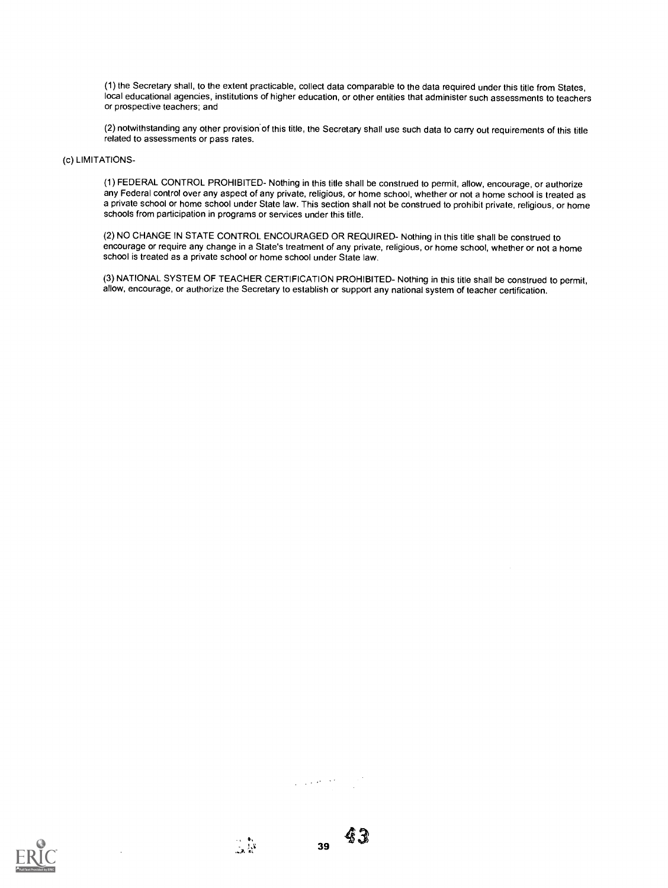(1) the Secretary shall, to the extent practicable, collect data comparable to the data required under this title from States, local educational agencies, institutions of higher education, or other entities that administer such assessments to teachers or prospective teachers; and

(2) notwithstanding any other provision of this title, the Secretary shall use such data to carry out requirements of this title related to assessments or pass rates.

#### (c) LIMITATIONS-

(1) FEDERAL CONTROL PROHIBITED- Nothing in this title shall be construed to permit, allow, encourage, or authorize any Federal control over any aspect of any private, religious, or home school, whether or not a home school is treated as a private school or home school under State law. This section shall not be construed to prohibit private, religious, or home schools from participation in programs or services under this title.

(2) NO CHANGE IN STATE CONTROL ENCOURAGED OR REQUIRED- Nothing in this title shall be construed to encourage or require any change in a State's treatment of any private, religious, or home school, whether or not a home school is treated as a private school or home school under State law.

(3) NATIONAL SYSTEM OF TEACHER CERTIFICATION PROHIBITED- Nothing in this title shall be construed to permit, allow, encourage, or authorize the Secretary to establish or support any national system of teacher certification.





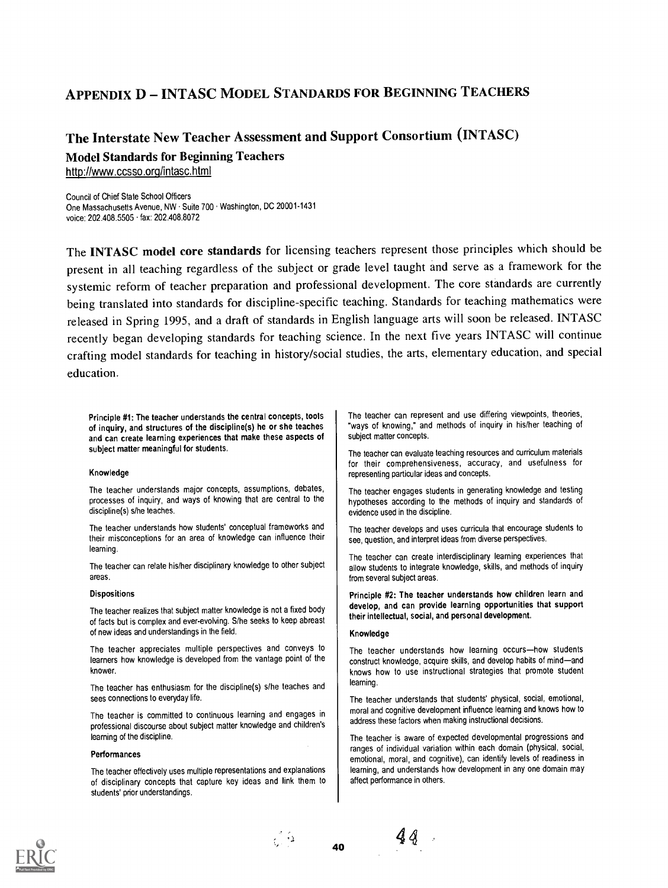### APPENDIX D - INTASC MODEL STANDARDS FOR BEGINNING TEACHERS

### The Interstate New Teacher Assessment and Support Consortium (INTASC)

Model Standards for Beginning Teachers

http://www.ccsso.org/intasc.html

Council of Chief State School Officers One Massachusetts Avenue, NW · Suite 700 · Washington, DC 20001-1431 voice: 202.408.5505 · fax: 202.408.8072

The INTASC model core standards for licensing teachers represent those principles which should be present in all teaching regardless of the subject or grade level taught and serve as a framework for the systemic reform of teacher preparation and professional development. The core standards are currently being translated into standards for discipline-specific teaching. Standards for teaching mathematics were released in Spring 1995, and a draft of standards in English language arts will soon be released. INTASC recently began developing standards for teaching science. In the next five years INTASC will continue crafting model standards for teaching in history/social studies, the arts, elementary education, and special education.

Principle #1: The teacher understands the central concepts, tools of inquiry, and structures of the discipline(s) he or she teaches and can create learning experiences that make these aspects of subject matter meaningful for students.

#### Knowledge

The teacher understands major concepts, assumptions, debates, processes of inquiry, and ways of knowing that are central to the discipline(s) s/he teaches.

The teacher understands how students' conceptual frameworks and their misconceptions for an area of knowledge can influence their learning.

The teacher can relate his/her disciplinary knowledge to other subject areas.

#### Dispositions

The teacher realizes that subject matter knowledge is not a fixed body of facts but is complex and ever-evolving. S/he seeks to keep abreast of new ideas and understandings in the field.

The teacher appreciates multiple perspectives and conveys to learners how knowledge is developed from the vantage point of the knower.

The teacher has enthusiasm for the discipline(s) s/he teaches and sees connections to everyday life.

The teacher is committed to continuous learning and engages in professional discourse about subject matter knowledge and children's learning of the discipline.

#### Performances

The teacher effectively uses multiple representations and explanations of disciplinary concepts that capture key ideas and link them to students' prior understandings.

The teacher can represent and use differing viewpoints, theories, "ways of knowing," and methods of inquiry in his/her teaching of subject matter concepts.

The teacher can evaluate teaching resources and curriculum materials for their comprehensiveness, accuracy, and usefulness for representing particular ideas and concepts.

The teacher engages students in generating knowledge and testing hypotheses according to the methods of inquiry and standards of evidence used in the discipline.

The teacher develops and uses curricula that encourage students to see, question, and interpret ideas from diverse perspectives.

The teacher can create interdisciplinary learning experiences that allow students to integrate knowledge, skills, and methods of inquiry from several subject areas.

Principle #2: The teacher understands how children learn and develop, and can provide learning opportunities that support their intellectual, social, and personal development.

#### Knowledge

The teacher understands how learning occurs-how students construct knowledge, acquire skills, and develop habits of mind-and knows how to use instructional strategies that promote student learning.

The teacher understands that students' physical, social, emotional, moral and cognitive development influence learning and knows how to address these factors when making instructional decisions.

The teacher is aware of expected developmental progressions and ranges of individual variation within each domain (physical, social, emotional, moral, and cognitive), can identify levels of readiness in learning, and understands how development in any one domain may affect performance in others.



44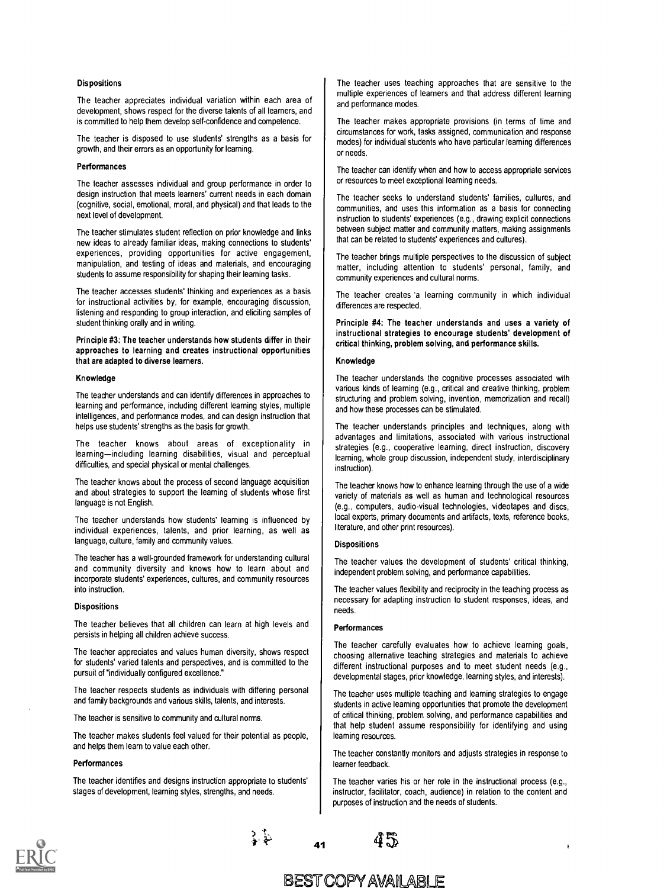#### **Dispositions**

The teacher appreciates individual variation within each area of development, shows respect for the diverse talents of all learners, and is committed to help them develop self-confidence and competence.

The teacher is disposed to use students' strengths as a basis for growth, and their errors as an opportunity for learning.

#### Performances

The teacher assesses individual and group performance in order to design instruction that meets learners' current needs in each domain (cognitive, social, emotional, moral, and physical) and that leads to the next level of development.

The teacher stimulates student reflection on prior knowledge and links new ideas to already familiar ideas, making connections to students' experiences, providing opportunities for active engagement, manipulation, and testing of ideas and materials, and encouraging students to assume responsibility for shaping their learning tasks.

The teacher accesses students' thinking and experiences as a basis for instructional activities by, for example, encouraging discussion, listening and responding to group interaction, and eliciting samples of student thinking orally and in writing.

Principle #3: The teacher understands how students differ in their approaches to learning and creates instructional opportunities that are adapted to diverse learners.

#### Knowledge

The teacher understands and can identify differences in approaches to learning and performance, including different learning styles, multiple intelligences, and performance modes, and can design instruction that helps use students' strengths as the basis for growth.

The teacher knows about areas of exceptionality in learning-including learning disabilities, visual and perceptual difficulties, and special physical or mental challenges.

The teacher knows about the process of second language acquisition and about strategies to support the learning of students whose first language is not English.

The teacher understands how students' learning is influenced by individual experiences, talents, and prior learning, as well as language, culture, family and community values.

The teacher has a well-grounded framework for understanding cultural and community diversity and knows how to learn about and incorporate students' experiences, cultures, and community resources into instruction.

#### **Dispositions**

The teacher believes that all children can learn at high levels and persists in helping all children achieve success.

The teacher appreciates and values human diversity, shows respect for students' varied talents and perspectives, and is committed to the pursuit of "individually configured excellence."

The teacher respects students as individuals with differing personal and family backgrounds and various skills, talents, and interests.

The teacher is sensitive to community and cultural norms.

The teacher makes students feel valued for their potential as people, and helps them learn to value each other.

#### Performances

The teacher identifies and designs instruction appropriate to students' stages of development, learning styles, strengths, and needs.

The teacher uses teaching approaches that are sensitive to the multiple experiences of learners and that address different learning and performance modes.

The teacher makes appropriate provisions (in terms of time and circumstances for work, tasks assigned, communication and response modes) for individual students who have particular learning differences or needs.

The teacher can identify when and how to access appropriate services or resources to meet exceptional learning needs.

The teacher seeks to understand students' families, cultures, and communities, and uses this information as a basis for connecting instruction to students' experiences (e.g., drawing explicit connections between subject matter and community matters, making assignments that can be related to students' experiences and cultures).

The teacher brings multiple perspectives to the discussion of subject matter, including attention to students' personal, family, and community experiences and cultural norms.

The teacher creates 'a learning community in which individual differences are respected.

Principle #4: The teacher understands and uses a variety of instructional strategies to encourage students' development of critical thinking, problem solving, and performance skills.

#### Knowledge

The teacher understands the cognitive processes associated with various kinds of learning (e.g., critical and creative thinking, problem structuring and problem solving, invention, memorization and recall) and how these processes can be stimulated.

The teacher understands principles and techniques, along with advantages and limitations, associated with various instructional strategies (e.g., cooperative learning, direct instruction, discovery learning, whole group discussion, independent study, interdisciplinary instruction).

The teacher knows how to enhance learning through the use of a wide variety of materials as well as human and technological resources (e.g., computers, audio-visual technologies, videotapes and discs, local experts, primary documents and artifacts, texts, reference books, literature, and other print resources).

#### **Dispositions**

The teacher values the development of students' critical thinking, independent problem solving, and performance capabilities.

The teacher values flexibility and reciprocity in the teaching process as necessary for adapting instruction to student responses, ideas, and needs.

#### Performances

The teacher carefully evaluates how to achieve learning goals, choosing alternative teaching strategies and materials to achieve different instructional purposes and to meet student needs (e.g., developmental stages, prior knowledge, learning styles, and interests).

The teacher uses multiple teaching and learning strategies to engage students in active learning opportunities that promote the development of critical thinking, problem solving, and performance capabilities and that help student assume responsibility for identifying and using learning resources.

The teacher constantly monitors and adjusts strategies in response to learner feedback.

The teacher varies his or her role in the instructional process (e.g., instructor, facilitator, coach, audience) in relation to the content and purposes of instruction and the needs of students.

45

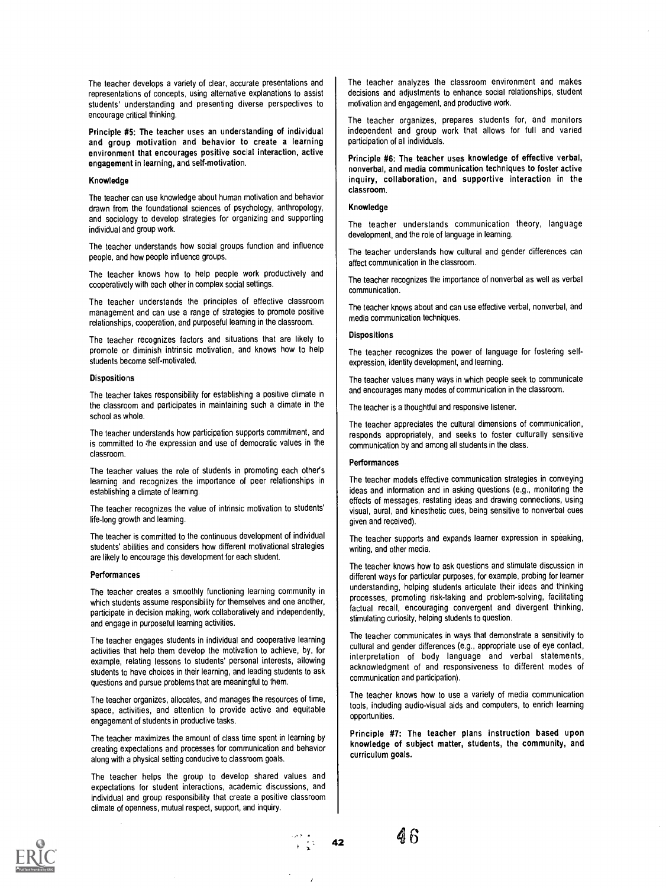The teacher develops a variety of clear, accurate presentations and representations of concepts, using alternative explanations to assist students' understanding and presenting diverse perspectives to encourage critical thinking.

Principle #5: The teacher uses an understanding of individual and group motivation and behavior to create a learning environment that encourages positive social interaction, active engagement in learning, and self-motivation.

#### Knowledge

The teacher can use knowledge about human motivation and behavior drawn from the foundational sciences of psychology, anthropology, and sociology to develop strategies for organizing and supporting individual and group work.

The teacher understands how social groups function and influence people, and how people influence groups.

The teacher knows how to help people work productively and cooperatively with each other in complex social settings.

The teacher understands the principles of effective classroom management and can use a range of strategies to promote positive relationships, cooperation, and purposeful learning in the classroom.

The teacher recognizes factors and situations that are likely to promote or diminish intrinsic motivation, and knows how to help students become self-motivated.

#### **Dispositions**

The teacher takes responsibility for establishing a positive climate in the classroom and participates in maintaining such a climate in the school as whole.

The teacher understands how participation supports commitment, and is committed to the expression and use of democratic values in the classroom.

The teacher values the role of students in promoting each other's learning and recognizes the importance of peer relationships in establishing a climate of learning.

The teacher recognizes the value of intrinsic motivation to students' life-long growth and learning.

The teacher is committed to the continuous development of individual students' abilities and considers how different motivational strategies are likely to encourage this development for each student.

#### Performances

The teacher creates a smoothly functioning learning community in which students assume responsibility for themselves and one another, participate in decision making, work collaboratively and independently, and engage in purposeful learning activities.

The teacher engages students in individual and cooperative learning activities that help them develop the motivation to achieve, by, for example, relating lessons to students' personal interests, allowing students to have choices in their learning, and leading students to ask questions and pursue problems that are meaningful to them.

The teacher organizes, allocates, and manages the resources of time, space, activities, and attention to provide active and equitable engagement of students in productive tasks.

The teacher maximizes the amount of class time spent in learning by creating expectations and processes for communication and behavior along with a physical setting conducive to classroom goals.

The teacher helps the group to develop shared values and expectations for student interactions, academic discussions, and individual and group responsibility that create a positive classroom climate of openness, mutual respect, support, and inquiry.

The teacher analyzes the classroom environment and makes decisions and adjustments to enhance social relationships, student motivation and engagement, and productive work.

The teacher organizes, prepares students for, and monitors independent and group work that allows for full and varied participation of all individuals.

Principle #6: The teacher uses knowledge of effective verbal, nonverbal, and media communication techniques to foster active inquiry, collaboration, and supportive interaction in the classroom.

#### Knowledge

The teacher understands communication theory, language development, and the role of language in learning.

The teacher understands how cultural and gender differences can affect communication in the classroom.

The teacher recognizes the importance of nonverbal as well as verbal communication.

The teacher knows about and can use effective verbal, nonverbal, and media communication techniques.

#### **Dispositions**

The teacher recognizes the power of language for fostering selfexpression, identity development, and learning.

The teacher values many ways in which people seek to communicate and encourages many modes of communication in the classroom.

The teacher is a thoughtful and responsive listener.

The teacher appreciates the cultural dimensions of communication, responds appropriately, and seeks to foster culturally sensitive communication by and among all students in the class.

#### Performances

The teacher models effective communication strategies in conveying ideas and information and in asking questions (e.g., monitoring the effects of messages, restating ideas and drawing connections, using visual, aural, and kinesthetic cues, being sensitive to nonverbal cues given and received).

The teacher supports and expands learner expression in speaking, writing, and other media.

The teacher knows how to ask questions and stimulate discussion in different ways for particular purposes, for example, probing for learner understanding, helping students articulate their ideas and thinking processes, promoting risk-taking and problem-solving, facilitating factual recall, encouraging convergent and divergent thinking, stimulating curiosity, helping students to question.

The teacher communicates in ways that demonstrate a sensitivity to cultural and gender differences (e.g., appropriate use of eye contact, interpretation of body language and verbal statements, acknowledgment of and responsiveness to different modes of communication and participation).

The teacher knows how to use a variety of media communication tools, including audio-visual aids and computers, to enrich learning opportunities.

Principle #7: The teacher plans instruction based upon knowledge of subject matter, students, the community, and curriculum goals.

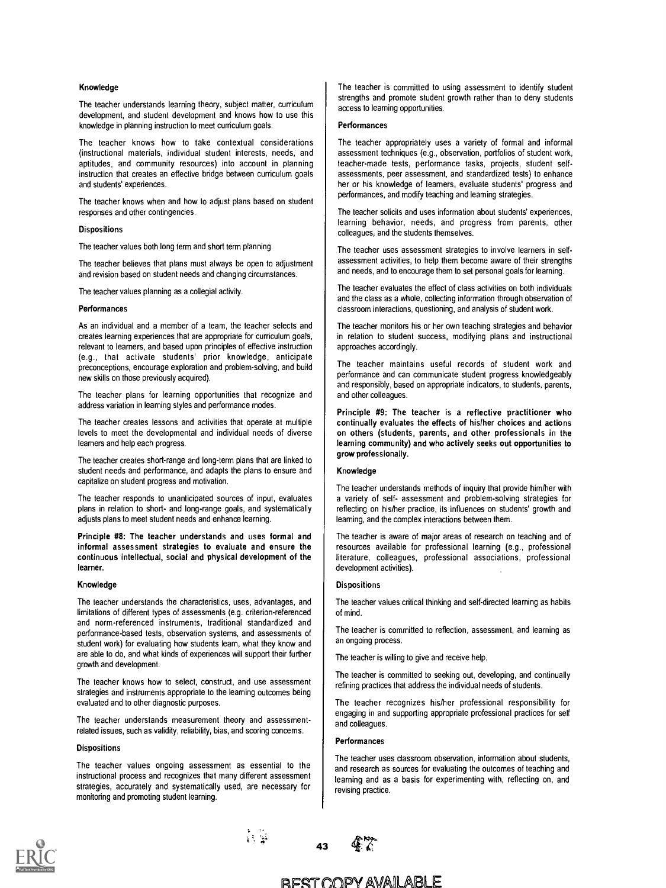#### Knowledge

The teacher understands learning theory, subject matter, curriculum development, and student development and knows how to use this knowledge in planning instruction to meet curriculum goals.

The teacher knows how to take contextual considerations (instructional materials, individual student interests, needs; and aptitudes, and community resources) into account in planning instruction that creates an effective bridge between curriculum goals and students' experiences.

The teacher knows when and how to adjust plans based on student responses and other contingencies.

#### **Dispositions**

The teacher values both long term and short term planning.

The teacher believes that plans must always be open to adjustment and revision based on student needs and changing circumstances.

The teacher values planning as a collegial activity.

#### **Performances**

As an individual and a member of a team, the teacher selects and creates learning experiences that are appropriate for curriculum goals, relevant to learners, and based upon principles of effective instruction (e.g., that activate students' prior knowledge, anticipate preconceptions, encourage exploration and problem-solving, and build new skills on those previously acquired).

The teacher plans for learning opportunities that recognize and address variation in learning styles and performance modes.

The teacher creates lessons and activities that operate at multiple levels to meet the developmental and individual needs of diverse learners and help each progress.

The teacher creates short-range and long-term plans that are linked to student needs and performance, and adapts the plans to ensure and capitalize on student progress and motivation.

The teacher responds to unanticipated sources of input, evaluates plans in relation to short- and long-range goals, and systematically adjusts plans to meet student needs and enhance learning.

Principle #8: The teacher understands and uses formal and informal assessment strategies to evaluate and ensure the continuous intellectual, social and physical development of the learner.

#### Knowledge

The teacher understands the characteristics, uses, advantages, and limitations of different types of assessments (e.g. criterion-referenced and norm-referenced instruments, traditional standardized and performance-based tests, observation systems, and assessments of student work) for evaluating how students learn, what they know and are able to do, and what kinds of experiences will support their further growth and development.

The teacher knows how to select, construct, and use assessment strategies and instruments appropriate to the learning outcomes being evaluated and to other diagnostic purposes.

The teacher understands measurement theory and assessmentrelated issues, such as validity, reliability, bias, and scoring concerns.

#### **Dispositions**

The teacher values ongoing assessment as essential to the instructional process and recognizes that many different assessment strategies, accurately and systematically used, are necessary for monitoring and promoting student learning.

The teacher is committed to using assessment to identify student strengths and promote student growth rather than to deny students access to learning opportunities.

#### Performances

The teacher appropriately uses a variety of formal and informal assessment techniques (e.g., observation, portfolios of student work, teacher-made tests, performance tasks, projects, student selfassessments, peer assessment, and standardized tests) to enhance her or his knowledge of learners, evaluate students' progress and performances, and modify teaching and learning strategies.

The teacher solicits and uses information about students' experiences, learning behavior, needs, and progress from parents, other colleagues, and the students themselves.

The teacher uses assessment strategies to involve learners in selfassessment activities, to help them become aware of their strengths and needs, and to encourage them to set personal goals for learning.

The teacher evaluates the effect of class activities on both individuals and the class as a whole, collecting information through observation of classroom interactions, questioning, and analysis of student work.

The teacher monitors his or her own teaching strategies and behavior in relation to student success, modifying plans and instructional approaches accordingly.

The teacher maintains useful records of student work and performance and can communicate student progress knowledgeably and responsibly, based on appropriate indicators, to students, parents, and other colleagues.

Principle #9: The teacher is a reflective practitioner who continually evaluates the effects of hislher choices and actions on others (students, parents, and other professionals in the learning community) and who actively seeks out opportunities to grow professionally.

#### Knowledge

The teacher understands methods of inquiry that provide him/her with a variety of self- assessment and problem-solving strategies for reflecting on his/her practice, its influences on students' growth and learning, and the complex interactions between them.

The teacher is aware of major areas of research on teaching and of resources available for professional learning (e.g., professional literature, colleagues, professional associations, professional development activities).

#### **Dispositions**

The teacher values critical thinking and self-directed learning as habits of mind.

The teacher is committed to reflection, assessment, and learning as an ongoing process.

The teacher is willing to give and receive help.

The teacher is committed to seeking out, developing, and continually refining practices that address the individual needs of students.

The teacher recognizes his/her professional responsibility for engaging in and supporting appropriate professional practices for self and colleagues.

#### Performances

The teacher uses classroom observation, information about students, and research as sources for evaluating the outcomes of teaching and learning and as a basis for experimenting with, reflecting on, and revising practice.



نواب ک

#### REST COPY AVAILABLE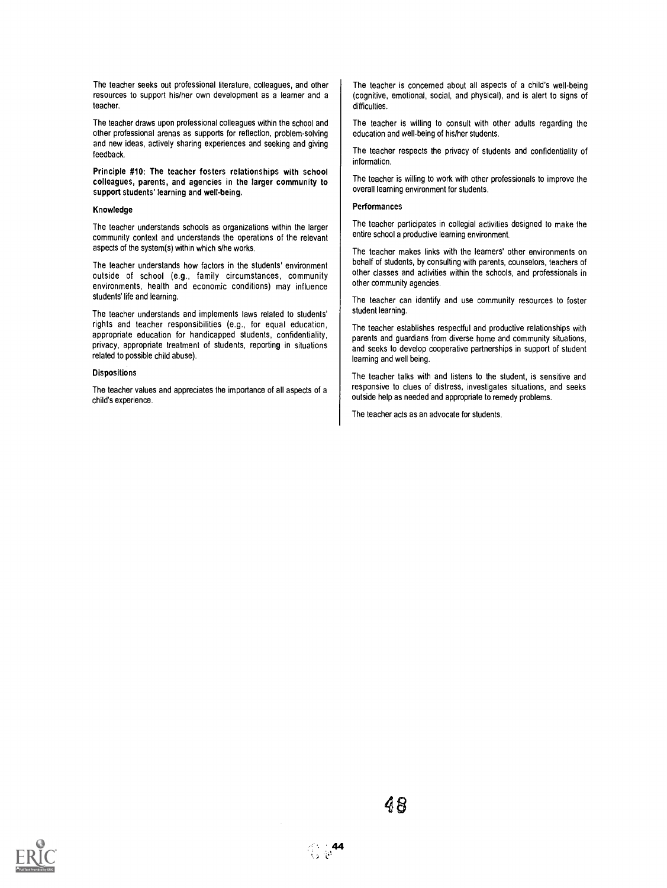The teacher seeks out professional literature, colleagues, and other resources to support his/her own development as a learner and a teacher.

The teacher draws upon professional colleagues within the school and other professional arenas as supports for reflection, problem-solving and new ideas, actively sharing experiences and seeking and giving feedback.

Principle #10: The teacher fosters relationships with school colleagues, parents, and agencies in the larger community to support students' learning and well-being.

#### Knowledge

The teacher understands schools as organizations within the larger community context and understands the operations of the relevant aspects of the system(s) within which s/he works.

The teacher understands how factors in the students' environment outside of school (e.g., family circumstances, community environments, health and economic conditions) may influence students' life and learning.

The teacher understands and implements laws related to students' rights and teacher responsibilities (e.g., for equal education, appropriate education for handicapped students, confidentiality, privacy, appropriate treatment of students, reporting in situations related to possible child abuse).

#### **Dispositions**

The teacher values and appreciates the importance of all aspects of a child's experience.

The teacher is concerned about all aspects of a child's well-being (cognitive, emotional, social, and physical), and is alert to signs of difficulties.

The teacher is willing to consult with other adults regarding the education and well-being of his/her students.

The teacher respects the privacy of students and confidentiality of information.

The teacher is willing to work with other professionals to improve the overall learning environment for students.

#### Performances

The teacher participates in collegial activities designed to make the entire school a productive learning environment.

The teacher makes links with the learners' other environments on behalf of students, by consulting with parents, counselors, teachers of other classes and activities within the schools, and professionals in other community agencies.

The teacher can identify and use community resources to foster student learning.

The teacher establishes respectful and productive relationships with parents and guardians from diverse home and community situations, and seeks to develop cooperative partnerships in support of student learning and well being.

The teacher talks with and listens to the student, is sensitive and responsive to clues of distress, investigates situations, and seeks outside help as needed and appropriate to remedy problems.

The teacher acts as an advocate for students.

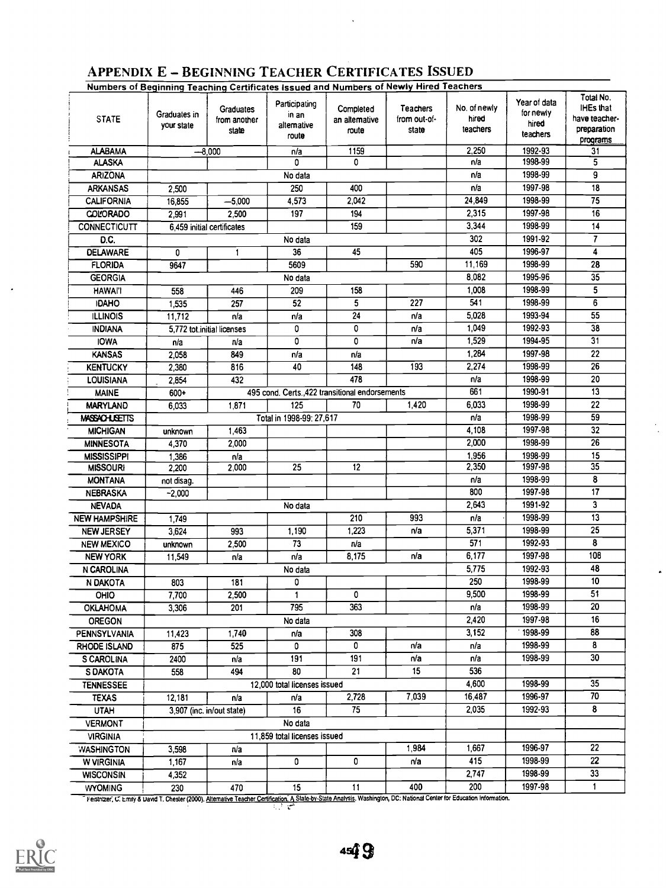# APPENDIX E - BEGINNING TEACHER CERTIFICATES ISSUED

 $\langle \cdot, \cdot \rangle$ 

|                      |                            | <b>Numbers of Beginning Teaching Certificates Issued and Numbers of Newly Hired Teachers</b> |                                               |                                                 |                                          |                                   |                                                |                                                                           |  |  |
|----------------------|----------------------------|----------------------------------------------------------------------------------------------|-----------------------------------------------|-------------------------------------------------|------------------------------------------|-----------------------------------|------------------------------------------------|---------------------------------------------------------------------------|--|--|
| <b>STATE</b>         | Graduates in<br>your state | <b>Graduates</b><br>from another<br>state                                                    | Participating<br>in an<br>altemative<br>route | Completed<br>an alternative<br>route            | <b>Teachers</b><br>from out-of-<br>state | No. of newly<br>hired<br>teachers | Year of data<br>for newly<br>hired<br>teachers | Total No.<br><b>IHEs that</b><br>have teacher-<br>preparation<br>programs |  |  |
| <b>ALABAMA</b>       |                            | $-8,000$                                                                                     | n/a                                           | 1159                                            |                                          | 2,250                             | 1992-93                                        | 31                                                                        |  |  |
| <b>ALASKA</b>        |                            |                                                                                              | U                                             | 0                                               |                                          | n/a                               | 1998-99                                        | 5                                                                         |  |  |
| <b>ARIZONA</b>       |                            |                                                                                              | No data                                       |                                                 |                                          | n/a                               | 1998-99                                        | 9                                                                         |  |  |
| <b>ARKANSAS</b>      | 2,500                      |                                                                                              | 250                                           | 400                                             |                                          | n/a                               | 1997-98                                        | 18                                                                        |  |  |
| <b>CALIFORNIA</b>    | 16,855                     | $-5,000$                                                                                     | 4,573                                         | 2,042                                           |                                          | 24,849                            | 1998-99                                        | 75                                                                        |  |  |
| <b>COLORADO</b>      | 2,991                      | 2,500                                                                                        | 197                                           | 194                                             |                                          | 2,315                             | 1997-98                                        | 16                                                                        |  |  |
| <b>CONNECTICUTT</b>  |                            | 6,459 initial certificates                                                                   |                                               | 159                                             |                                          | 3,344                             | 1998-99                                        | 14                                                                        |  |  |
| D.C.                 |                            |                                                                                              | No data                                       |                                                 |                                          | 302                               | 1991-92                                        | $\overline{7}$                                                            |  |  |
| <b>DELAWARE</b>      | 0                          | $\mathbf{1}$                                                                                 | 36                                            | 45                                              |                                          | 405                               | 1996-97                                        | 4                                                                         |  |  |
| <b>FLORIDA</b>       | 9647                       |                                                                                              | 5609                                          |                                                 | 590                                      | 11,169                            | 1998-99                                        | 28                                                                        |  |  |
| <b>GEORGIA</b>       |                            |                                                                                              | No data                                       |                                                 |                                          | 8,082                             | 1995-96                                        | 35                                                                        |  |  |
| <b>HAWAI'I</b>       | 558                        | 446                                                                                          | 209                                           | 158                                             |                                          | 1,008                             | 1998-99                                        | 5                                                                         |  |  |
| <b>IDAHO</b>         | 1.535                      | 257                                                                                          | 52                                            | 5                                               | 227                                      | 541                               | 1998-99                                        | 6                                                                         |  |  |
| <b>ILLINOIS</b>      | 11,712                     | n/a                                                                                          | n/a                                           | 24                                              | n/a                                      | 5,028                             | 1993-94                                        | 55                                                                        |  |  |
| <b>INDIANA</b>       |                            | 5.772 tot.initial licenses                                                                   | 0                                             | 0                                               | n/a                                      | 1,049                             | 1992-93                                        | $\overline{38}$                                                           |  |  |
| <b>IOWA</b>          | n/a                        | n/a                                                                                          | 0                                             | 0                                               | n/a                                      | 1,529                             | 1994-95                                        | $\overline{31}$                                                           |  |  |
| <b>KANSAS</b>        | 2,058                      | 849                                                                                          | n/a                                           | n/a                                             |                                          | 1,284                             | 1997-98                                        | 22                                                                        |  |  |
| <b>KENTUCKY</b>      | 2.380                      | 816                                                                                          | 40                                            | 148                                             | 193                                      | 2,274                             | 1998-99                                        | 26                                                                        |  |  |
| <b>LOUISIANA</b>     | 2.854                      | 432                                                                                          |                                               | 478                                             |                                          | n/a                               | 1998-99                                        | 20                                                                        |  |  |
| <b>MAINE</b>         | $600+$                     |                                                                                              |                                               | 495 cond. Certs., 422 transitional endorsements |                                          | 661                               | 1990-91                                        | 13                                                                        |  |  |
| <b>MARYLAND</b>      | 6,033                      | 1,871                                                                                        | 125                                           | 70                                              | 1,420                                    | 6,033                             | 1998-99                                        | 22                                                                        |  |  |
| <b>MASSACHLEETTS</b> |                            |                                                                                              | Total in 1998-99: 27,617                      |                                                 |                                          | n/a                               | 1998-99                                        | 59                                                                        |  |  |
| <b>MICHIGAN</b>      | unknown                    | 1,463                                                                                        |                                               |                                                 |                                          | 4,108                             | 1997-98                                        | 32                                                                        |  |  |
| <b>MINNESOTA</b>     | 4,370                      | 2,000                                                                                        |                                               |                                                 |                                          | 2,000                             | 1998-99                                        | 26                                                                        |  |  |
| <b>MISSISSIPPI</b>   | 1,386                      | n/a                                                                                          |                                               |                                                 |                                          | 1,956                             | 1998-99                                        | 15                                                                        |  |  |
| <b>MISSOURI</b>      | 2.200                      | 2,000                                                                                        | 25                                            | 12 <sup>°</sup>                                 |                                          | 2,350                             | 1997-98                                        | 35                                                                        |  |  |
| <b>MONTANA</b>       | not disag.                 |                                                                                              |                                               |                                                 |                                          | n/a                               | 1998-99                                        | 8                                                                         |  |  |
| <b>NEBRASKA</b>      | $-2,000$                   |                                                                                              |                                               |                                                 |                                          | 800                               | 1997-98                                        | 17                                                                        |  |  |
| <b>NEVADA</b>        |                            |                                                                                              | No data                                       |                                                 |                                          | 2.643                             | 1991-92                                        | 3                                                                         |  |  |
| <b>NEW HAMPSHIRE</b> | 1,749                      |                                                                                              |                                               | 210                                             | 993                                      | n/a                               | 1998-99                                        | 13                                                                        |  |  |
| <b>NEW JERSEY</b>    | 3,624                      | 993                                                                                          | 1,190                                         | 1,223                                           | n/a                                      | 5,371                             | 1998-99                                        | 25                                                                        |  |  |
| <b>NEW MEXICO</b>    | unknown                    | 2,500                                                                                        | 73                                            | n/a                                             |                                          | 571                               | 1992-93                                        | 8                                                                         |  |  |
| <b>NEW YORK</b>      | 11,549                     | n/a                                                                                          | n/a                                           | 8,175                                           | n/a                                      | 6,177                             | 1997-98                                        | 108                                                                       |  |  |
| N CAROLINA           |                            |                                                                                              | No data                                       |                                                 |                                          | 5,775                             | 1992-93                                        | 48                                                                        |  |  |
| N DAKOTA             | 803                        | 181                                                                                          | 0                                             |                                                 |                                          | 250                               | 1998-99                                        | 10                                                                        |  |  |
| OHIO                 | 7,700                      | 2,500                                                                                        | $\mathbf{1}$                                  | 0                                               |                                          | 9,500                             | 1998-99                                        | $\overline{51}$                                                           |  |  |
| <b>ОКLАНОМА</b>      | 3,306                      | 201                                                                                          | 795                                           | 363                                             |                                          | n/a                               | 1998-99                                        | 20                                                                        |  |  |
| <b>OREGON</b>        |                            |                                                                                              | No data                                       |                                                 |                                          | 2,420                             | 1997-98                                        | 16                                                                        |  |  |
| PENNSYLVANIA         | 11,423                     | 1,740                                                                                        | n/a                                           | 308                                             |                                          | 3,152                             | 1998-99                                        | 88                                                                        |  |  |
| RHODE ISLAND         | 875                        | 525                                                                                          | 0                                             | 0                                               | n/a                                      | n/a                               | 1998-99                                        | 8                                                                         |  |  |
| <b>S CAROLINA</b>    | 2400                       | n/a                                                                                          | 191                                           | 191                                             | n/a                                      | n/a                               | 1998-99                                        | 30                                                                        |  |  |
| <b>S DAKOTA</b>      | 558                        | 494                                                                                          | 80                                            | 21                                              | 15                                       | 536                               |                                                |                                                                           |  |  |
| <b>TENNESSEE</b>     |                            |                                                                                              | 12,000 total licenses issued                  |                                                 |                                          | 4,600                             | 1998-99                                        | 35                                                                        |  |  |
| <b>TEXAS</b>         | 12,181                     | n/a                                                                                          | n/a                                           | 2,728                                           | 7,039                                    | 16,487                            | 1996-97                                        | 70                                                                        |  |  |
| <b>UTAH</b>          |                            | 3,907 (inc. in/out state)                                                                    | 16                                            | 75                                              |                                          | 2,035                             | 1992-93                                        | 8                                                                         |  |  |
| <b>VERMONT</b>       |                            | No data                                                                                      |                                               |                                                 |                                          |                                   |                                                |                                                                           |  |  |
| <b>VIRGINIA</b>      |                            |                                                                                              | 11,859 total licenses issued                  |                                                 |                                          |                                   |                                                |                                                                           |  |  |
| <b>WASHINGTON</b>    | 3,598                      | n/a                                                                                          |                                               |                                                 | 1,984                                    | 1,667                             | 1996-97                                        | 22                                                                        |  |  |
| <b>W VIRGINIA</b>    | 1,167                      | n/a                                                                                          | 0                                             | 0                                               | n/a                                      | 415                               | 1998-99                                        | 22                                                                        |  |  |
| <b>WISCONSIN</b>     | 4,352                      |                                                                                              |                                               |                                                 |                                          | 2,747                             | 1998-99                                        | 33                                                                        |  |  |
| <b>WYOMING</b>       | 230                        | 470                                                                                          | 15                                            | 11                                              | 400                                      | 200                               | 1997-98                                        | $\mathbf{1}$                                                              |  |  |
|                      |                            |                                                                                              |                                               |                                                 |                                          |                                   |                                                |                                                                           |  |  |

 $\frac{1}{2}$ 

Feistnizer, C. Emily 8 uavid T. Chester (2000). Alternative Teacher Certification. A State-by-State Analysis. Washington, DC: National Center for Education Information.

 $\ddot{\phantom{a}}$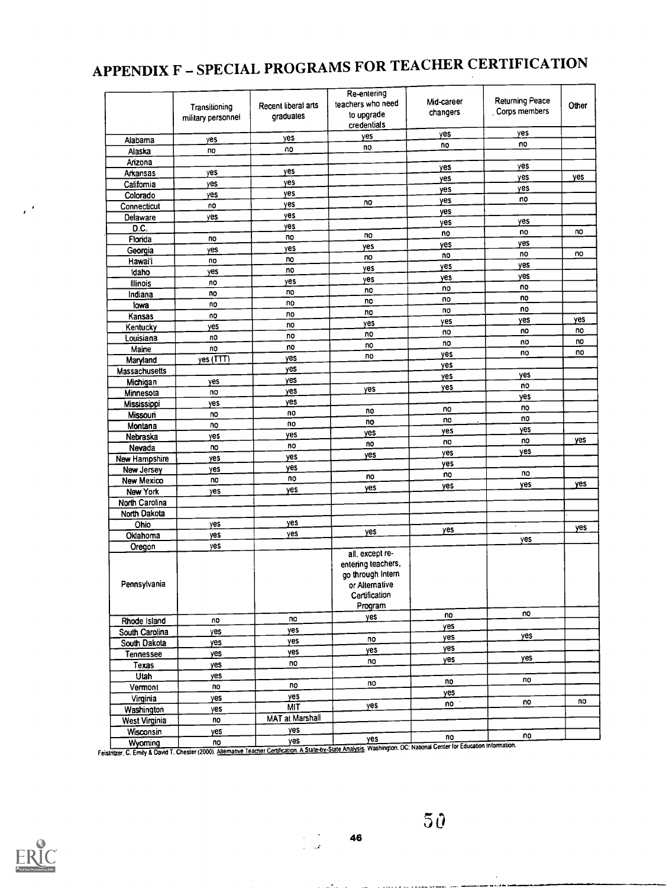# APPENDIX F - SPECIAL PROGRAMS FOR TEACHER CERTIFICATION

|                        | Transitioning<br>military personnel | Recent liberal arts<br>graduates | Re-entering<br>teachers who need<br>to upgrade<br>credentials                                                                                                                    | Mid-career<br>changers | <b>Returning Peace</b><br>Corps members | Other     |
|------------------------|-------------------------------------|----------------------------------|----------------------------------------------------------------------------------------------------------------------------------------------------------------------------------|------------------------|-----------------------------------------|-----------|
| Alabama                | yes                                 | yes                              | yes                                                                                                                                                                              | yes                    | yes                                     |           |
| Alaska                 | no                                  | <b>no</b>                        | no                                                                                                                                                                               | no                     | no                                      |           |
| Arizona                |                                     |                                  |                                                                                                                                                                                  |                        |                                         |           |
| Arkansas               | yes                                 | yes                              |                                                                                                                                                                                  | yes                    | yes                                     |           |
| Califomia              | yes                                 | yes                              |                                                                                                                                                                                  | yes                    | yes                                     | yes       |
| Colorado               | yes                                 | yes                              |                                                                                                                                                                                  | yes                    | yes                                     |           |
| Connecticut            | no                                  | yes                              | no                                                                                                                                                                               | yes                    | no                                      |           |
| Delaware               | yes                                 | yes                              |                                                                                                                                                                                  | yes                    |                                         |           |
| D.C.                   |                                     | yes                              |                                                                                                                                                                                  | yes                    | yes                                     |           |
| Florida                | no                                  | no                               | no                                                                                                                                                                               | no                     | no                                      | no        |
| Georgia                | yes                                 | yes                              | yes                                                                                                                                                                              | yes                    | yes                                     |           |
| Hawai'i                | no                                  | no                               | no                                                                                                                                                                               | no                     | no                                      | no        |
| Idaho                  | yes                                 | no                               | yes                                                                                                                                                                              | yes                    | yes                                     |           |
| Illinois               | no                                  | yes                              | yes                                                                                                                                                                              | yes                    | yes                                     |           |
| Indiana                | no                                  | no                               | no                                                                                                                                                                               | no                     | no                                      |           |
| lowa                   | no                                  | no                               | no                                                                                                                                                                               | no                     | no                                      |           |
| Kansas                 | no                                  | no                               | no                                                                                                                                                                               | no                     | no                                      |           |
| Kentucky               | yes                                 | no                               | yes                                                                                                                                                                              | ves                    | yes                                     | yes<br>no |
| Louisiana              | no                                  | no                               | no                                                                                                                                                                               | no                     | no<br>no                                | no        |
| Maine                  | no                                  | no                               | no                                                                                                                                                                               | no                     | no                                      | no        |
| Maryland               | yes (TTT)                           | yes                              | no                                                                                                                                                                               | yes                    |                                         |           |
| <b>Massachusetts</b>   |                                     | yes                              |                                                                                                                                                                                  | yes                    | yes                                     |           |
| Michigan               | yes                                 | yes                              |                                                                                                                                                                                  | yes                    | no                                      |           |
| Minnesota              | no                                  | yes                              | yes                                                                                                                                                                              | yes                    | yes                                     |           |
| Mississippi            | yes                                 | yes                              |                                                                                                                                                                                  |                        | no                                      |           |
| Missouri               | no                                  | no                               | no                                                                                                                                                                               | no<br>no               | no                                      |           |
| Montana                | no                                  | no                               | no                                                                                                                                                                               | ves                    | yes                                     |           |
| Nebraska               | yes                                 | yes                              | yes                                                                                                                                                                              | no                     | no                                      | yes       |
| Nevada                 | no                                  | no                               | no                                                                                                                                                                               | yes                    | ves                                     |           |
| New Hampshire          | yes                                 | yes                              | yes                                                                                                                                                                              | yes                    |                                         |           |
| New Jersey             | yes                                 | yes                              |                                                                                                                                                                                  | no                     | no                                      |           |
| <b>New Mexico</b>      | no                                  | no                               | no                                                                                                                                                                               | yes                    | yes                                     | yes       |
| New York               | yes                                 | yes                              | yes                                                                                                                                                                              |                        |                                         |           |
| North Carolina         |                                     |                                  |                                                                                                                                                                                  |                        |                                         |           |
| North Dakota           |                                     |                                  |                                                                                                                                                                                  |                        |                                         |           |
| Ohio                   | yes                                 | yes                              | yes                                                                                                                                                                              | yes                    |                                         | yes       |
| Okłahoma               | yes                                 | yes                              |                                                                                                                                                                                  |                        | yes                                     |           |
| Oregon<br>Pennsylvania | yes                                 |                                  | all, except re-<br>entering teachers,<br>go through Intern<br>or Alternative<br>Certification<br>Program                                                                         |                        |                                         |           |
| Rhode Island           | no                                  | no                               | yes                                                                                                                                                                              | no                     | no                                      |           |
| South Carolina         | yes                                 | yes                              |                                                                                                                                                                                  | yes                    |                                         |           |
| South Dakota           | yes                                 | yes                              | no                                                                                                                                                                               | yes                    | yes                                     |           |
| Tennessee              | yes                                 | yes                              | yes                                                                                                                                                                              | yes                    |                                         |           |
| Texas                  | yes                                 | no                               | no                                                                                                                                                                               | yes                    | yes                                     |           |
| Utah                   | yes                                 |                                  |                                                                                                                                                                                  |                        |                                         |           |
| Vermont                | no                                  | no                               | no                                                                                                                                                                               | no                     | no                                      |           |
| Virginia               | yes                                 | yes                              |                                                                                                                                                                                  | yes                    |                                         | no        |
| <b>Washington</b>      | yes                                 | MIT                              | yes                                                                                                                                                                              | no                     | no                                      |           |
| <b>West Virginia</b>   | no                                  | MAT at Marshall                  |                                                                                                                                                                                  |                        |                                         |           |
| Wisconsin              | yes                                 | yes                              |                                                                                                                                                                                  |                        |                                         |           |
| Wyoming                | no                                  | yes                              | yes<br>Feistritzer, C. Emily & David T. Chester (2000). Alternative Teacher Certification. A State-by-State Analysis. Washington. DC: National Center for Education Information. | no                     | no                                      |           |



 $50$ 

 $\alpha$ 

حدث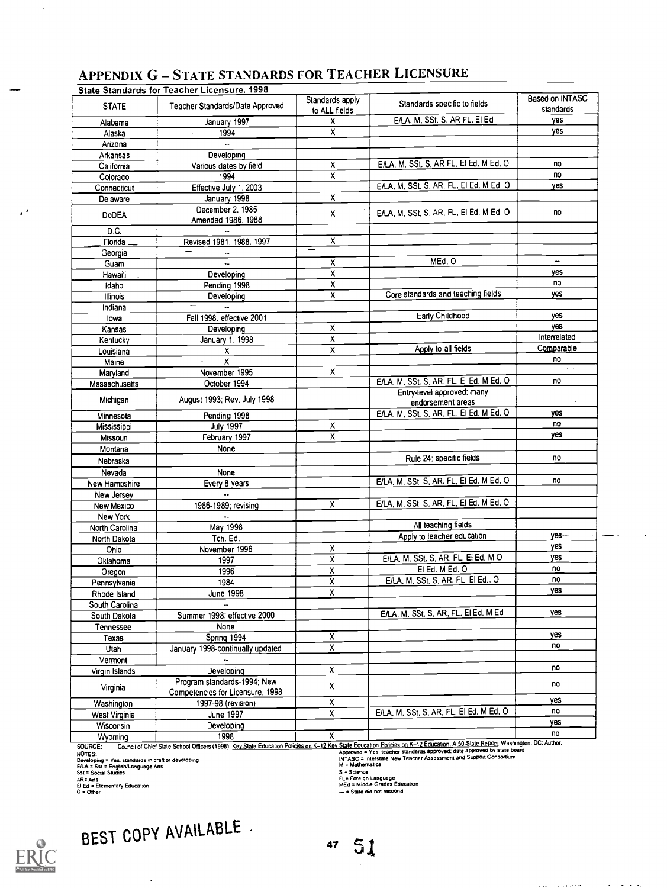| <b>STATE</b>                                                                                                                                                                                               | Teacher Standards/Date Approved        | Standards apply<br>to ALL fields    | Standards specific to fields                                                                                                                                                                                                                                                                                                                                                                                          | Based on INTASC<br>standards |
|------------------------------------------------------------------------------------------------------------------------------------------------------------------------------------------------------------|----------------------------------------|-------------------------------------|-----------------------------------------------------------------------------------------------------------------------------------------------------------------------------------------------------------------------------------------------------------------------------------------------------------------------------------------------------------------------------------------------------------------------|------------------------------|
| Alabama                                                                                                                                                                                                    | January 1997                           | x                                   | E/LA. M. SSt. S. AR FL. EI Ed                                                                                                                                                                                                                                                                                                                                                                                         | yes                          |
| Alaska                                                                                                                                                                                                     | 1994<br>$\cdot$                        | X                                   |                                                                                                                                                                                                                                                                                                                                                                                                                       | yes                          |
| Arizona                                                                                                                                                                                                    | $\ddot{\phantom{a}}$                   |                                     |                                                                                                                                                                                                                                                                                                                                                                                                                       |                              |
| Arkansas                                                                                                                                                                                                   | Developing                             |                                     |                                                                                                                                                                                                                                                                                                                                                                                                                       |                              |
| California                                                                                                                                                                                                 | Various dates by field                 | x                                   | E/LA, M, SSt, S, AR FL, El Ed, M Ed, O                                                                                                                                                                                                                                                                                                                                                                                | no                           |
| Colorado                                                                                                                                                                                                   | 1994                                   | χ                                   |                                                                                                                                                                                                                                                                                                                                                                                                                       | no                           |
| Connecticut                                                                                                                                                                                                | Effective July 1, 2003                 |                                     | E/LA, M, SSt. S. AR. FL, El Ed. M Ed. O                                                                                                                                                                                                                                                                                                                                                                               | yes                          |
| Delaware                                                                                                                                                                                                   | January 1998                           | χ                                   |                                                                                                                                                                                                                                                                                                                                                                                                                       |                              |
| <b>DoDEA</b>                                                                                                                                                                                               | December 2, 1985<br>Amended 1986, 1988 | X.                                  | E/LA, M, SSt, S, AR, FL, El Ed. M Ed, O                                                                                                                                                                                                                                                                                                                                                                               | no                           |
| D.C.                                                                                                                                                                                                       |                                        |                                     |                                                                                                                                                                                                                                                                                                                                                                                                                       |                              |
| Florida_                                                                                                                                                                                                   | Revised 1981. 1988. 1997               | X.                                  |                                                                                                                                                                                                                                                                                                                                                                                                                       |                              |
| Georgia                                                                                                                                                                                                    | $\ddotsc$                              |                                     |                                                                                                                                                                                                                                                                                                                                                                                                                       |                              |
| Guam                                                                                                                                                                                                       | $\overline{\phantom{a}}$               | x                                   | MEd, O                                                                                                                                                                                                                                                                                                                                                                                                                | $\overline{\phantom{a}}$     |
| Hawai'i                                                                                                                                                                                                    | Developing                             | $\overline{\mathbf{x}}$             |                                                                                                                                                                                                                                                                                                                                                                                                                       | yes                          |
| idaho                                                                                                                                                                                                      | Pending 1998                           | x                                   |                                                                                                                                                                                                                                                                                                                                                                                                                       | no                           |
| Illinois                                                                                                                                                                                                   | Developing                             | Χ                                   | Core standards and teaching fields                                                                                                                                                                                                                                                                                                                                                                                    | yes                          |
| Indiana                                                                                                                                                                                                    | $\ddot{\phantom{a}}$                   |                                     |                                                                                                                                                                                                                                                                                                                                                                                                                       |                              |
| lowa                                                                                                                                                                                                       | Fall 1998. effective 2001              |                                     | Early Childhood                                                                                                                                                                                                                                                                                                                                                                                                       | yes                          |
| Kansas                                                                                                                                                                                                     | Developing                             | χ                                   |                                                                                                                                                                                                                                                                                                                                                                                                                       | yes                          |
| Kentucky                                                                                                                                                                                                   | January 1, 1998                        | χ                                   |                                                                                                                                                                                                                                                                                                                                                                                                                       | Interrelated                 |
| Louisiana                                                                                                                                                                                                  | x                                      | $\overline{\mathsf{x}}$             | Apply to all fields                                                                                                                                                                                                                                                                                                                                                                                                   | Comparable                   |
| Maine                                                                                                                                                                                                      | $\overline{\mathsf{x}}$                |                                     |                                                                                                                                                                                                                                                                                                                                                                                                                       | no                           |
| Maryland                                                                                                                                                                                                   | November 1995                          | x                                   |                                                                                                                                                                                                                                                                                                                                                                                                                       | $\sim$ $\sim$                |
| Massachusetts                                                                                                                                                                                              | October 1994                           |                                     | E/LA, M, SSt, S, AR, FL, El Ed. M Ed. O                                                                                                                                                                                                                                                                                                                                                                               | no                           |
| Michigan                                                                                                                                                                                                   | August 1993; Rev. July 1998            |                                     | Entry-level approved; many<br>endorsement areas                                                                                                                                                                                                                                                                                                                                                                       |                              |
| Minnesota                                                                                                                                                                                                  | Pending 1998                           |                                     | E/LA, M, SSt, S, AR, FL, El Ed. M Ed. O                                                                                                                                                                                                                                                                                                                                                                               | <b>yes</b>                   |
| Mississippi                                                                                                                                                                                                | <b>July 1997</b>                       | χ                                   |                                                                                                                                                                                                                                                                                                                                                                                                                       | no                           |
| Missouri                                                                                                                                                                                                   | February 1997                          | $\overline{\mathsf{X}}$             |                                                                                                                                                                                                                                                                                                                                                                                                                       | yes                          |
| Montana                                                                                                                                                                                                    | None                                   |                                     |                                                                                                                                                                                                                                                                                                                                                                                                                       |                              |
| Nebraska                                                                                                                                                                                                   |                                        |                                     | Rule 24: specific fields                                                                                                                                                                                                                                                                                                                                                                                              | no                           |
|                                                                                                                                                                                                            |                                        |                                     |                                                                                                                                                                                                                                                                                                                                                                                                                       |                              |
| Nevada                                                                                                                                                                                                     | None                                   |                                     | E/LA, M, SSt, S, AR, FL, El Ed. M Ed. O                                                                                                                                                                                                                                                                                                                                                                               | no                           |
| New Hampshire                                                                                                                                                                                              | Every 8 years                          |                                     |                                                                                                                                                                                                                                                                                                                                                                                                                       |                              |
| New Jersey                                                                                                                                                                                                 |                                        |                                     | E/LA, M, SSt, S, AR, FL, El Ed. M Ed, O                                                                                                                                                                                                                                                                                                                                                                               |                              |
| <b>New Mexico</b>                                                                                                                                                                                          | 1986-1989; revising                    | χ                                   |                                                                                                                                                                                                                                                                                                                                                                                                                       |                              |
| New York                                                                                                                                                                                                   |                                        |                                     | All teaching fields                                                                                                                                                                                                                                                                                                                                                                                                   |                              |
| North Carolina                                                                                                                                                                                             | May 1998                               |                                     | Apply to teacher education                                                                                                                                                                                                                                                                                                                                                                                            | $yes-$                       |
| North Dakota                                                                                                                                                                                               | Tch. Ed.                               |                                     |                                                                                                                                                                                                                                                                                                                                                                                                                       | yes                          |
| Ohio                                                                                                                                                                                                       | November 1996                          | X                                   | E/LA, M, SSt, S, AR, FL, El Ed. MO                                                                                                                                                                                                                                                                                                                                                                                    |                              |
| Oklahoma                                                                                                                                                                                                   | 1997                                   | Χ                                   |                                                                                                                                                                                                                                                                                                                                                                                                                       | yes                          |
| Oregon                                                                                                                                                                                                     | 1996                                   | χ                                   | El Ed. M Ed. O                                                                                                                                                                                                                                                                                                                                                                                                        | no                           |
| Pennsylvania                                                                                                                                                                                               | 1984                                   | Χ                                   | E/LA, M. SSt. S, AR, FL, El Ed., O                                                                                                                                                                                                                                                                                                                                                                                    | no                           |
| Rhode Island                                                                                                                                                                                               | June 1998                              | X                                   |                                                                                                                                                                                                                                                                                                                                                                                                                       | yes                          |
| South Carolina                                                                                                                                                                                             | $\overline{\phantom{a}}$               |                                     |                                                                                                                                                                                                                                                                                                                                                                                                                       |                              |
| South Dakota                                                                                                                                                                                               | Summer 1998: effective 2000            |                                     | E/LA. M. SSt. S. AR. FL. El Ed. M Ed                                                                                                                                                                                                                                                                                                                                                                                  | yes                          |
| Tennessee                                                                                                                                                                                                  | None                                   |                                     |                                                                                                                                                                                                                                                                                                                                                                                                                       |                              |
| Texas                                                                                                                                                                                                      | Spring 1994                            | X                                   |                                                                                                                                                                                                                                                                                                                                                                                                                       | yes                          |
| Utah                                                                                                                                                                                                       | January 1998-continually updated       | X                                   |                                                                                                                                                                                                                                                                                                                                                                                                                       | no                           |
| Vermont                                                                                                                                                                                                    |                                        |                                     |                                                                                                                                                                                                                                                                                                                                                                                                                       |                              |
| Virgin Islands                                                                                                                                                                                             | Developing                             | χ                                   |                                                                                                                                                                                                                                                                                                                                                                                                                       | no                           |
|                                                                                                                                                                                                            | Program standards-1994; New            |                                     |                                                                                                                                                                                                                                                                                                                                                                                                                       | no                           |
| Virginia                                                                                                                                                                                                   | Competencies for Licensure, 1998       | χ                                   |                                                                                                                                                                                                                                                                                                                                                                                                                       |                              |
| Washington                                                                                                                                                                                                 | 1997-98 (revision)                     | χ                                   |                                                                                                                                                                                                                                                                                                                                                                                                                       | yes                          |
| <b>West Virginia</b>                                                                                                                                                                                       | June 1997                              | X                                   | E/LA, M, SSt, S, AR, FL, El Ed. M Ed. O                                                                                                                                                                                                                                                                                                                                                                               | no                           |
| Wisconsin                                                                                                                                                                                                  | Developing                             |                                     |                                                                                                                                                                                                                                                                                                                                                                                                                       | yes                          |
|                                                                                                                                                                                                            |                                        |                                     |                                                                                                                                                                                                                                                                                                                                                                                                                       | no                           |
|                                                                                                                                                                                                            |                                        |                                     |                                                                                                                                                                                                                                                                                                                                                                                                                       |                              |
| Wyoming<br>SOURCE:<br>NOTES:<br>Developing = Yes. standards in draft or developing<br>E/LA = Sst = English/Language Arts<br>Sst = Social Studies<br>AR= Ans<br>El Ed = Elementary Education<br>$0 =$ Other | 1998                                   | X<br>M = Mathematics<br>S = Science | Council of Chief State School Officers (1998). Key State Education Policies on K-12 Key State Education Policies on K-12 Education. A 50-State Report. Washington. DC: Author.<br>Approved = Yes, teacher standards approved; date approved by state board<br>INTASC = Interstate New Teacher Assessment and Support Consortium<br>FL= Foreign Language<br>MEd = Middle Grades Education<br>- = State did not respond |                              |

### APPENDIX G - STATE STANDARDS FOR TEACHER LICENSURE



BEST COPY AVAILABLE

 $\bar{z}$ 

 $\sim 10$ 

المتعاقد والمناد والمتسفين اليين

 $\sim 10^{-1}$ 



 $\sim$ 

 $\epsilon^{\prime}$ 

 $\cdot$ 

<sup>47</sup> 5/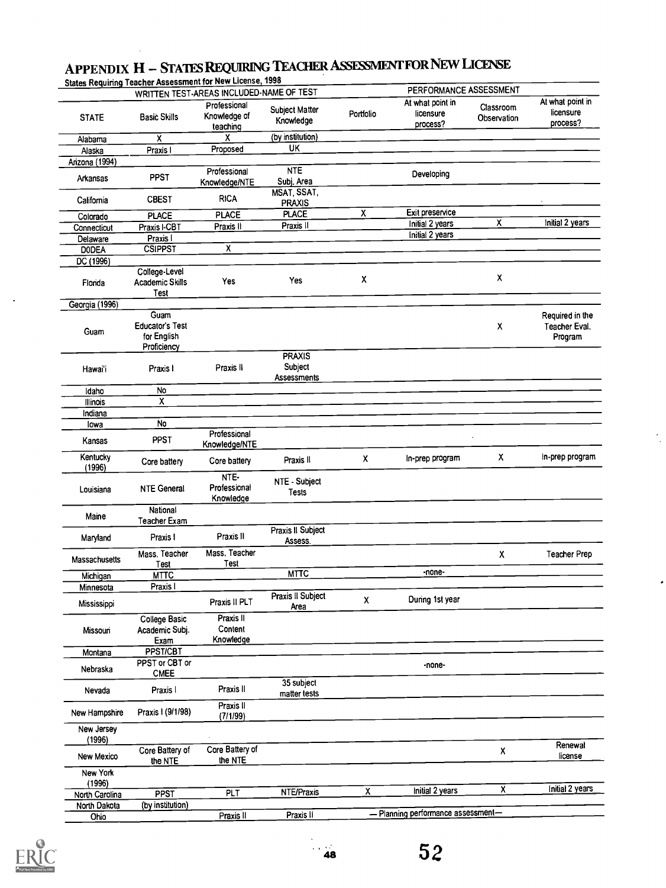|                      |                                                              | <b>States Requiring Teacher Assessment for New License, 1998</b><br>WRITTEN TEST-AREAS INCLUDED-NAME OF TEST |                                                |                           | PERFORMANCE ASSESSMENT                    |                           |                                             |
|----------------------|--------------------------------------------------------------|--------------------------------------------------------------------------------------------------------------|------------------------------------------------|---------------------------|-------------------------------------------|---------------------------|---------------------------------------------|
| <b>STATE</b>         | <b>Basic Skills</b>                                          | Professional<br>Knowledge of<br>teaching                                                                     | Subject Matter<br>Knowledge                    | Portfolio                 | At what point in<br>licensure<br>process? | Classroom<br>Observation  | At what point in<br>licensure<br>process?   |
| Alabama              | X                                                            | X                                                                                                            | (by institution)                               |                           |                                           |                           |                                             |
| Alaska               | Praxis I                                                     | Proposed                                                                                                     | UK                                             |                           |                                           |                           |                                             |
| Arizona (1994)       |                                                              |                                                                                                              |                                                |                           |                                           |                           |                                             |
| Arkansas             | <b>PPST</b>                                                  | Professional<br>Knowledge/NTE                                                                                | <b>NTE</b><br>Subj. Area                       |                           | Developing                                |                           |                                             |
| California           | CBEST                                                        | <b>RICA</b>                                                                                                  | <b>MSAT, SSAT,</b><br><b>PRAXIS</b>            |                           |                                           |                           |                                             |
| Colorado             | <b>PLACE</b>                                                 | <b>PLACE</b>                                                                                                 | <b>PLACE</b>                                   | $\overline{\mathbf{x}}$   | Exit preservice                           |                           |                                             |
| Connecticut          | Praxis I-CBT                                                 | Praxis II                                                                                                    | Praxis II                                      |                           | Initial 2 years                           | $\overline{\mathsf{x}}$   | Initial 2 years                             |
| Delaware             | Praxis I                                                     |                                                                                                              |                                                |                           | Initial 2 years                           |                           |                                             |
| <b>DODEA</b>         | <b>CSIPPST</b>                                               | Χ                                                                                                            |                                                |                           |                                           |                           |                                             |
| DC(1996)             |                                                              |                                                                                                              |                                                |                           |                                           |                           |                                             |
| Florida              | College-Level<br><b>Academic Skills</b><br>Test              | Yes                                                                                                          | Yes                                            | Х                         |                                           | $\boldsymbol{\mathsf{x}}$ |                                             |
| Georgia (1996)       |                                                              |                                                                                                              |                                                |                           |                                           |                           |                                             |
| Guam                 | Guam<br><b>Educator's Test</b><br>for English<br>Proficiency |                                                                                                              |                                                |                           |                                           | $\pmb{\mathsf{X}}$        | Required in the<br>Teacher Eval.<br>Program |
| Hawai'i              | Praxis I                                                     | Praxis II                                                                                                    | <b>PRAXIS</b><br>Subject<br><b>Assessments</b> |                           |                                           |                           |                                             |
| Idaho                | No                                                           |                                                                                                              |                                                |                           |                                           |                           |                                             |
| Illinois             | x                                                            |                                                                                                              |                                                |                           |                                           |                           |                                             |
| Indiana              |                                                              |                                                                                                              |                                                |                           |                                           |                           |                                             |
| lowa                 | No                                                           |                                                                                                              |                                                |                           |                                           |                           |                                             |
| Kansas               | PPST                                                         | Professional<br>Knowledge/NTE                                                                                |                                                |                           |                                           |                           |                                             |
| Kentucky<br>(1996)   | Core battery                                                 | Core battery                                                                                                 | Praxis II                                      | $\boldsymbol{\mathsf{X}}$ | In-prep program                           | x                         | In-prep program                             |
| Louisiana            | <b>NTE General</b>                                           | NTE-<br>Professional<br>Knowledge                                                                            | NTE - Subject<br>Tests                         |                           |                                           |                           |                                             |
| Maine                | National<br><b>Teacher Exam</b>                              |                                                                                                              | Praxis II Subject                              |                           |                                           |                           |                                             |
| Maryland             | Praxis I                                                     | Praxis II                                                                                                    | Assess.                                        |                           |                                           |                           |                                             |
| Massachusetts        | Mass. Teacher<br><b>Test</b>                                 | Mass. Teacher<br>Test                                                                                        |                                                |                           |                                           | X                         | <b>Teacher Prep</b>                         |
| Michigan             | MTC                                                          |                                                                                                              | <b>MTTC</b>                                    |                           | -none-                                    |                           |                                             |
| Minnesota            | Praxis I                                                     |                                                                                                              |                                                |                           |                                           |                           |                                             |
| Mississippi          |                                                              | Praxis II PLT                                                                                                | Praxis II Subject<br>Area                      | Χ                         | During 1st year                           |                           |                                             |
| Missouri             | College Basic<br>Academic Subj.<br>Exam                      | Praxis II<br>Content<br>Knowledge                                                                            |                                                |                           |                                           |                           |                                             |
| Montana              | <b>PPST/CBT</b>                                              |                                                                                                              |                                                |                           |                                           |                           |                                             |
| Nebraska             | PPST or CBT or<br><b>CMEE</b>                                |                                                                                                              |                                                |                           | -none-                                    |                           |                                             |
| Nevada               | Praxis I                                                     | Praxis II                                                                                                    | 35 subject<br>matter tests                     |                           |                                           |                           |                                             |
| New Hampshire        | Praxis I (9/1/98)                                            | Praxis II<br>(7/1/99)                                                                                        |                                                |                           |                                           |                           |                                             |
| New Jersey<br>(1996) |                                                              |                                                                                                              |                                                |                           |                                           |                           | Renewal                                     |
| New Mexico           | Core Battery of<br>the NTE                                   | Core Battery of<br>the NTE                                                                                   |                                                |                           |                                           | χ                         | license                                     |
| New York<br>(1996)   |                                                              |                                                                                                              |                                                |                           |                                           | $\overline{\mathsf{x}}$   | Initial 2 years                             |
| North Carolina       | PPST                                                         | PLT                                                                                                          | <b>NTE/Praxis</b>                              | $\overline{\mathsf{x}}$   | Initial 2 years                           |                           |                                             |
| North Dakota         | (by institution)                                             |                                                                                                              |                                                |                           |                                           |                           |                                             |
| Ohio                 |                                                              | Praxis II                                                                                                    | Praxis II                                      |                           | - Planning performance assessment-        |                           |                                             |
|                      |                                                              |                                                                                                              |                                                |                           |                                           |                           |                                             |

### APPENDIX **H – STATES REQUIRING TEACHER ASSESSMENT FOR NEW LICENSE**

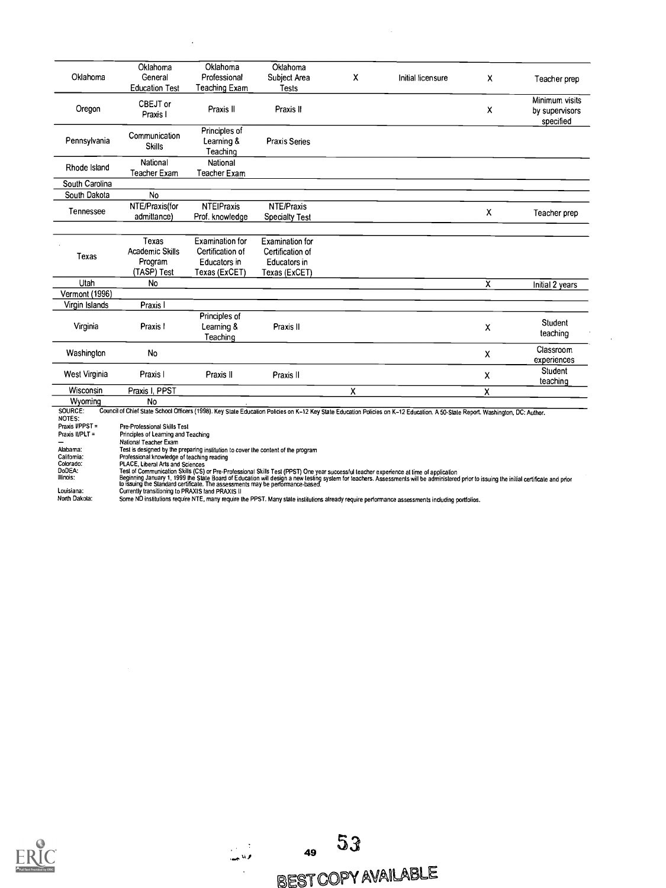| Oklahoma                                                                                                              | Oklahoma<br>General<br><b>Education Test</b>                                                                                                                                   | Oklahoma<br>Professional<br>Teaching Exam                                         | Oklahoma<br>Subject Area<br>Tests                                           | x | Initial licensure                                                                                                                                                                                                                                                                                                                                                                                                   | x | Teacher prep                                  |
|-----------------------------------------------------------------------------------------------------------------------|--------------------------------------------------------------------------------------------------------------------------------------------------------------------------------|-----------------------------------------------------------------------------------|-----------------------------------------------------------------------------|---|---------------------------------------------------------------------------------------------------------------------------------------------------------------------------------------------------------------------------------------------------------------------------------------------------------------------------------------------------------------------------------------------------------------------|---|-----------------------------------------------|
| Oregon                                                                                                                | CBEJT or<br>Praxis I                                                                                                                                                           | Praxis II                                                                         | Praxis II                                                                   |   |                                                                                                                                                                                                                                                                                                                                                                                                                     | X | Minimum visits<br>by supervisors<br>specified |
| Pennsylvania                                                                                                          | Communication<br><b>Skills</b>                                                                                                                                                 | Principles of<br>Learning &<br>Teaching                                           | <b>Praxis Series</b>                                                        |   |                                                                                                                                                                                                                                                                                                                                                                                                                     |   |                                               |
| Rhode Island                                                                                                          | National<br><b>Teacher Exam</b>                                                                                                                                                | National<br><b>Teacher Exam</b>                                                   |                                                                             |   |                                                                                                                                                                                                                                                                                                                                                                                                                     |   |                                               |
| South Carolina                                                                                                        |                                                                                                                                                                                |                                                                                   |                                                                             |   |                                                                                                                                                                                                                                                                                                                                                                                                                     |   |                                               |
| South Dakota                                                                                                          | No                                                                                                                                                                             |                                                                                   |                                                                             |   |                                                                                                                                                                                                                                                                                                                                                                                                                     |   |                                               |
| Tennessee                                                                                                             | NTE/Praxis/for<br>admittance)                                                                                                                                                  | <b>NTEIPraxis</b><br>Prof. knowledge                                              | NTE/Praxis<br>Specialty Test                                                |   |                                                                                                                                                                                                                                                                                                                                                                                                                     | X | Teacher prep                                  |
| Texas                                                                                                                 | Texas<br><b>Academic Skills</b><br>Program<br>(TASP) Test                                                                                                                      | Examination for<br>Certification of<br>Educators in<br>Texas (ExCET)              | <b>Examination for</b><br>Certification of<br>Educators in<br>Texas (ExCET) |   |                                                                                                                                                                                                                                                                                                                                                                                                                     |   |                                               |
| Utah                                                                                                                  | No                                                                                                                                                                             |                                                                                   |                                                                             |   |                                                                                                                                                                                                                                                                                                                                                                                                                     | X | Initial 2 years                               |
| Vermont (1996)                                                                                                        |                                                                                                                                                                                |                                                                                   |                                                                             |   |                                                                                                                                                                                                                                                                                                                                                                                                                     |   |                                               |
| Virgin Islands                                                                                                        | Praxis I                                                                                                                                                                       |                                                                                   |                                                                             |   |                                                                                                                                                                                                                                                                                                                                                                                                                     |   |                                               |
| Virginia                                                                                                              | Praxis I                                                                                                                                                                       | Principles of<br>Learning &<br>Teaching                                           | Praxis II                                                                   |   |                                                                                                                                                                                                                                                                                                                                                                                                                     | X | Student<br>teachino                           |
| Washington                                                                                                            | No                                                                                                                                                                             |                                                                                   |                                                                             |   |                                                                                                                                                                                                                                                                                                                                                                                                                     | X | Classroom<br>experiences                      |
| West Virginia                                                                                                         | Praxis I                                                                                                                                                                       | Praxis II                                                                         | Praxis II                                                                   |   |                                                                                                                                                                                                                                                                                                                                                                                                                     | х | Student<br>teaching                           |
| Wisconsin                                                                                                             | Praxis I, PPST                                                                                                                                                                 |                                                                                   |                                                                             | x |                                                                                                                                                                                                                                                                                                                                                                                                                     | X |                                               |
| Wyoming                                                                                                               | No                                                                                                                                                                             |                                                                                   |                                                                             |   |                                                                                                                                                                                                                                                                                                                                                                                                                     |   |                                               |
| SOURCE:<br>NOTES:<br>Praxis I/PPST =<br>Praxis II/PLT =<br>Alabama:<br>Califomia:<br>Colorado:<br>DoDEA:<br>Illinois: | Pre-Professional Skills Test<br>Principles of Learning and Teaching<br>National Teacher Exam<br>Professional knowledge of leaching reading<br>PLACE, Liberal Arts and Sciences | Test is designed by the preparing institution to cover the content of the program |                                                                             |   | Council of Chief State School Officers (1998). Key State Education Policies on K-12 Key State Education Policies on K-12 Education. A 50-State Report. Washington, DC: Author.<br>Test of Communication Skills (CS) or Pre-Professional Skills Test (PPST) One year successful teacher experience at time of application<br>Beginning January 1, 1999 the State Board of Education will design a new testing system |   |                                               |
| Louisiana:<br>North Dakota:                                                                                           | Currently transitioning to PRAXIS land PRAXIS II                                                                                                                               |                                                                                   |                                                                             |   | Some ND institutions require NTE, many require the PPST. Many state institutions already require performance assessments including portfolios.                                                                                                                                                                                                                                                                      |   |                                               |

 $\sim$ 

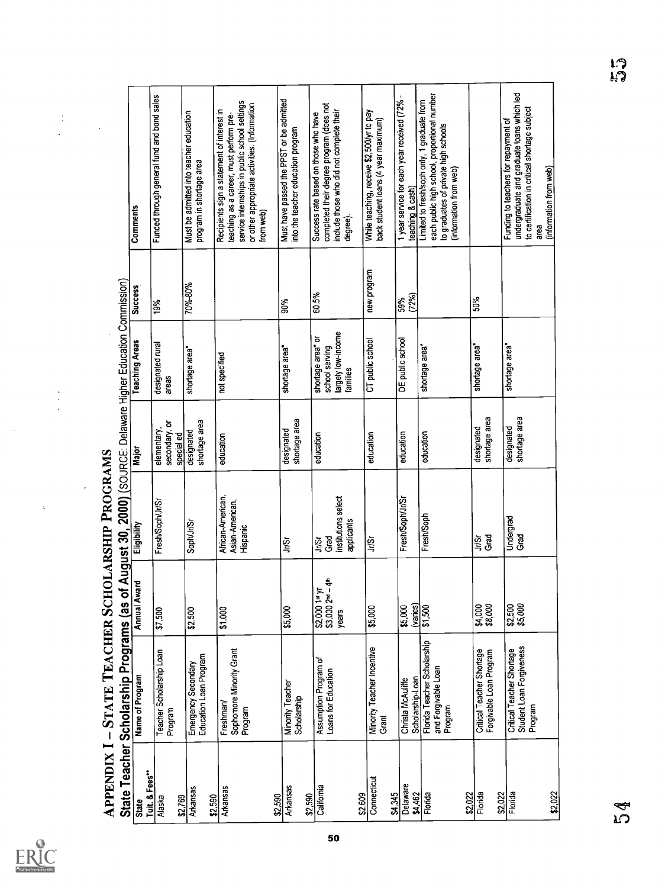$\sum_{\text{Arallest Product by EHC}}$ 

| V I-STATE TEACHER SCHOLARSHIP PROGRAMS |                                             |
|----------------------------------------|---------------------------------------------|
|                                        |                                             |
|                                        |                                             |
|                                        |                                             |
|                                        |                                             |
|                                        |                                             |
|                                        | ֚֬                                          |
|                                        |                                             |
|                                        |                                             |
|                                        |                                             |
|                                        |                                             |
|                                        |                                             |
|                                        |                                             |
|                                        | $\begin{array}{c} \n\text{1} \n\end{array}$ |
| <b>T XIQNEM</b>                        |                                             |
|                                        |                                             |

 $\ddot{\cdot}$ 

 $\ddot{\phantom{a}}$ 

 $\overline{\phantom{a}}$ 

 $\ddot{\phantom{a}}$ 

|                                                                                                                                                   | Comments                                | Funded through general fund and bond sales | Must be admitted into teacher education<br>program in shortage area | service internships in public school settings<br>or other appropnate activities. (Information<br>from web)<br>Recipients sign a statement of interest in<br>teaching as a career, must perform pre- | Must have passed the PPST or be admitted<br>into the teacher education program | completed their degree program (does not<br>include those who did not complete their<br>Success rate based on those who have<br>degree). | While teaching, receive \$2,500/yr to pay<br>back student loans (4 year maximum)<br>new program | 1 year service for each year received (72% -<br>teaching & cash) | each public high school, proportional number<br>Limited to fresh/soph only, 1 graduate from<br>to graduates of private high schools<br>(information from web) |                                                      | undergraduate and graduate loans which led<br>to certification in critical shortage subject<br>Funding to teachers for repayment of<br>(information from web)<br>area |  |
|---------------------------------------------------------------------------------------------------------------------------------------------------|-----------------------------------------|--------------------------------------------|---------------------------------------------------------------------|-----------------------------------------------------------------------------------------------------------------------------------------------------------------------------------------------------|--------------------------------------------------------------------------------|------------------------------------------------------------------------------------------------------------------------------------------|-------------------------------------------------------------------------------------------------|------------------------------------------------------------------|---------------------------------------------------------------------------------------------------------------------------------------------------------------|------------------------------------------------------|-----------------------------------------------------------------------------------------------------------------------------------------------------------------------|--|
|                                                                                                                                                   | <b>Success</b><br><b>Teaching Areas</b> | 19%<br>designated rural<br>areas           | 70%-80%<br>shortage area <sup>*</sup>                               | not specified                                                                                                                                                                                       | 90%<br>shortage area*                                                          | 60.5%<br>largely low-income<br>shortage area* or<br>school serving<br>families                                                           | CT public school                                                                                | (72%)<br>59%<br>DE public school                                 | shortage area <sup>*</sup>                                                                                                                                    | 50%<br>shortage area*                                | shortage area*                                                                                                                                                        |  |
|                                                                                                                                                   | Major                                   | secondary, or<br>elementary,<br>special ed | shortage area<br>designated                                         | education                                                                                                                                                                                           | designated<br>shortage area                                                    | education                                                                                                                                | education                                                                                       | education                                                        | education                                                                                                                                                     | shortage area<br>designated                          | designated<br>shortage area                                                                                                                                           |  |
|                                                                                                                                                   | Eligibility                             | Fresh/Soph/Jr/Sr                           | SophJr/Sr                                                           | African-American,<br>Asian-American,<br>Hispanic                                                                                                                                                    | <b>D</b>                                                                       | institutions select<br>applicants<br>ිස<br>ව<br>प⊗ा                                                                                      | Jr/Sr                                                                                           | Fresh/Soph/Jr/Sr                                                 | FrestvSoph                                                                                                                                                    | <u>ន្តុំ</u> ភ្លឹ                                    | Undergrad<br>Grad                                                                                                                                                     |  |
|                                                                                                                                                   | Annual Award                            | $\frac{1}{1500}$                           | \$2,500                                                             | \$1,000                                                                                                                                                                                             | \$5,000                                                                        | $-4$ <sup>th</sup><br>$\overline{\phantom{a}}$<br>$\frac{1}{32,000}$ $\frac{1}{2}$ and $\frac{1}{2}$ and $\frac{1}{2}$<br>years          | \$5,000                                                                                         | (varies)<br><b>SS,000</b>                                        | \$1,500                                                                                                                                                       | \$4,000<br>\$8,000                                   | \$2,500<br>\$5,000                                                                                                                                                    |  |
| State Teacher Scholarship Programs (as of August 30, 2000) (SOURCE: Delaware Higher Education Commission)<br>- STATE TEACHER SCHOLARSHIP PROGRAMS | Name of Program                         | Teacher Scholarship Loan<br>Program        | Emergency Secondary<br>Education Loan Program                       | Sophomore Minority Grant<br>Freshman                                                                                                                                                                | Minority Teacher<br>Scholarship                                                | Assumption Program of<br>Loans for Education                                                                                             | Minority Teacher Incentive<br>Grant                                                             | Scholarship-Loan<br>Christa McAuliffe                            | Florida Teacher Scholarship<br>and Forgivable Loan<br>Program                                                                                                 | Critical Teacher Shortage<br>Forgivable Loan Program | Critical Teacher Shortage<br>Student Loan Forgiveness<br>Program                                                                                                      |  |
| APPENDIX I                                                                                                                                        | Tuit. & Fees**<br><b>State</b>          | \$2,769<br>Alaska                          | Arkansas<br>\$2,590                                                 | Arkansas<br>\$2,590                                                                                                                                                                                 | Arkansas<br>\$2,590                                                            | California<br>\$2,609                                                                                                                    | Connecticut<br>\$4,345                                                                          | Delaware<br>\$4,462                                              | Florida                                                                                                                                                       | $\frac{2022}{20}$<br>\$2,022                         | Florida<br>\$2,022                                                                                                                                                    |  |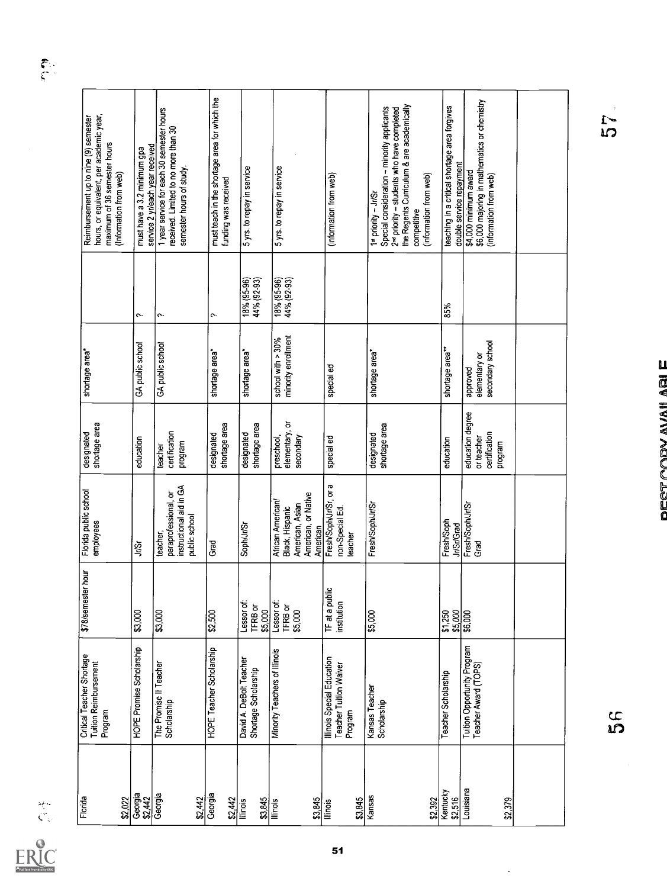| Full Text Provided by ERIC |
|----------------------------|

 $\sum_{k=1}^{\infty}$ 

| hours, or equivalent, per academic year,<br>Reimbursement up to nine (9) semester<br>maximum of 36 semester hours | (Information from web) | service 2 yr/each year received<br>must have a 3.2 minimum gpa | 1 year service for each 30 semester hours<br>received. Limited to no more than 30<br>semester hours of study. | must teach in the shortage area for which the<br>funding was received | 5 yrs. to repay in service                      | 5 yrs. to repay in service                                                                 | (information from web)                                                 | the Regents Cumculum & are academically<br>Special consideration - minority applicants<br>2 <sup>rd</sup> priority - students who have completed<br>(information from web)<br>1st priority - Jr/Sr<br>competitive | teaching in a critical shortage area forgives<br>double service repayment | \$4,000 minimum award<br>\$6,000 majoring in mathematics or chemistry<br>(information from web) | រី                    |
|-------------------------------------------------------------------------------------------------------------------|------------------------|----------------------------------------------------------------|---------------------------------------------------------------------------------------------------------------|-----------------------------------------------------------------------|-------------------------------------------------|--------------------------------------------------------------------------------------------|------------------------------------------------------------------------|-------------------------------------------------------------------------------------------------------------------------------------------------------------------------------------------------------------------|---------------------------------------------------------------------------|-------------------------------------------------------------------------------------------------|-----------------------|
|                                                                                                                   |                        | r.                                                             | $\sim$                                                                                                        | ċ.                                                                    | $18\% (95-96)$<br>44% (92-93)                   | 18% (95-96)<br>44% (92-93)                                                                 |                                                                        |                                                                                                                                                                                                                   | 85%                                                                       |                                                                                                 |                       |
| shortage area*                                                                                                    |                        | GA public school                                               | GA public school                                                                                              | shortage area*                                                        | shortage area*                                  | school with > 30%<br>minority enrollment                                                   | special ed                                                             | shortage area                                                                                                                                                                                                     | shortage area <sup>**</sup>                                               | secondary school<br>elementary or<br>approved                                                   |                       |
| shortage area<br>designated                                                                                       |                        | education                                                      | certification<br>program<br>teacher                                                                           | shortage area<br>designated                                           | shortage area<br>designated                     | elementary, or<br>preschool,<br>secondary                                                  | special ed                                                             | shortage area<br>designated                                                                                                                                                                                       | education                                                                 | education degree<br>certification<br>or teacher<br>program                                      | DECT COOV AVAII ARI E |
| Florida public school<br>employees                                                                                |                        | JriSr                                                          | instructional aid in GA<br>paraprofessional, or<br>public school<br>teacher,                                  | ිසි<br>ර                                                              | SophJr/Sr                                       | American, or Native<br>African American/<br>American, Asian<br>Black, Hispanic<br>American | Fresh/Soph/Jr/Sr, or a<br>non-Special Ed.<br>teacher                   | Fresh/Soph/Jr/Sr                                                                                                                                                                                                  | Fresh/Soph<br>Jr/Sr/Grad                                                  | Fresh/SophJr/Sr<br>Grad                                                                         |                       |
| \$78/semester hour                                                                                                |                        | $\frac{1}{33,000}$                                             | $\frac{1}{33,000}$                                                                                            | $\frac{1}{2,500}$                                                     | Lessor of:<br>TFRB or                           |                                                                                            | public<br>institution<br>TF at a                                       | \$5,000                                                                                                                                                                                                           | $\sqrt{\frac{1350}{17,2900}}$                                             |                                                                                                 |                       |
| Critical Teacher Shortage<br><b>Tuition Reimbursement</b><br>Program                                              |                        | <b>HOPE Promise Scholarship</b>                                | The Promise II Teacher<br>Scholarship                                                                         | <b>HOPE Teacher Scholarship</b>                                       | David A. DeBolt Teacher<br>Shortage Scholarship | Minority Teachers of Illinois                                                              | Illinois Special Education<br><b>Teacher Tuition Waiver</b><br>Program | Kansas Teacher<br>Scholarship                                                                                                                                                                                     | Teacher Scholarship                                                       | Tuition Opportunity Program<br>Teacher Award (TOPS)                                             | ເດ<br><b>ເ</b> ກ      |
| Bolloi.1                                                                                                          | \$2,022                | Georgia<br>\$2,442                                             | Georgia<br>\$2,442                                                                                            | Georgia<br>\$2,442                                                    | \$3,845<br>llinois                              | \$3,845<br><b>Illinois</b>                                                                 | \$3,845<br>llinois                                                     | Kansas<br>\$2,392                                                                                                                                                                                                 | Kentucky<br>\$2,516                                                       | ouisiana<br>\$2,379                                                                             |                       |

 $\ddot{\phantom{a}}$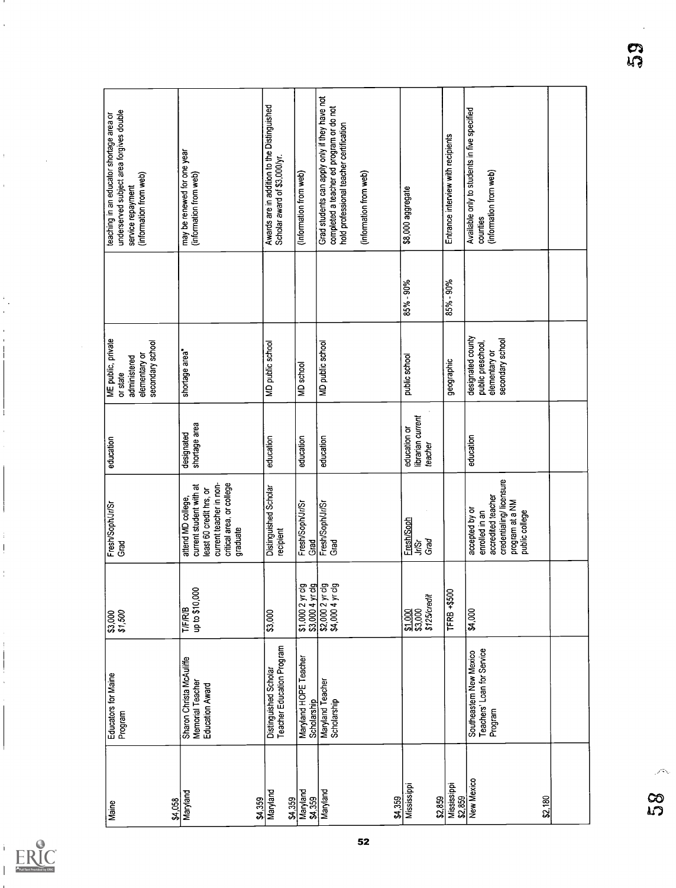| underserved subject area forgives double<br>teaching in an educator shortage area or<br>(information from web)<br>service repayment | may be renewed for one year<br>(information from web)                                                                                        | Awards are in addition to the Distinguished<br>Scholar award of \$3,000/yr. | (Information from web)                      | Grad students can apply only if they have not<br>completed a teacher ed program or do not<br>hold professional teacher certification | (information from web) | \$8,000 aggregate                            | Entrance interview with recipients | Available only to students in five specified<br>(information from web)<br>counties                                     |  |
|-------------------------------------------------------------------------------------------------------------------------------------|----------------------------------------------------------------------------------------------------------------------------------------------|-----------------------------------------------------------------------------|---------------------------------------------|--------------------------------------------------------------------------------------------------------------------------------------|------------------------|----------------------------------------------|------------------------------------|------------------------------------------------------------------------------------------------------------------------|--|
|                                                                                                                                     |                                                                                                                                              |                                                                             |                                             |                                                                                                                                      |                        | 85% - 90%                                    | 85% - 90%                          |                                                                                                                        |  |
| ME public, private<br>secondary school<br>elementary or<br>administered<br>or state                                                 | shortage area <sup>*</sup>                                                                                                                   | MD public school                                                            | MD school                                   | MD public school                                                                                                                     |                        | public school                                | geographic                         | designated county<br>secondary school<br>public preschool,<br>elementary or                                            |  |
| education                                                                                                                           | shortage area<br>designated                                                                                                                  | education                                                                   | education                                   | education                                                                                                                            |                        | librarian current<br>education or<br>teacher |                                    | education                                                                                                              |  |
| Fresh/Soph/Jr/Sr<br><b>Grad</b>                                                                                                     | critical area, or college<br>current teacher in non-<br>current student with at<br>least 60 credit hrs, or<br>attend MD college,<br>graduate | Distinguished Scholar<br>recipient                                          | Fresh/Soph/Jr/Sr<br>Grad                    | Fresh/Soph/Jr/Sr<br>Grad                                                                                                             |                        | Fresh/Soph<br>Grad<br>Jr/Sr                  |                                    | credentialing/licensure<br>accredited teacher<br>program at a NM<br>accepted by or<br>public college<br>enrolled in an |  |
| \$1,500<br>\$1,500                                                                                                                  | up to \$10,000<br><b>T/F/R/B</b>                                                                                                             | $\frac{1}{33,000}$                                                          | \$1,000 2 yr cig                            | $\frac{33,0004 \text{ yr cig}}{32,0002 \text{ yr cig}}$<br>\$4,000 4 yr cig                                                          |                        | \$125/credit<br><u>នា</u><br>និង             | TFRB +\$500                        | डू<br>अ                                                                                                                |  |
| Educators for Maine<br>Program                                                                                                      | Sharon Christa McAuliffe<br>Memorial Teacher<br><b>Education Award</b>                                                                       | Distinguished Scholar<br>Teacher Education Program                          | Maryland HOPE Teacher<br><b>Scholarship</b> | Maryland Teacher<br>Scholarship                                                                                                      |                        |                                              |                                    | Teachers' Loan for Service<br>Southeastern New Mexico<br>Program                                                       |  |
| \$4,058<br>Maine                                                                                                                    | Maryland                                                                                                                                     | Maryland<br>\$4,359<br>\$4,359                                              | Maryland<br>\$4,359                         | Maryland                                                                                                                             |                        | Mississippi<br>\$4,359                       | Mississippi<br>\$2,859<br>\$2,859  | New Mexico<br>\$2,180                                                                                                  |  |



 $\mathbf{i}$ 

 $\hat{\mathcal{V}}$ 

 $\bar{1}$ 

 $\overline{\phantom{a}}$ 

89

 $\sqrt{2\pi}$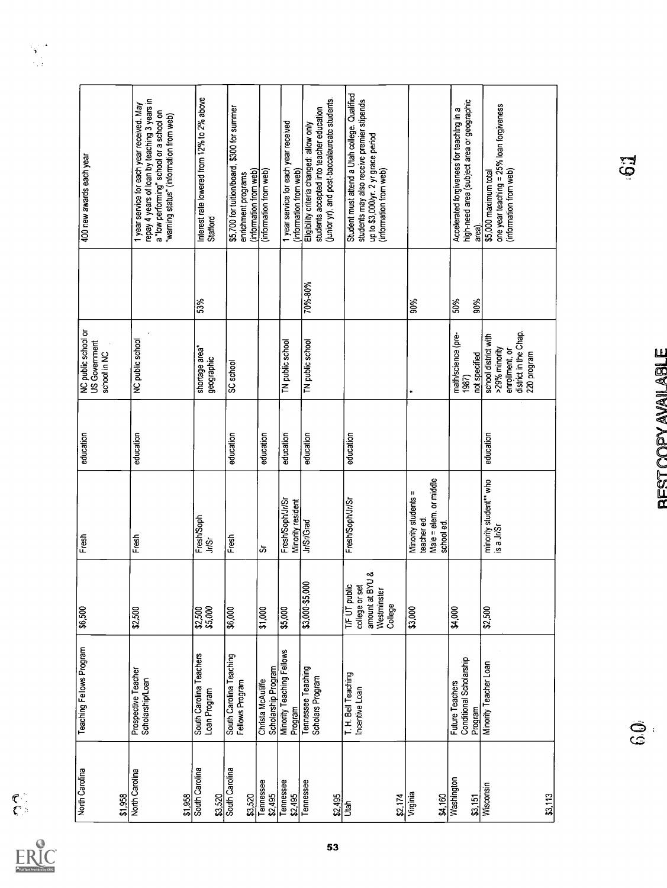| 400 new awards each year                             | repay 4 years of loan by teaching 3 years in<br>1 year service for each year received. May<br>a "low performing" school or a school on<br>"warning status" (information from web) | Interest rate lowered from 12% to 2% above<br>Stafford | \$5,700 for tuition/board, \$300 for summer<br>(information from web)<br>enrichment programs | (information from web)                   | 1 year service for each year received<br>(information from web) | students accepted into teacher education<br>(junior yr), and post-baccalaureate students.<br>Eligibility criteria changed: allow only | Student must attend a Utah college. Qualified<br>students may also receive premier stipends<br>up to \$3,000/yr. 2 yr grace period<br>(information from web) |                                                                            | high-need area (subject area or geographic<br>Accelerated forgiveness for teaching in a<br>area). | one year teaching = 25% loan forgiveness<br>(information from web)<br>\$5,000 maximum total     | ्<br>वै             |
|------------------------------------------------------|-----------------------------------------------------------------------------------------------------------------------------------------------------------------------------------|--------------------------------------------------------|----------------------------------------------------------------------------------------------|------------------------------------------|-----------------------------------------------------------------|---------------------------------------------------------------------------------------------------------------------------------------|--------------------------------------------------------------------------------------------------------------------------------------------------------------|----------------------------------------------------------------------------|---------------------------------------------------------------------------------------------------|-------------------------------------------------------------------------------------------------|---------------------|
|                                                      |                                                                                                                                                                                   | 53%                                                    |                                                                                              |                                          |                                                                 | 70%-80%                                                                                                                               |                                                                                                                                                              | 90%                                                                        | 90%<br>50%                                                                                        |                                                                                                 |                     |
| NC public school or<br>US Government<br>school in NC | NC public school                                                                                                                                                                  | shortage area*<br>geographic                           | SC school                                                                                    |                                          | TN public school                                                | TN public school                                                                                                                      |                                                                                                                                                              |                                                                            | math/science (pre-<br>not specified<br>1987)                                                      | district in the Chap.<br>school district with<br>>29% minority<br>enrollment, or<br>220 program |                     |
| education                                            | education                                                                                                                                                                         |                                                        | education                                                                                    | education                                | education                                                       | education                                                                                                                             | education                                                                                                                                                    |                                                                            |                                                                                                   | education                                                                                       | REST COPY AVAILABLE |
| Fresh                                                | Fresh                                                                                                                                                                             | Fresh/Soph<br>Jr/Sr                                    | Fresh                                                                                        | တ်                                       | Fresh/SophJr/Sr<br><b>Minority resident</b>                     | Jr/Sr/Grad                                                                                                                            | Fresh/Soph/Jr/Sr                                                                                                                                             | Male = elem. or middle<br>Minority students =<br>teacher ed.<br>school ed. |                                                                                                   | minority student** who<br>is a Jr/Sr                                                            |                     |
| $\frac{1}{100}$                                      | \$2,500                                                                                                                                                                           | \$2,500<br>\$5,000                                     | $\frac{1}{26,000}$                                                                           | $\frac{1}{21,000}$                       | \$5,000                                                         | \$3,000 \$5,000                                                                                                                       | amount at BYU &<br>T/F UT public<br>r set<br>Westminster<br>college or<br>College                                                                            | $\frac{1}{3}$                                                              | \$4,000                                                                                           | $\frac{1}{2.500}$                                                                               |                     |
| <b>Teaching Fellows Program</b>                      | Prospective Teacher<br>Scholarship/Loan                                                                                                                                           | South Carolina Teachers<br>Loan Program                | South Carolina Teaching<br>Fellows Program                                                   | Scholarship Program<br>Christa McAuliffe | Minority Teaching Fellows<br>Program                            | Tennessee Teaching<br>Scholars Program                                                                                                | T. H. Bell Teaching<br>Incentive Loan                                                                                                                        |                                                                            | Conditional Scholarship<br>Future Teachers<br>Program                                             | Minority Teacher Loan                                                                           | ۵)<br>ون            |
| North Carolina<br>\$1,958                            | North Carolina<br>\$1,958                                                                                                                                                         | South Carolina<br>\$3,520                              | South Carolina<br>\$3,520                                                                    | Tennessee<br>\$2,495                     | Tennessee<br>\$2,495                                            | Tennessee<br>\$2,495                                                                                                                  | \$2,174<br>Jiah                                                                                                                                              | Virginia<br>\$4,160                                                        | Washington<br>\$3,151                                                                             | Wisconsin<br>នា។                                                                                |                     |

 $\frac{\partial \mathcal{L}_{\mathcal{A}}}{\partial \mathcal{L}_{\mathcal{A}}^2}$ 

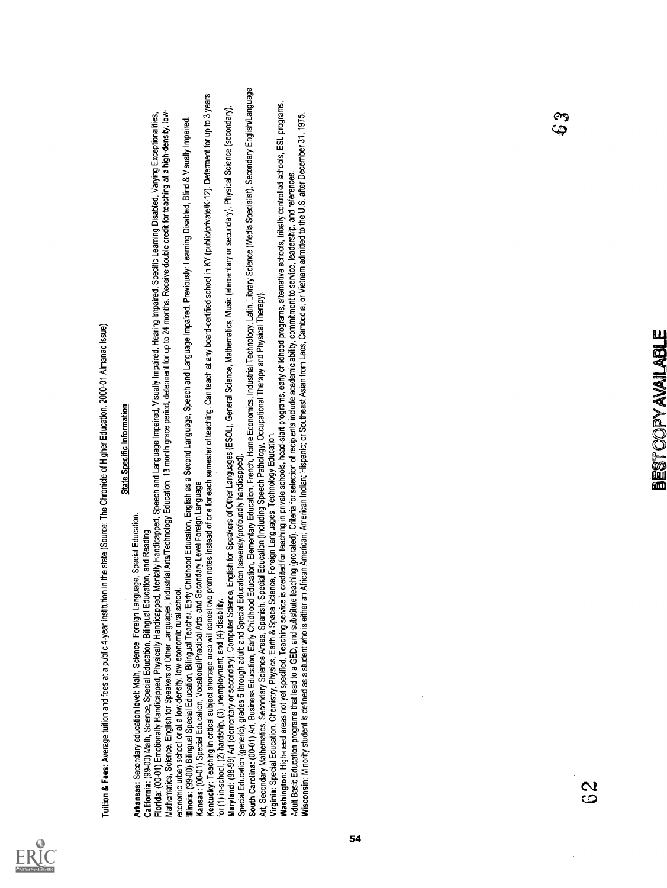

Note that the state of the state of the state of the state of the state of the state of the state of the state of the state of the state of the state of the state of the state of the state of the state of the state of the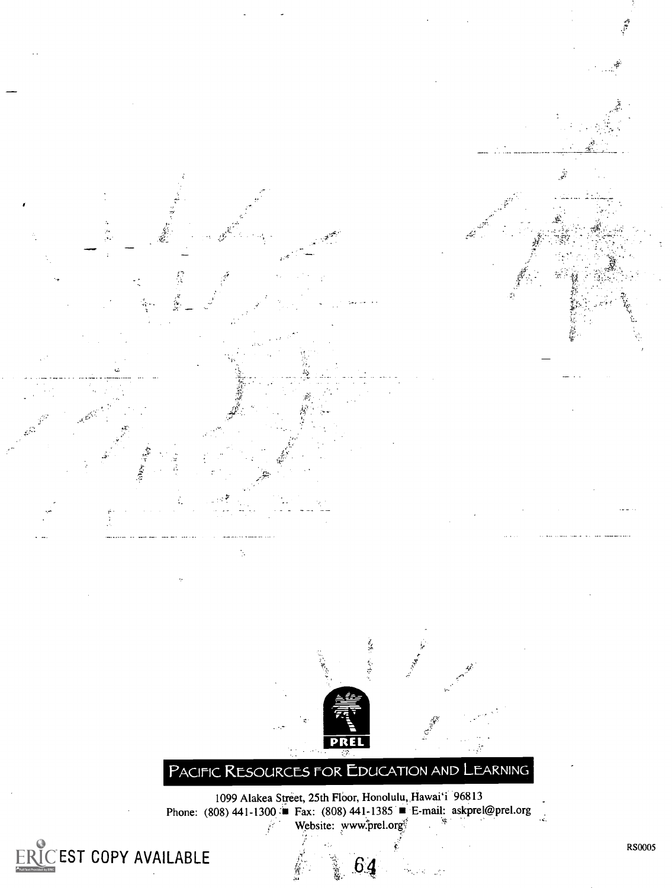